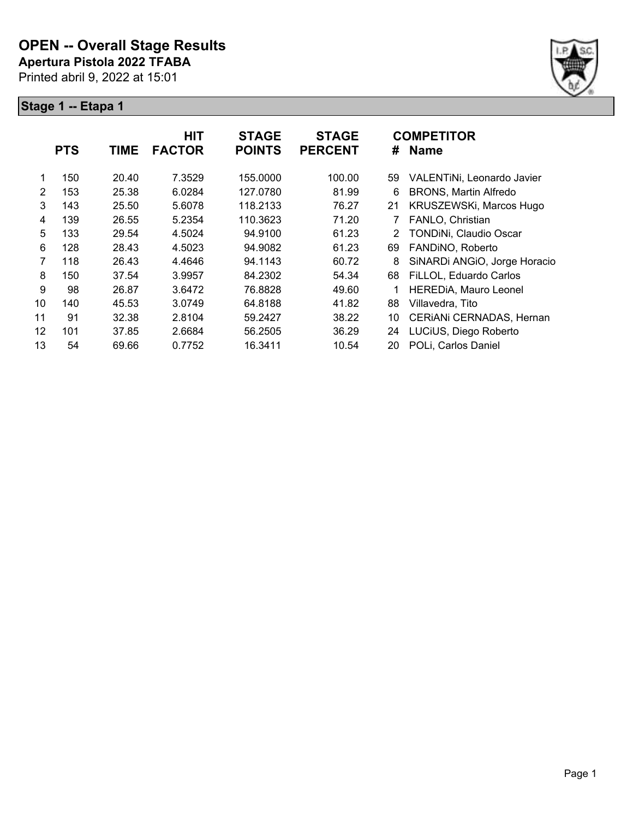

|                | <b>PTS</b> | <b>TIME</b> | <b>HIT</b><br><b>FACTOR</b> | <b>STAGE</b><br><b>POINTS</b> | <b>STAGE</b><br><b>PERCENT</b> | #              | <b>COMPETITOR</b><br><b>Name</b> |
|----------------|------------|-------------|-----------------------------|-------------------------------|--------------------------------|----------------|----------------------------------|
|                |            |             |                             |                               |                                |                |                                  |
|                | 150        | 20.40       | 7.3529                      | 155.0000                      | 100.00                         | 59             | VALENTINI, Leonardo Javier       |
| $\overline{2}$ | 153        | 25.38       | 6.0284                      | 127.0780                      | 81.99                          | 6              | <b>BRONS, Martin Alfredo</b>     |
| 3              | 143        | 25.50       | 5.6078                      | 118.2133                      | 76.27                          | 21             | KRUSZEWSKi, Marcos Hugo          |
| 4              | 139        | 26.55       | 5.2354                      | 110.3623                      | 71.20                          |                | FANLO, Christian                 |
| 5              | 133        | 29.54       | 4.5024                      | 94.9100                       | 61.23                          | $\overline{2}$ | TONDINi, Claudio Oscar           |
| 6              | 128        | 28.43       | 4.5023                      | 94.9082                       | 61.23                          | 69             | FANDINO, Roberto                 |
| $\overline{7}$ | 118        | 26.43       | 4.4646                      | 94.1143                       | 60.72                          | 8              | SiNARDi ANGIO, Jorge Horacio     |
| 8              | 150        | 37.54       | 3.9957                      | 84.2302                       | 54.34                          | 68             | FiLLOL, Eduardo Carlos           |
| 9              | 98         | 26.87       | 3.6472                      | 76.8828                       | 49.60                          | 1              | <b>HEREDIA, Mauro Leonel</b>     |
| 10             | 140        | 45.53       | 3.0749                      | 64.8188                       | 41.82                          | 88             | Villavedra, Tito                 |
| 11             | 91         | 32.38       | 2.8104                      | 59.2427                       | 38.22                          | 10             | CERIANI CERNADAS, Hernan         |
| 12             | 101        | 37.85       | 2.6684                      | 56.2505                       | 36.29                          | 24             | LUCiUS, Diego Roberto            |
| 13             | 54         | 69.66       | 0.7752                      | 16.3411                       | 10.54                          | 20             | POLi, Carlos Daniel              |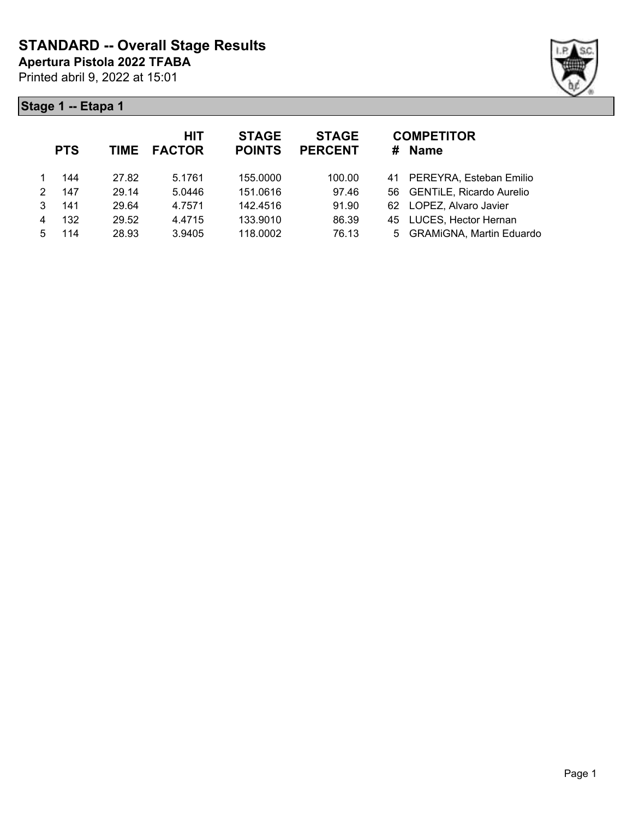

|   | <b>PTS</b> | <b>TIME</b> | <b>HIT</b><br><b>FACTOR</b> | <b>STAGE</b><br><b>POINTS</b> | <b>STAGE</b><br><b>PERCENT</b> | <b>COMPETITOR</b><br># Name |
|---|------------|-------------|-----------------------------|-------------------------------|--------------------------------|-----------------------------|
|   | 144        | 27.82       | 5.1761                      | 155.0000                      | 100.00                         | 41 PEREYRA, Esteban Emilio  |
| 2 | 147        | 29.14       | 5.0446                      | 151.0616                      | 97.46                          | 56 GENTILE, Ricardo Aurelio |
| 3 | 141        | 29.64       | 4.7571                      | 142.4516                      | 91.90                          | 62 LOPEZ, Alvaro Javier     |
| 4 | 132        | 29.52       | 4.4715                      | 133.9010                      | 86.39                          | 45 LUCES, Hector Hernan     |
| 5 | 114        | 28.93       | 3.9405                      | 118,0002                      | 76.13                          | 5 GRAMiGNA, Martin Eduardo  |
|   |            |             |                             |                               |                                |                             |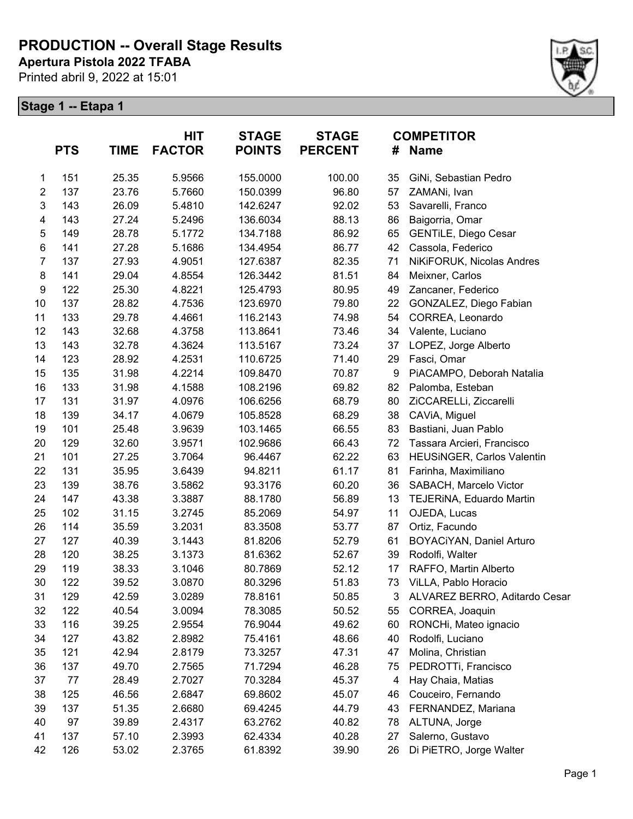**Apertura Pistola 2022 TFABA**

Printed abril 9, 2022 at 15:01



|                         | <b>PTS</b> | <b>TIME</b> | HIT<br><b>FACTOR</b> | <b>STAGE</b><br><b>POINTS</b> | <b>STAGE</b><br><b>PERCENT</b> | <b>COMPETITOR</b><br><b>Name</b><br># |                               |
|-------------------------|------------|-------------|----------------------|-------------------------------|--------------------------------|---------------------------------------|-------------------------------|
| 1                       | 151        | 25.35       | 5.9566               | 155.0000                      | 100.00                         | 35                                    | GiNi, Sebastian Pedro         |
| $\boldsymbol{2}$        | 137        | 23.76       | 5.7660               | 150.0399                      | 96.80                          | 57                                    | ZAMANi, Ivan                  |
| $\mathbf 3$             | 143        | 26.09       | 5.4810               | 142.6247                      | 92.02                          | 53                                    | Savarelli, Franco             |
| $\overline{\mathbf{4}}$ | 143        | 27.24       | 5.2496               | 136.6034                      | 88.13                          | 86                                    | Baigorria, Omar               |
| $\mathbf 5$             | 149        | 28.78       | 5.1772               | 134.7188                      | 86.92                          | 65                                    | GENTILE, Diego Cesar          |
| 6                       | 141        | 27.28       | 5.1686               | 134.4954                      | 86.77                          | 42                                    | Cassola, Federico             |
| $\overline{7}$          | 137        | 27.93       | 4.9051               | 127.6387                      | 82.35                          | 71                                    | NiKiFORUK, Nicolas Andres     |
| 8                       | 141        | 29.04       | 4.8554               | 126.3442                      | 81.51                          | 84                                    | Meixner, Carlos               |
| $\boldsymbol{9}$        | 122        | 25.30       | 4.8221               | 125.4793                      | 80.95                          | 49                                    | Zancaner, Federico            |
| 10                      | 137        | 28.82       | 4.7536               | 123.6970                      | 79.80                          | 22                                    | GONZALEZ, Diego Fabian        |
| 11                      | 133        | 29.78       | 4.4661               | 116.2143                      | 74.98                          | 54                                    | CORREA, Leonardo              |
| 12                      | 143        | 32.68       | 4.3758               | 113.8641                      | 73.46                          | 34                                    | Valente, Luciano              |
| 13                      | 143        | 32.78       | 4.3624               | 113.5167                      | 73.24                          | 37                                    | LOPEZ, Jorge Alberto          |
| 14                      | 123        | 28.92       | 4.2531               | 110.6725                      | 71.40                          | 29                                    | Fasci, Omar                   |
| 15                      | 135        | 31.98       | 4.2214               | 109.8470                      | 70.87                          | 9                                     | PiACAMPO, Deborah Natalia     |
| 16                      | 133        | 31.98       | 4.1588               | 108.2196                      | 69.82                          | 82                                    | Palomba, Esteban              |
| 17                      | 131        | 31.97       | 4.0976               | 106.6256                      | 68.79                          | 80                                    | ZiCCARELLi, Ziccarelli        |
| 18                      | 139        | 34.17       | 4.0679               | 105.8528                      | 68.29                          | 38                                    | CAViA, Miguel                 |
| 19                      | 101        | 25.48       | 3.9639               | 103.1465                      | 66.55                          | 83                                    | Bastiani, Juan Pablo          |
| 20                      | 129        | 32.60       | 3.9571               | 102.9686                      | 66.43                          | 72                                    | Tassara Arcieri, Francisco    |
| 21                      | 101        | 27.25       | 3.7064               | 96.4467                       | 62.22                          | 63                                    | HEUSINGER, Carlos Valentin    |
| 22                      | 131        | 35.95       | 3.6439               | 94.8211                       | 61.17                          | 81                                    | Farinha, Maximiliano          |
| 23                      | 139        | 38.76       | 3.5862               | 93.3176                       | 60.20                          | 36                                    | SABACH, Marcelo Victor        |
| 24                      | 147        | 43.38       | 3.3887               | 88.1780                       | 56.89                          | 13                                    | TEJERINA, Eduardo Martin      |
| 25                      | 102        | 31.15       | 3.2745               | 85.2069                       | 54.97                          | 11                                    | OJEDA, Lucas                  |
| 26                      | 114        | 35.59       | 3.2031               | 83.3508                       | 53.77                          | 87                                    | Ortiz, Facundo                |
| 27                      | 127        | 40.39       | 3.1443               | 81.8206                       | 52.79                          | 61                                    | BOYACIYAN, Daniel Arturo      |
| 28                      | 120        | 38.25       | 3.1373               | 81.6362                       | 52.67                          | 39                                    | Rodolfi, Walter               |
| 29                      | 119        | 38.33       | 3.1046               | 80.7869                       | 52.12                          | 17                                    | RAFFO, Martin Alberto         |
| 30                      | 122        | 39.52       | 3.0870               | 80.3296                       | 51.83                          |                                       | 73 ViLLA, Pablo Horacio       |
| 31                      | 129        | 42.59       | 3.0289               | 78.8161                       | 50.85                          | 3                                     | ALVAREZ BERRO, Aditardo Cesar |
| 32                      | 122        | 40.54       | 3.0094               | 78.3085                       | 50.52                          | 55                                    | CORREA, Joaquin               |
| 33                      | 116        | 39.25       | 2.9554               | 76.9044                       | 49.62                          | 60                                    | RONCHi, Mateo ignacio         |
| 34                      | 127        | 43.82       | 2.8982               | 75.4161                       | 48.66                          | 40                                    | Rodolfi, Luciano              |
| 35                      | 121        | 42.94       | 2.8179               | 73.3257                       | 47.31                          | 47                                    | Molina, Christian             |
| 36                      | 137        | 49.70       | 2.7565               | 71.7294                       | 46.28                          | 75                                    | PEDROTTi, Francisco           |
| 37                      | 77         | 28.49       | 2.7027               | 70.3284                       | 45.37                          | 4                                     | Hay Chaia, Matias             |
| 38                      | 125        | 46.56       | 2.6847               | 69.8602                       | 45.07                          | 46                                    | Couceiro, Fernando            |
| 39                      | 137        | 51.35       | 2.6680               | 69.4245                       | 44.79                          | 43                                    | FERNANDEZ, Mariana            |
| 40                      | 97         | 39.89       | 2.4317               | 63.2762                       | 40.82                          | 78                                    | ALTUNA, Jorge                 |
| 41                      | 137        | 57.10       | 2.3993               | 62.4334                       | 40.28                          | 27                                    | Salerno, Gustavo              |
| 42                      | 126        | 53.02       | 2.3765               | 61.8392                       | 39.90                          | 26                                    | Di PiETRO, Jorge Walter       |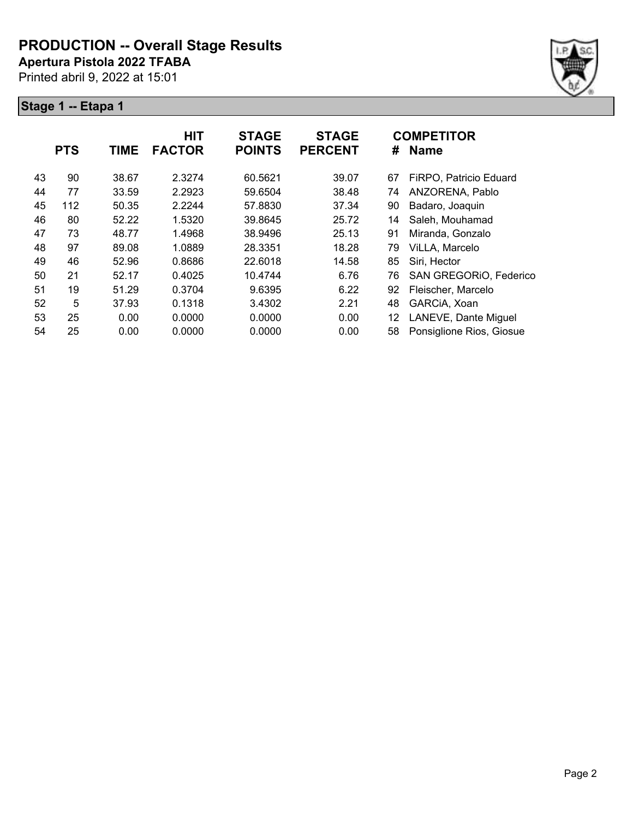**Apertura Pistola 2022 TFABA**

Printed abril 9, 2022 at 15:01



|    | <b>PTS</b> | <b>TIME</b> | <b>HIT</b><br><b>FACTOR</b> | <b>STAGE</b><br><b>POINTS</b> | <b>STAGE</b><br><b>PERCENT</b> | #  | <b>COMPETITOR</b><br><b>Name</b> |
|----|------------|-------------|-----------------------------|-------------------------------|--------------------------------|----|----------------------------------|
| 43 | 90         | 38.67       | 2.3274                      | 60.5621                       | 39.07                          | 67 | FiRPO, Patricio Eduard           |
| 44 | 77         | 33.59       | 2.2923                      | 59.6504                       | 38.48                          | 74 | ANZORENA, Pablo                  |
| 45 | 112        | 50.35       | 2.2244                      | 57.8830                       | 37.34                          | 90 | Badaro, Joaquin                  |
| 46 | 80         | 52.22       | 1.5320                      | 39.8645                       | 25.72                          | 14 | Saleh, Mouhamad                  |
| 47 | 73         | 48.77       | 1.4968                      | 38.9496                       | 25.13                          | 91 | Miranda, Gonzalo                 |
| 48 | 97         | 89.08       | 1.0889                      | 28.3351                       | 18.28                          | 79 | ViLLA, Marcelo                   |
| 49 | 46         | 52.96       | 0.8686                      | 22.6018                       | 14.58                          | 85 | Siri, Hector                     |
| 50 | 21         | 52.17       | 0.4025                      | 10.4744                       | 6.76                           | 76 | SAN GREGORIO, Federico           |
| 51 | 19         | 51.29       | 0.3704                      | 9.6395                        | 6.22                           | 92 | Fleischer, Marcelo               |
| 52 | 5          | 37.93       | 0.1318                      | 3.4302                        | 2.21                           | 48 | GARCIA, Xoan                     |
| 53 | 25         | 0.00        | 0.0000                      | 0.0000                        | 0.00                           | 12 | LANEVE, Dante Miguel             |
| 54 | 25         | 0.00        | 0.0000                      | 0.0000                        | 0.00                           | 58 | Ponsiglione Rios, Giosue         |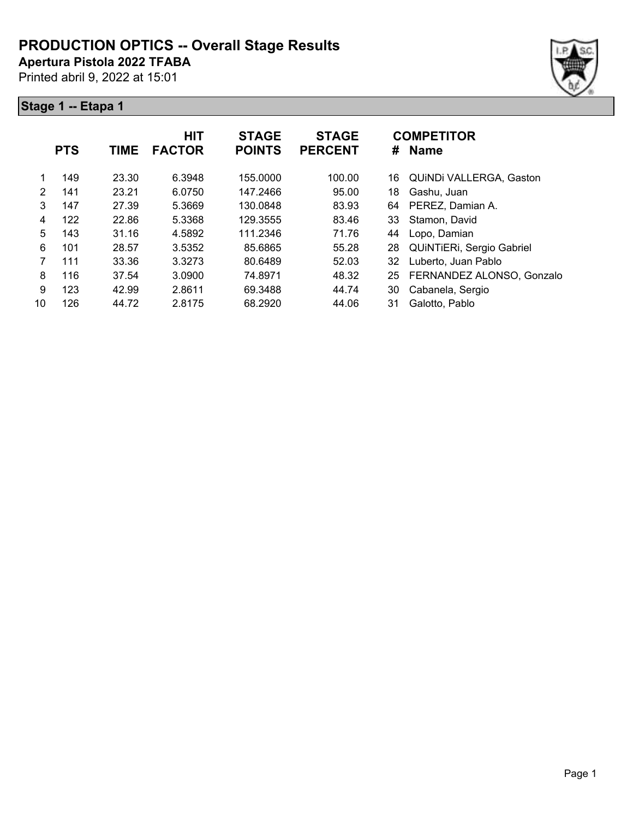**Apertura Pistola 2022 TFABA**

Printed abril 9, 2022 at 15:01

|    | <b>PTS</b> | <b>TIME</b> | <b>HIT</b><br><b>FACTOR</b> | <b>STAGE</b><br><b>POINTS</b> | <b>STAGE</b><br><b>PERCENT</b> | <b>COMPETITOR</b><br><b>Name</b><br># |                           |
|----|------------|-------------|-----------------------------|-------------------------------|--------------------------------|---------------------------------------|---------------------------|
|    | 149        | 23.30       | 6.3948                      | 155.0000                      | 100.00                         | 16                                    | QUINDI VALLERGA, Gaston   |
| 2  | 141        | 23.21       | 6.0750                      | 147.2466                      | 95.00                          | 18                                    | Gashu, Juan               |
| 3  | 147        | 27.39       | 5.3669                      | 130.0848                      | 83.93                          | 64                                    | PEREZ, Damian A.          |
| 4  | 122        | 22.86       | 5.3368                      | 129.3555                      | 83.46                          | 33                                    | Stamon, David             |
| 5  | 143        | 31.16       | 4.5892                      | 111.2346                      | 71.76                          | 44                                    | Lopo, Damian              |
| 6  | 101        | 28.57       | 3.5352                      | 85.6865                       | 55.28                          | 28                                    | QUINTIERI, Sergio Gabriel |
| 7  | 111        | 33.36       | 3.3273                      | 80.6489                       | 52.03                          | 32                                    | Luberto, Juan Pablo       |
| 8  | 116        | 37.54       | 3.0900                      | 74.8971                       | 48.32                          | 25                                    | FERNANDEZ ALONSO, Gonzalo |
| 9  | 123        | 42.99       | 2.8611                      | 69.3488                       | 44.74                          | 30                                    | Cabanela, Sergio          |
| 10 | 126        | 44.72       | 2.8175                      | 68.2920                       | 44.06                          | 31                                    | Galotto, Pablo            |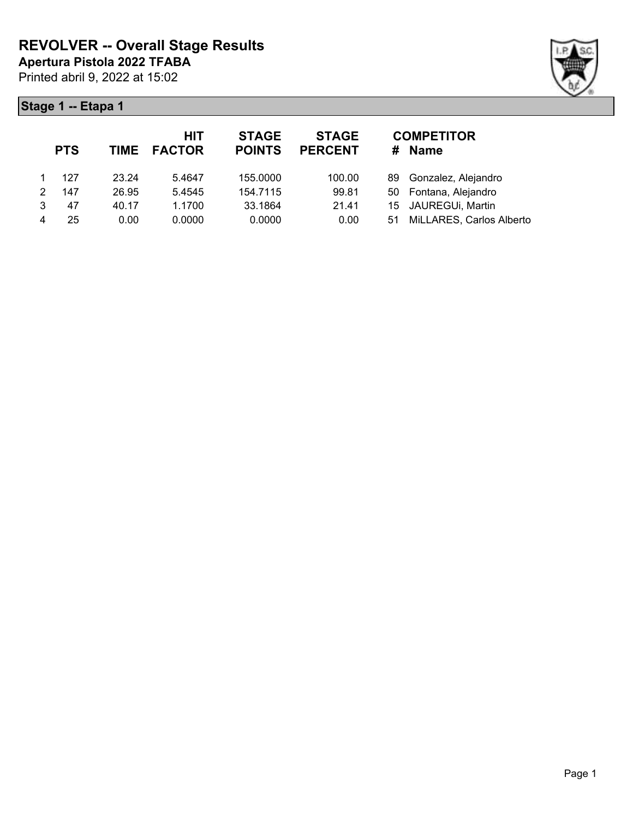

|   | <b>PTS</b> |       | <b>HIT</b><br>TIME FACTOR | <b>STAGE</b><br><b>POINTS</b> | <b>STAGE</b><br><b>PERCENT</b> | #  | <b>COMPETITOR</b><br><b>Name</b> |
|---|------------|-------|---------------------------|-------------------------------|--------------------------------|----|----------------------------------|
|   | 127        | 23.24 | 5.4647                    | 155.0000                      | 100.00                         |    | 89 Gonzalez, Alejandro           |
|   | 147        | 26.95 | 5.4545                    | 154.7115                      | 99.81                          |    | 50 Fontana, Alejandro            |
| 3 | 47         | 40.17 | 1.1700                    | 33.1864                       | 21.41                          |    | 15 JAUREGUi, Martin              |
| 4 | 25         | 0.00  | 0.0000                    | 0.0000                        | 0.00                           | 51 | MiLLARES, Carlos Alberto         |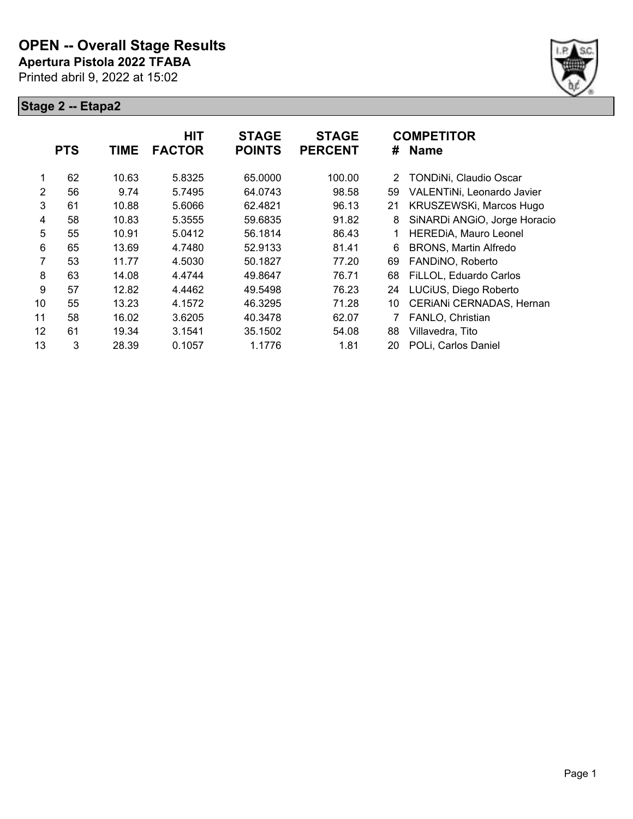

|    | <b>PTS</b> | <b>TIME</b> | <b>HIT</b><br><b>FACTOR</b> | <b>STAGE</b><br><b>POINTS</b> | <b>STAGE</b><br><b>PERCENT</b> | #  | <b>COMPETITOR</b><br><b>Name</b> |
|----|------------|-------------|-----------------------------|-------------------------------|--------------------------------|----|----------------------------------|
| 1  | 62         | 10.63       | 5.8325                      | 65.0000                       | 100.00                         | 2  | TONDINi, Claudio Oscar           |
| 2  | 56         | 9.74        | 5.7495                      | 64.0743                       | 98.58                          | 59 | VALENTINI, Leonardo Javier       |
| 3  | 61         | 10.88       | 5.6066                      | 62.4821                       | 96.13                          | 21 | KRUSZEWSKi, Marcos Hugo          |
| 4  | 58         | 10.83       | 5.3555                      | 59.6835                       | 91.82                          | 8  | SiNARDi ANGIO, Jorge Horacio     |
| 5  | 55         | 10.91       | 5.0412                      | 56.1814                       | 86.43                          |    | <b>HEREDIA, Mauro Leonel</b>     |
| 6  | 65         | 13.69       | 4.7480                      | 52.9133                       | 81.41                          | 6  | <b>BRONS, Martin Alfredo</b>     |
| 7  | 53         | 11.77       | 4.5030                      | 50.1827                       | 77.20                          | 69 | FANDINO, Roberto                 |
| 8  | 63         | 14.08       | 4.4744                      | 49.8647                       | 76.71                          | 68 | FiLLOL, Eduardo Carlos           |
| 9  | 57         | 12.82       | 4.4462                      | 49.5498                       | 76.23                          | 24 | LUCIUS, Diego Roberto            |
| 10 | 55         | 13.23       | 4.1572                      | 46.3295                       | 71.28                          | 10 | CERIANI CERNADAS, Hernan         |
| 11 | 58         | 16.02       | 3.6205                      | 40.3478                       | 62.07                          |    | FANLO, Christian                 |
| 12 | 61         | 19.34       | 3.1541                      | 35.1502                       | 54.08                          | 88 | Villavedra, Tito                 |
| 13 | 3          | 28.39       | 0.1057                      | 1.1776                        | 1.81                           | 20 | POLi, Carlos Daniel              |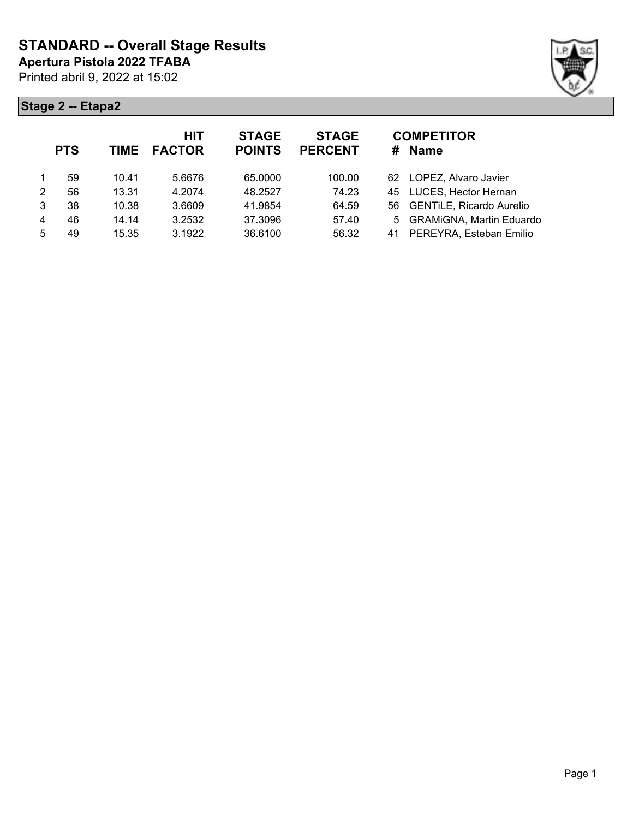

|   | <b>PTS</b> | <b>TIME</b> | <b>HIT</b><br><b>FACTOR</b> | <b>STAGE</b><br><b>POINTS</b> | <b>STAGE</b><br><b>PERCENT</b> | <b>COMPETITOR</b><br><b>Name</b><br># |
|---|------------|-------------|-----------------------------|-------------------------------|--------------------------------|---------------------------------------|
|   | 59         | 10.41       | 5.6676                      | 65.0000                       | 100.00                         | LOPEZ, Alvaro Javier<br>62.           |
| 2 | 56         | 13.31       | 4.2074                      | 48.2527                       | 74.23                          | 45 LUCES, Hector Hernan               |
| 3 | 38         | 10.38       | 3.6609                      | 41.9854                       | 64.59                          | 56 GENTILE, Ricardo Aurelio           |
| 4 | 46         | 14.14       | 3.2532                      | 37.3096                       | 57.40                          | 5 GRAMiGNA, Martin Eduardo            |
| 5 | 49         | 15.35       | 3.1922                      | 36.6100                       | 56.32                          | PEREYRA, Esteban Emilio<br>41         |
|   |            |             |                             |                               |                                |                                       |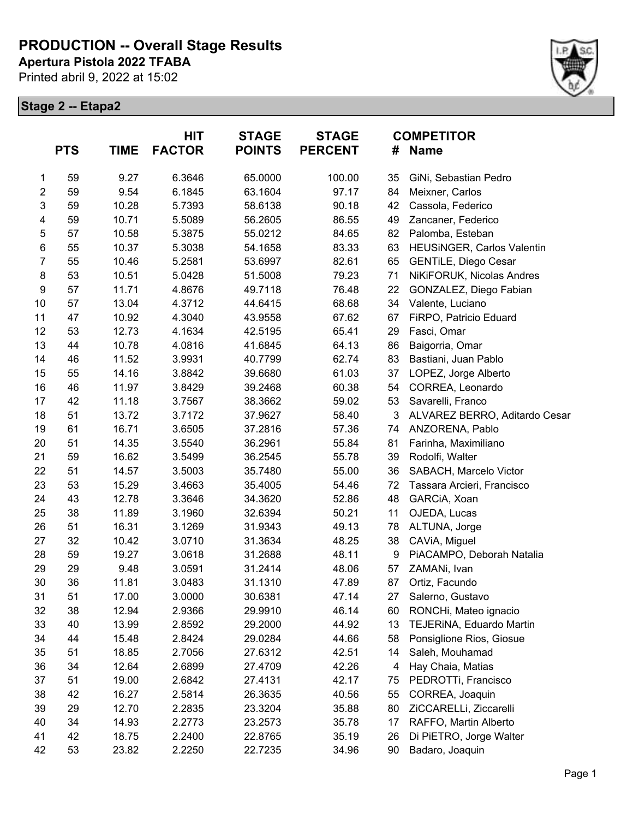**Apertura Pistola 2022 TFABA**

Printed abril 9, 2022 at 15:02



|                         | <b>PTS</b> | <b>TIME</b> | <b>HIT</b><br><b>FACTOR</b> | <b>STAGE</b><br><b>POINTS</b> | <b>STAGE</b><br><b>PERCENT</b> |    | <b>COMPETITOR</b><br># Name       |
|-------------------------|------------|-------------|-----------------------------|-------------------------------|--------------------------------|----|-----------------------------------|
| 1                       | 59         | 9.27        | 6.3646                      | 65.0000                       | 100.00                         | 35 | GiNi, Sebastian Pedro             |
| $\boldsymbol{2}$        | 59         | 9.54        | 6.1845                      | 63.1604                       | 97.17                          | 84 | Meixner, Carlos                   |
| 3                       | 59         | 10.28       | 5.7393                      | 58.6138                       | 90.18                          | 42 | Cassola, Federico                 |
| $\overline{\mathbf{4}}$ | 59         | 10.71       | 5.5089                      | 56.2605                       | 86.55                          | 49 | Zancaner, Federico                |
| 5                       | 57         | 10.58       | 5.3875                      | 55.0212                       | 84.65                          | 82 | Palomba, Esteban                  |
| $\,6$                   | 55         | 10.37       | 5.3038                      | 54.1658                       | 83.33                          | 63 | <b>HEUSINGER, Carlos Valentin</b> |
| $\overline{7}$          | 55         | 10.46       | 5.2581                      | 53.6997                       | 82.61                          | 65 | <b>GENTILE, Diego Cesar</b>       |
| $\bf 8$                 | 53         | 10.51       | 5.0428                      | 51.5008                       | 79.23                          | 71 | NiKiFORUK, Nicolas Andres         |
| 9                       | 57         | 11.71       | 4.8676                      | 49.7118                       | 76.48                          | 22 | GONZALEZ, Diego Fabian            |
| 10                      | 57         | 13.04       | 4.3712                      | 44.6415                       | 68.68                          | 34 | Valente, Luciano                  |
| 11                      | 47         | 10.92       | 4.3040                      | 43.9558                       | 67.62                          | 67 | FiRPO, Patricio Eduard            |
| 12                      | 53         | 12.73       | 4.1634                      | 42.5195                       | 65.41                          | 29 | Fasci, Omar                       |
| 13                      | 44         | 10.78       | 4.0816                      | 41.6845                       | 64.13                          | 86 | Baigorria, Omar                   |
| 14                      | 46         | 11.52       | 3.9931                      | 40.7799                       | 62.74                          | 83 | Bastiani, Juan Pablo              |
| 15                      | 55         | 14.16       | 3.8842                      | 39.6680                       | 61.03                          | 37 | LOPEZ, Jorge Alberto              |
| 16                      | 46         | 11.97       | 3.8429                      | 39.2468                       | 60.38                          | 54 | CORREA, Leonardo                  |
| 17                      | 42         | 11.18       | 3.7567                      | 38.3662                       | 59.02                          | 53 | Savarelli, Franco                 |
| 18                      | 51         | 13.72       | 3.7172                      | 37.9627                       | 58.40                          | 3  | ALVAREZ BERRO, Aditardo Cesar     |
| 19                      | 61         | 16.71       | 3.6505                      | 37.2816                       | 57.36                          | 74 | ANZORENA, Pablo                   |
| 20                      | 51         | 14.35       | 3.5540                      | 36.2961                       | 55.84                          | 81 | Farinha, Maximiliano              |
| 21                      | 59         | 16.62       | 3.5499                      | 36.2545                       | 55.78                          | 39 | Rodolfi, Walter                   |
| 22                      | 51         | 14.57       | 3.5003                      | 35.7480                       | 55.00                          | 36 | SABACH, Marcelo Victor            |
| 23                      | 53         | 15.29       | 3.4663                      | 35.4005                       | 54.46                          | 72 | Tassara Arcieri, Francisco        |
| 24                      | 43         | 12.78       | 3.3646                      | 34.3620                       | 52.86                          | 48 | GARCIA, Xoan                      |
| 25                      | 38         | 11.89       | 3.1960                      | 32.6394                       | 50.21                          | 11 | OJEDA, Lucas                      |
| 26                      | 51         | 16.31       | 3.1269                      | 31.9343                       | 49.13                          | 78 | ALTUNA, Jorge                     |
| 27                      | 32         | 10.42       | 3.0710                      | 31.3634                       | 48.25                          | 38 | CAVIA, Miguel                     |
| 28                      | 59         | 19.27       | 3.0618                      | 31.2688                       | 48.11                          | 9  | PiACAMPO, Deborah Natalia         |
| 29                      | 29         | 9.48        | 3.0591                      | 31.2414                       | 48.06                          | 57 | ZAMANi, Ivan                      |
| 30                      | 36         | 11.81       | 3.0483                      | 31.1310                       | 47.89                          | 87 | Ortiz, Facundo                    |
| 31                      | 51         | 17.00       | 3.0000                      | 30.6381                       | 47.14                          | 27 | Salerno, Gustavo                  |
| 32                      | 38         | 12.94       | 2.9366                      | 29.9910                       | 46.14                          | 60 | RONCHi, Mateo ignacio             |
| 33                      | 40         | 13.99       | 2.8592                      | 29.2000                       | 44.92                          | 13 | TEJERINA, Eduardo Martin          |
| 34                      | 44         | 15.48       | 2.8424                      | 29.0284                       | 44.66                          | 58 | Ponsiglione Rios, Giosue          |
| 35                      | 51         | 18.85       | 2.7056                      | 27.6312                       | 42.51                          | 14 | Saleh, Mouhamad                   |
| 36                      | 34         | 12.64       | 2.6899                      | 27.4709                       | 42.26                          | 4  | Hay Chaia, Matias                 |
| 37                      | 51         | 19.00       | 2.6842                      | 27.4131                       | 42.17                          | 75 | PEDROTTi, Francisco               |
| 38                      | 42         | 16.27       | 2.5814                      | 26.3635                       | 40.56                          | 55 | CORREA, Joaquin                   |
| 39                      | 29         | 12.70       | 2.2835                      | 23.3204                       | 35.88                          | 80 | ZiCCARELLi, Ziccarelli            |
| 40                      | 34         | 14.93       | 2.2773                      | 23.2573                       | 35.78                          | 17 | RAFFO, Martin Alberto             |
| 41                      | 42         | 18.75       | 2.2400                      | 22.8765                       | 35.19                          | 26 | Di PiETRO, Jorge Walter           |
| 42                      | 53         | 23.82       | 2.2250                      | 22.7235                       | 34.96                          | 90 | Badaro, Joaquin                   |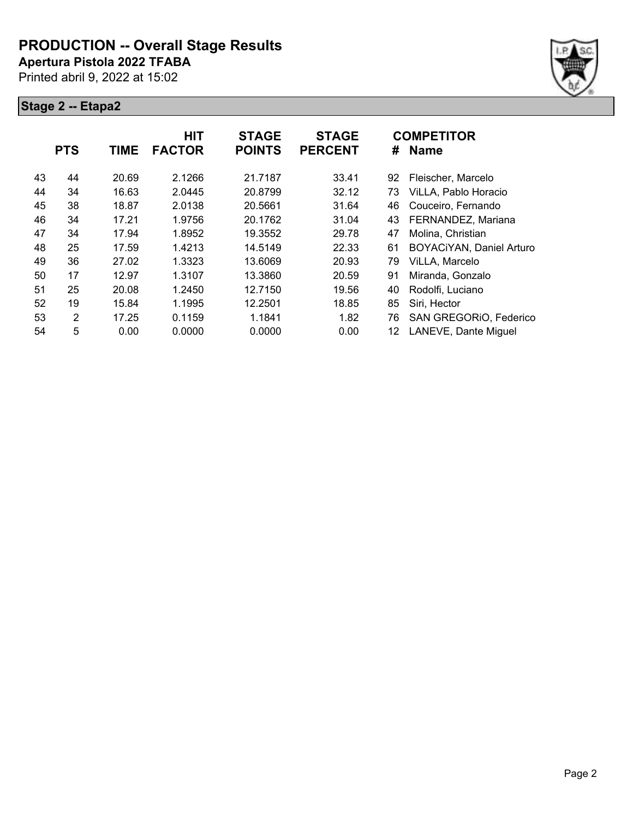**Apertura Pistola 2022 TFABA**

Printed abril 9, 2022 at 15:02



|    | <b>PTS</b> | <b>TIME</b> | <b>HIT</b><br><b>FACTOR</b> | <b>STAGE</b><br><b>POINTS</b> | <b>STAGE</b><br><b>PERCENT</b> | #  | <b>COMPETITOR</b><br><b>Name</b> |
|----|------------|-------------|-----------------------------|-------------------------------|--------------------------------|----|----------------------------------|
| 43 | 44         | 20.69       | 2.1266                      | 21.7187                       | 33.41                          | 92 | Fleischer, Marcelo               |
| 44 | 34         | 16.63       | 2.0445                      | 20.8799                       | 32.12                          | 73 | ViLLA, Pablo Horacio             |
| 45 | 38         | 18.87       | 2.0138                      | 20.5661                       | 31.64                          | 46 | Couceiro, Fernando               |
| 46 | 34         | 17.21       | 1.9756                      | 20.1762                       | 31.04                          | 43 | FERNANDEZ, Mariana               |
| 47 | 34         | 17.94       | 1.8952                      | 19.3552                       | 29.78                          | 47 | Molina, Christian                |
| 48 | 25         | 17.59       | 1.4213                      | 14.5149                       | 22.33                          | 61 | BOYACIYAN, Daniel Arturo         |
| 49 | 36         | 27.02       | 1.3323                      | 13.6069                       | 20.93                          | 79 | ViLLA, Marcelo                   |
| 50 | 17         | 12.97       | 1.3107                      | 13.3860                       | 20.59                          | 91 | Miranda, Gonzalo                 |
| 51 | 25         | 20.08       | 1.2450                      | 12.7150                       | 19.56                          | 40 | Rodolfi, Luciano                 |
| 52 | 19         | 15.84       | 1.1995                      | 12.2501                       | 18.85                          | 85 | Siri, Hector                     |
| 53 | 2          | 17.25       | 0.1159                      | 1.1841                        | 1.82                           | 76 | SAN GREGORIO, Federico           |
| 54 | 5          | 0.00        | 0.0000                      | 0.0000                        | 0.00                           | 12 | LANEVE, Dante Miguel             |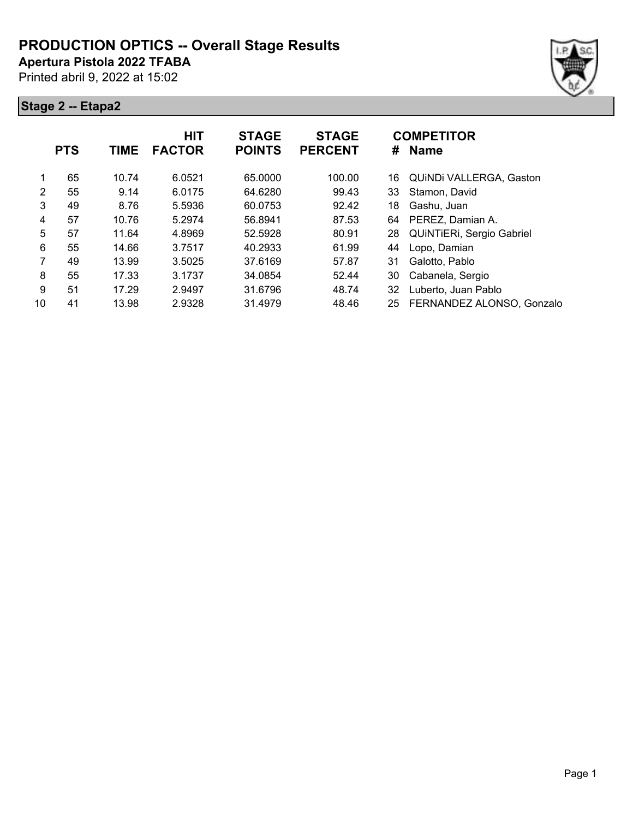**Apertura Pistola 2022 TFABA**

Printed abril 9, 2022 at 15:02





|                | <b>PTS</b> | <b>TIME</b> | <b>HIT</b><br><b>FACTOR</b> | <b>STAGE</b><br><b>POINTS</b> | <b>STAGE</b><br><b>PERCENT</b> | #  | <b>COMPETITOR</b><br><b>Name</b> |
|----------------|------------|-------------|-----------------------------|-------------------------------|--------------------------------|----|----------------------------------|
| 1              | 65         | 10.74       | 6.0521                      | 65.0000                       | 100.00                         | 16 | QUINDI VALLERGA, Gaston          |
| $\overline{2}$ | 55         | 9.14        | 6.0175                      | 64.6280                       | 99.43                          | 33 | Stamon, David                    |
| 3              | 49         | 8.76        | 5.5936                      | 60.0753                       | 92.42                          | 18 | Gashu, Juan                      |
| 4              | 57         | 10.76       | 5.2974                      | 56.8941                       | 87.53                          | 64 | PEREZ, Damian A.                 |
| 5              | 57         | 11.64       | 4.8969                      | 52.5928                       | 80.91                          | 28 | QUINTIERI, Sergio Gabriel        |
| 6              | 55         | 14.66       | 3.7517                      | 40.2933                       | 61.99                          | 44 | Lopo, Damian                     |
| 7              | 49         | 13.99       | 3.5025                      | 37.6169                       | 57.87                          | 31 | Galotto, Pablo                   |
| 8              | 55         | 17.33       | 3.1737                      | 34.0854                       | 52.44                          | 30 | Cabanela, Sergio                 |
| 9              | 51         | 17.29       | 2.9497                      | 31.6796                       | 48.74                          | 32 | Luberto, Juan Pablo              |
| 10             | 41         | 13.98       | 2.9328                      | 31.4979                       | 48.46                          | 25 | FERNANDEZ ALONSO, Gonzalo        |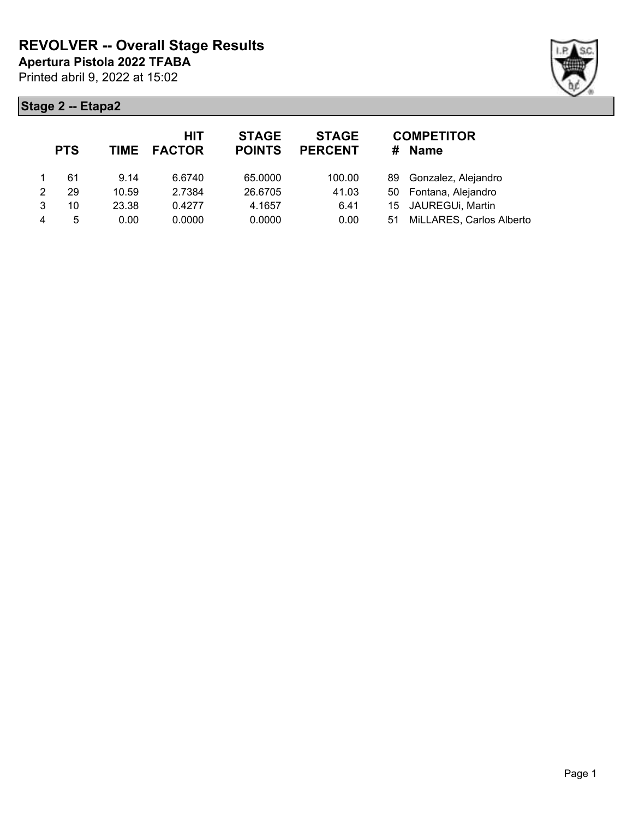

| <b>PTS</b> |       | <b>HIT</b> | <b>STAGE</b><br><b>POINTS</b> | <b>STAGE</b><br><b>PERCENT</b> | #  | <b>COMPETITOR</b><br>Name |
|------------|-------|------------|-------------------------------|--------------------------------|----|---------------------------|
| 61         | 9.14  | 6.6740     | 65.0000                       | 100.00                         |    | 89 Gonzalez, Alejandro    |
| 29         | 10.59 | 2.7384     | 26.6705                       | 41.03                          |    | 50 Fontana, Alejandro     |
| 10         | 23.38 | 0.4277     | 4.1657                        | 6.41                           |    | 15 JAUREGUi, Martin       |
| 5          | 0.00  | 0.0000     | 0.0000                        | 0.00                           | 51 | MiLLARES, Carlos Alberto  |
|            |       |            | TIME FACTOR                   |                                |    |                           |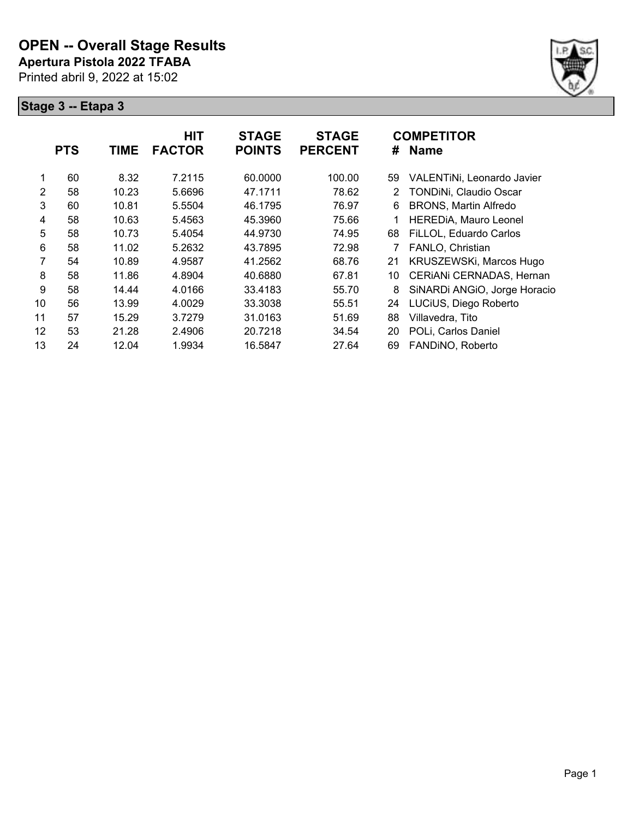

|                | <b>PTS</b> | <b>TIME</b> | <b>HIT</b><br><b>FACTOR</b> | <b>STAGE</b><br><b>POINTS</b> | <b>STAGE</b><br><b>PERCENT</b> | #  | <b>COMPETITOR</b><br><b>Name</b> |
|----------------|------------|-------------|-----------------------------|-------------------------------|--------------------------------|----|----------------------------------|
|                | 60         | 8.32        | 7.2115                      | 60.0000                       | 100.00                         | 59 | VALENTINI, Leonardo Javier       |
| $\overline{2}$ | 58         | 10.23       | 5.6696                      | 47.1711                       | 78.62                          | 2  | TONDINi, Claudio Oscar           |
| 3              | 60         | 10.81       | 5.5504                      | 46.1795                       | 76.97                          | 6  | <b>BRONS, Martin Alfredo</b>     |
| 4              | 58         | 10.63       | 5.4563                      | 45.3960                       | 75.66                          |    | <b>HEREDIA, Mauro Leonel</b>     |
| 5              | 58         | 10.73       | 5.4054                      | 44.9730                       | 74.95                          | 68 | FiLLOL, Eduardo Carlos           |
| 6              | 58         | 11.02       | 5.2632                      | 43.7895                       | 72.98                          |    | FANLO, Christian                 |
| 7              | 54         | 10.89       | 4.9587                      | 41.2562                       | 68.76                          | 21 | KRUSZEWSKi, Marcos Hugo          |
| 8              | 58         | 11.86       | 4.8904                      | 40.6880                       | 67.81                          | 10 | CERIANI CERNADAS, Hernan         |
| 9              | 58         | 14.44       | 4.0166                      | 33.4183                       | 55.70                          | 8  | SiNARDi ANGIO, Jorge Horacio     |
| 10             | 56         | 13.99       | 4.0029                      | 33.3038                       | 55.51                          | 24 | LUCiUS, Diego Roberto            |
| 11             | 57         | 15.29       | 3.7279                      | 31.0163                       | 51.69                          | 88 | Villavedra, Tito                 |
| 12             | 53         | 21.28       | 2.4906                      | 20.7218                       | 34.54                          | 20 | POLi, Carlos Daniel              |
| 13             | 24         | 12.04       | 1.9934                      | 16.5847                       | 27.64                          | 69 | FANDINO, Roberto                 |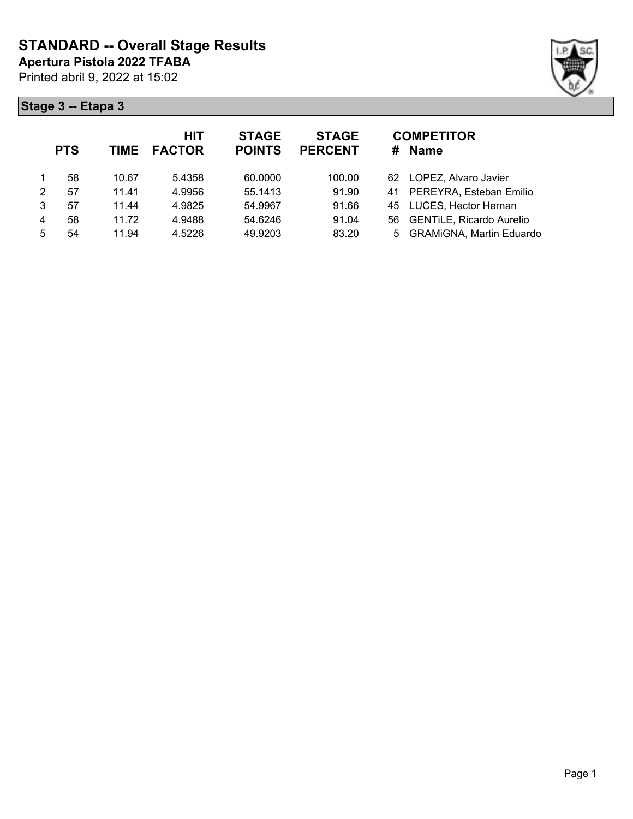

|   | <b>PTS</b> | <b>TIME</b> | <b>HIT</b><br><b>FACTOR</b> | <b>STAGE</b><br><b>POINTS</b> | <b>STAGE</b><br><b>PERCENT</b> | <b>COMPETITOR</b><br><b>Name</b><br>#  |  |
|---|------------|-------------|-----------------------------|-------------------------------|--------------------------------|----------------------------------------|--|
|   | 58         | 10.67       | 5.4358                      | 60.0000                       | 100.00                         | 62 LOPEZ, Alvaro Javier                |  |
| 2 | 57         | 11.41       | 4.9956                      | 55.1413                       | 91.90                          | PEREYRA, Esteban Emilio<br>41          |  |
| 3 | 57         | 11.44       | 4.9825                      | 54.9967                       | 91.66                          | 45 LUCES, Hector Hernan                |  |
| 4 | 58         | 11.72       | 4.9488                      | 54.6246                       | 91.04                          | <b>GENTILE, Ricardo Aurelio</b><br>56. |  |
| 5 | 54         | 11.94       | 4.5226                      | 49.9203                       | 83.20                          | 5 GRAMiGNA, Martin Eduardo             |  |
|   |            |             |                             |                               |                                |                                        |  |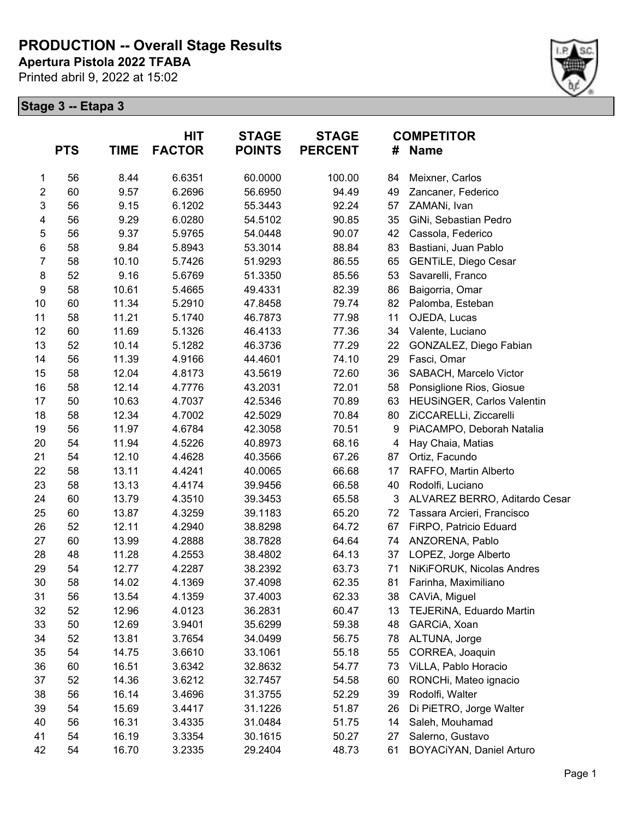**Apertura Pistola 2022 TFABA**

Printed abril 9, 2022 at 15:02



|                         | <b>PTS</b> | <b>TIME</b> | HIT<br><b>FACTOR</b> | <b>STAGE</b><br><b>POINTS</b> | <b>STAGE</b><br><b>PERCENT</b> | #  | <b>COMPETITOR</b><br><b>Name</b> |
|-------------------------|------------|-------------|----------------------|-------------------------------|--------------------------------|----|----------------------------------|
| 1                       | 56         | 8.44        | 6.6351               | 60.0000                       | 100.00                         | 84 | Meixner, Carlos                  |
| $\overline{c}$          | 60         | 9.57        | 6.2696               | 56.6950                       | 94.49                          | 49 | Zancaner, Federico               |
| 3                       | 56         | 9.15        | 6.1202               | 55.3443                       | 92.24                          | 57 | ZAMANi, Ivan                     |
| $\overline{\mathbf{4}}$ | 56         | 9.29        | 6.0280               | 54.5102                       | 90.85                          | 35 | GiNi, Sebastian Pedro            |
| 5                       | 56         | 9.37        | 5.9765               | 54.0448                       | 90.07                          | 42 | Cassola, Federico                |
| $\,6$                   | 58         | 9.84        | 5.8943               | 53.3014                       | 88.84                          | 83 | Bastiani, Juan Pablo             |
| $\overline{7}$          | 58         | 10.10       | 5.7426               | 51.9293                       | 86.55                          | 65 | <b>GENTILE, Diego Cesar</b>      |
| $\bf 8$                 | 52         | 9.16        | 5.6769               | 51.3350                       | 85.56                          | 53 | Savarelli, Franco                |
| $\boldsymbol{9}$        | 58         | 10.61       | 5.4665               | 49.4331                       | 82.39                          | 86 | Baigorria, Omar                  |
| 10                      | 60         | 11.34       | 5.2910               | 47.8458                       | 79.74                          | 82 | Palomba, Esteban                 |
| 11                      | 58         | 11.21       | 5.1740               | 46.7873                       | 77.98                          | 11 | OJEDA, Lucas                     |
| 12                      | 60         | 11.69       | 5.1326               | 46.4133                       | 77.36                          | 34 | Valente, Luciano                 |
| 13                      | 52         | 10.14       | 5.1282               | 46.3736                       | 77.29                          | 22 | GONZALEZ, Diego Fabian           |
| 14                      | 56         | 11.39       | 4.9166               | 44.4601                       | 74.10                          | 29 | Fasci, Omar                      |
| 15                      | 58         | 12.04       | 4.8173               | 43.5619                       | 72.60                          | 36 | SABACH, Marcelo Victor           |
| 16                      | 58         | 12.14       | 4.7776               | 43.2031                       | 72.01                          | 58 | Ponsiglione Rios, Giosue         |
| 17                      | 50         | 10.63       | 4.7037               | 42.5346                       | 70.89                          | 63 | HEUSINGER, Carlos Valentin       |
| 18                      | 58         | 12.34       | 4.7002               | 42.5029                       | 70.84                          | 80 | ZiCCARELLi, Ziccarelli           |
| 19                      | 56         | 11.97       | 4.6784               | 42.3058                       | 70.51                          | 9  | PiACAMPO, Deborah Natalia        |
| 20                      | 54         | 11.94       | 4.5226               | 40.8973                       | 68.16                          | 4  | Hay Chaia, Matias                |
| 21                      | 54         | 12.10       | 4.4628               | 40.3566                       | 67.26                          | 87 | Ortiz, Facundo                   |
| 22                      | 58         | 13.11       | 4.4241               | 40.0065                       | 66.68                          | 17 | RAFFO, Martin Alberto            |
| 23                      | 58         | 13.13       | 4.4174               | 39.9456                       | 66.58                          | 40 | Rodolfi, Luciano                 |
| 24                      | 60         | 13.79       | 4.3510               | 39.3453                       | 65.58                          | 3  | ALVAREZ BERRO, Aditardo Cesar    |
| 25                      | 60         | 13.87       | 4.3259               | 39.1183                       | 65.20                          | 72 | Tassara Arcieri, Francisco       |
| 26                      | 52         | 12.11       | 4.2940               | 38.8298                       | 64.72                          | 67 | FiRPO, Patricio Eduard           |
| 27                      | 60         | 13.99       | 4.2888               | 38.7828                       | 64.64                          | 74 | ANZORENA, Pablo                  |
| 28                      | 48         | 11.28       | 4.2553               | 38.4802                       | 64.13                          | 37 | LOPEZ, Jorge Alberto             |
| 29                      | 54         | 12.77       | 4.2287               | 38.2392                       | 63.73                          | 71 | NiKiFORUK, Nicolas Andres        |
| 30                      | 58         | 14.02       | 4.1369               | 37.4098                       | 62.35                          | 81 | Farinha, Maximiliano             |
| 31                      | 56         | 13.54       | 4.1359               | 37.4003                       | 62.33                          | 38 | CAViA, Miguel                    |
| 32                      | 52         | 12.96       | 4.0123               | 36.2831                       | 60.47                          | 13 | TEJERINA, Eduardo Martin         |
| 33                      | 50         | 12.69       | 3.9401               | 35.6299                       | 59.38                          | 48 | GARCIA, Xoan                     |
| 34                      | 52         | 13.81       | 3.7654               | 34.0499                       | 56.75                          | 78 | ALTUNA, Jorge                    |
| 35                      | 54         | 14.75       | 3.6610               | 33.1061                       | 55.18                          | 55 | CORREA, Joaquin                  |
| 36                      | 60         | 16.51       | 3.6342               | 32.8632                       | 54.77                          | 73 | ViLLA, Pablo Horacio             |
| 37                      | 52         | 14.36       | 3.6212               | 32.7457                       | 54.58                          | 60 | RONCHi, Mateo ignacio            |
| 38                      | 56         | 16.14       | 3.4696               | 31.3755                       | 52.29                          | 39 | Rodolfi, Walter                  |
| 39                      | 54         | 15.69       | 3.4417               | 31.1226                       | 51.87                          | 26 | Di PiETRO, Jorge Walter          |
| 40                      | 56         | 16.31       | 3.4335               | 31.0484                       | 51.75                          | 14 | Saleh, Mouhamad                  |
| 41                      | 54         | 16.19       | 3.3354               | 30.1615                       | 50.27                          | 27 | Salerno, Gustavo                 |
| 42                      | 54         | 16.70       | 3.2335               | 29.2404                       | 48.73                          | 61 | BOYACiYAN, Daniel Arturo         |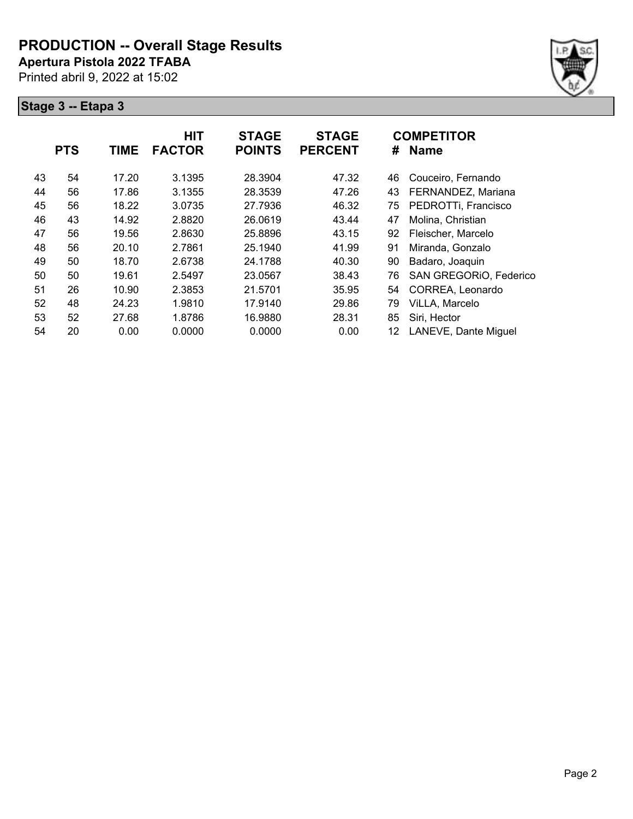**Apertura Pistola 2022 TFABA**

Printed abril 9, 2022 at 15:02



|    | <b>PTS</b> | <b>TIME</b> | <b>HIT</b><br><b>FACTOR</b> | <b>STAGE</b><br><b>POINTS</b> | <b>STAGE</b><br><b>PERCENT</b> | #  | <b>COMPETITOR</b><br><b>Name</b> |
|----|------------|-------------|-----------------------------|-------------------------------|--------------------------------|----|----------------------------------|
| 43 | 54         | 17.20       | 3.1395                      | 28.3904                       | 47.32                          | 46 | Couceiro, Fernando               |
| 44 | 56         | 17.86       | 3.1355                      | 28.3539                       | 47.26                          | 43 | FERNANDEZ, Mariana               |
| 45 | 56         | 18.22       | 3.0735                      | 27.7936                       | 46.32                          | 75 | PEDROTTi, Francisco              |
| 46 | 43         | 14.92       | 2.8820                      | 26.0619                       | 43.44                          | 47 | Molina, Christian                |
| 47 | 56         | 19.56       | 2.8630                      | 25.8896                       | 43.15                          | 92 | Fleischer, Marcelo               |
| 48 | 56         | 20.10       | 2.7861                      | 25.1940                       | 41.99                          | 91 | Miranda, Gonzalo                 |
| 49 | 50         | 18.70       | 2.6738                      | 24.1788                       | 40.30                          | 90 | Badaro, Joaquin                  |
| 50 | 50         | 19.61       | 2.5497                      | 23.0567                       | 38.43                          | 76 | SAN GREGORIO, Federico           |
| 51 | 26         | 10.90       | 2.3853                      | 21.5701                       | 35.95                          | 54 | CORREA, Leonardo                 |
| 52 | 48         | 24.23       | 1.9810                      | 17.9140                       | 29.86                          | 79 | ViLLA, Marcelo                   |
| 53 | 52         | 27.68       | 1.8786                      | 16.9880                       | 28.31                          | 85 | Siri, Hector                     |
| 54 | 20         | 0.00        | 0.0000                      | 0.0000                        | 0.00                           | 12 | LANEVE, Dante Miguel             |
|    |            |             |                             |                               |                                |    |                                  |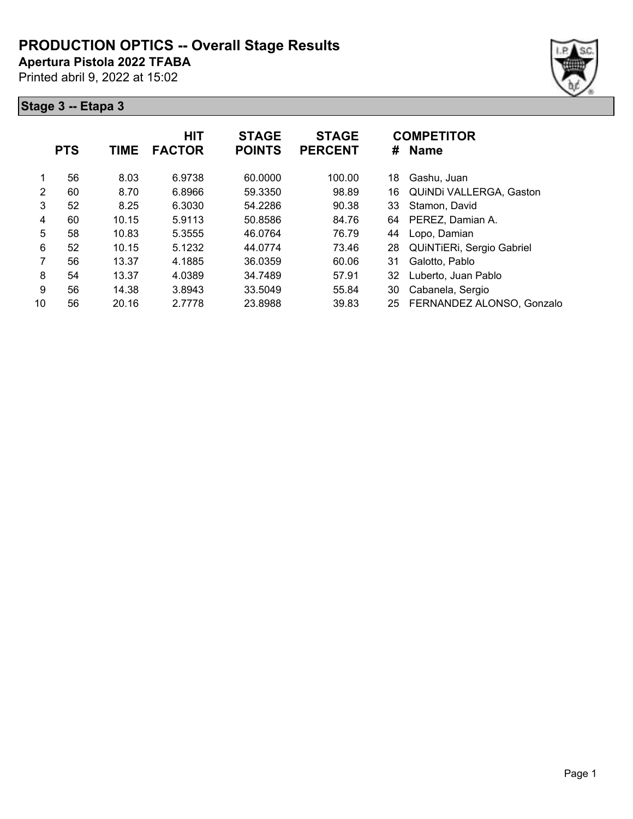**Apertura Pistola 2022 TFABA**

Printed abril 9, 2022 at 15:02

|    | <b>PTS</b> | <b>TIME</b> | <b>HIT</b><br><b>FACTOR</b> | <b>STAGE</b><br><b>POINTS</b> | <b>STAGE</b><br><b>PERCENT</b> | #  | <b>COMPETITOR</b><br><b>Name</b> |
|----|------------|-------------|-----------------------------|-------------------------------|--------------------------------|----|----------------------------------|
| 1  | 56         | 8.03        | 6.9738                      | 60.0000                       | 100.00                         | 18 | Gashu, Juan                      |
| 2  | 60         | 8.70        | 6.8966                      | 59.3350                       | 98.89                          | 16 | QUINDI VALLERGA, Gaston          |
| 3  | 52         | 8.25        | 6.3030                      | 54.2286                       | 90.38                          | 33 | Stamon, David                    |
| 4  | 60         | 10.15       | 5.9113                      | 50.8586                       | 84.76                          | 64 | PEREZ, Damian A.                 |
| 5  | 58         | 10.83       | 5.3555                      | 46.0764                       | 76.79                          | 44 | Lopo, Damian                     |
| 6  | 52         | 10.15       | 5.1232                      | 44.0774                       | 73.46                          | 28 | QUINTIERI, Sergio Gabriel        |
| 7  | 56         | 13.37       | 4.1885                      | 36.0359                       | 60.06                          | 31 | Galotto, Pablo                   |
| 8  | 54         | 13.37       | 4.0389                      | 34.7489                       | 57.91                          | 32 | Luberto, Juan Pablo              |
| 9  | 56         | 14.38       | 3.8943                      | 33.5049                       | 55.84                          | 30 | Cabanela, Sergio                 |
| 10 | 56         | 20.16       | 2.7778                      | 23.8988                       | 39.83                          | 25 | FERNANDEZ ALONSO, Gonzalo        |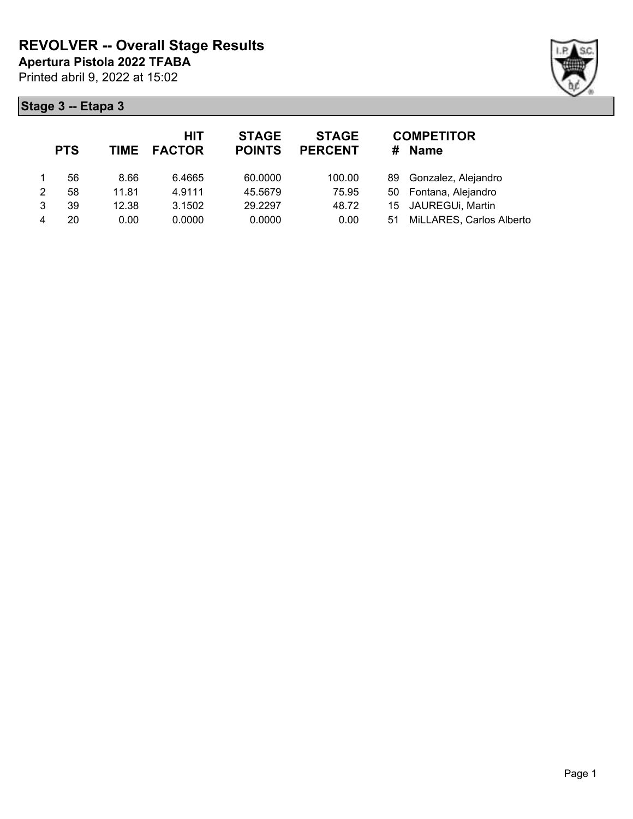

|   | <b>PTS</b> |       | HIT<br>TIME FACTOR | <b>STAGE</b><br><b>POINTS</b> | <b>STAGE</b><br><b>PERCENT</b> | #   | <b>COMPETITOR</b><br><b>Name</b> |
|---|------------|-------|--------------------|-------------------------------|--------------------------------|-----|----------------------------------|
|   | 56         | 8.66  | 6.4665             | 60.0000                       | 100.00                         | 89. | Gonzalez, Alejandro              |
| 2 | 58         | 11.81 | 4.9111             | 45.5679                       | 75.95                          |     | 50 Fontana, Alejandro            |
| 3 | 39         | 12.38 | 3.1502             | 29.2297                       | 48.72                          |     | 15 JAUREGUi, Martin              |
|   | 20         | 0.00  | 0.0000             | 0.0000                        | 0.00                           | 51  | MiLLARES, Carlos Alberto         |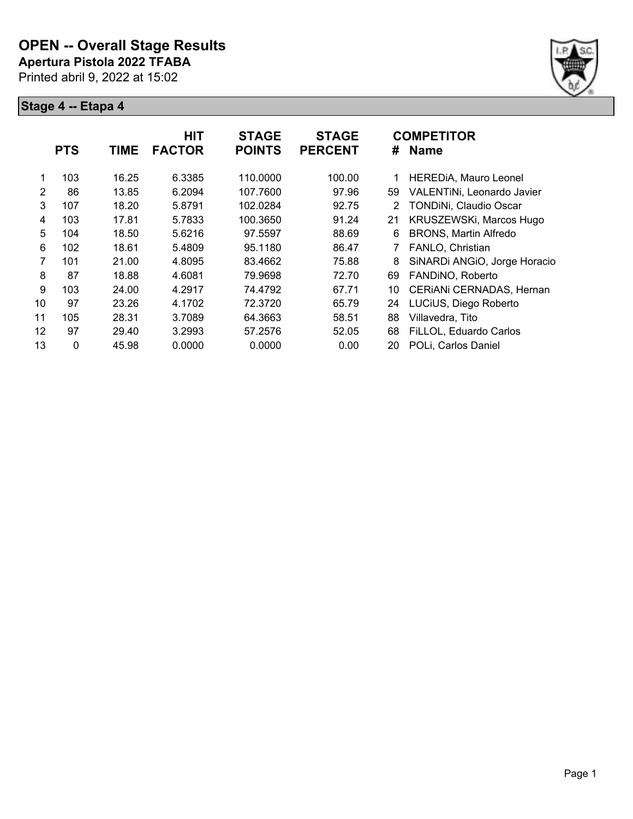

|    | <b>PTS</b>   | <b>TIME</b> | <b>HIT</b><br><b>FACTOR</b> | <b>STAGE</b><br><b>POINTS</b> | <b>STAGE</b><br><b>PERCENT</b> | #  | <b>COMPETITOR</b><br><b>Name</b> |
|----|--------------|-------------|-----------------------------|-------------------------------|--------------------------------|----|----------------------------------|
|    | 103          | 16.25       | 6.3385                      | 110.0000                      | 100.00                         |    | HEREDIA, Mauro Leonel            |
| 2  | 86           | 13.85       | 6.2094                      | 107.7600                      | 97.96                          | 59 | VALENTINI, Leonardo Javier       |
| 3  | 107          | 18.20       | 5.8791                      | 102.0284                      | 92.75                          | 2  | TONDINi, Claudio Oscar           |
| 4  | 103          | 17.81       | 5.7833                      | 100.3650                      | 91.24                          | 21 | KRUSZEWSKi, Marcos Hugo          |
| 5  | 104          | 18.50       | 5.6216                      | 97.5597                       | 88.69                          | 6  | <b>BRONS, Martin Alfredo</b>     |
| 6  | 102          | 18.61       | 5.4809                      | 95.1180                       | 86.47                          |    | FANLO, Christian                 |
| 7  | 101          | 21.00       | 4.8095                      | 83.4662                       | 75.88                          | 8  | SiNARDi ANGIO, Jorge Horacio     |
| 8  | 87           | 18.88       | 4.6081                      | 79.9698                       | 72.70                          | 69 | FANDINO, Roberto                 |
| 9  | 103          | 24.00       | 4.2917                      | 74.4792                       | 67.71                          | 10 | CERIANI CERNADAS, Hernan         |
| 10 | 97           | 23.26       | 4.1702                      | 72.3720                       | 65.79                          | 24 | LUCiUS, Diego Roberto            |
| 11 | 105          | 28.31       | 3.7089                      | 64.3663                       | 58.51                          | 88 | Villavedra, Tito                 |
| 12 | 97           | 29.40       | 3.2993                      | 57.2576                       | 52.05                          | 68 | FiLLOL, Eduardo Carlos           |
| 13 | $\mathbf{0}$ | 45.98       | 0.0000                      | 0.0000                        | 0.00                           | 20 | POLi, Carlos Daniel              |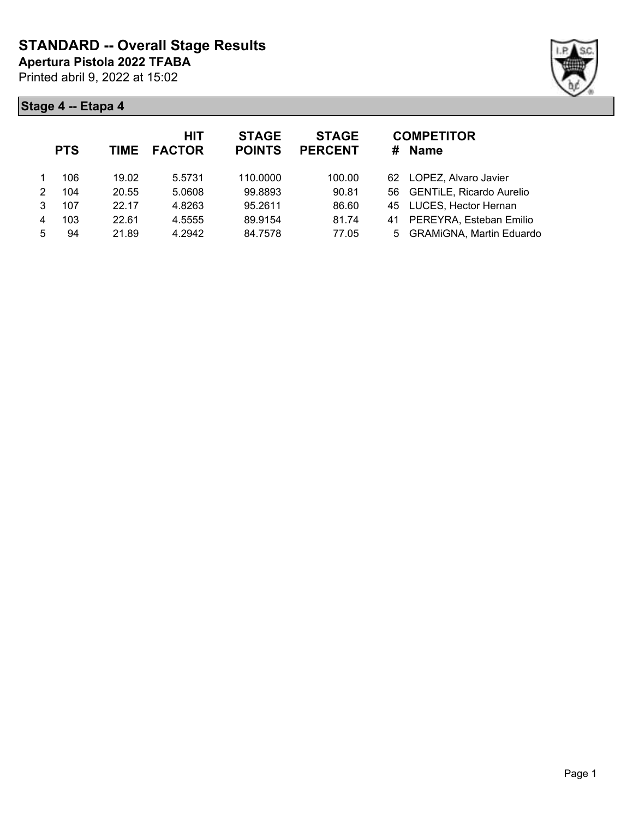

|   | <b>PTS</b> | <b>TIME</b> | <b>HIT</b><br><b>FACTOR</b> | <b>STAGE</b><br><b>POINTS</b> | <b>STAGE</b><br><b>PERCENT</b> | <b>COMPETITOR</b><br><b>Name</b><br># |  |
|---|------------|-------------|-----------------------------|-------------------------------|--------------------------------|---------------------------------------|--|
|   | 106        | 19.02       | 5.5731                      | 110,0000                      | 100.00                         | 62 LOPEZ, Alvaro Javier               |  |
| 2 | 104        | 20.55       | 5.0608                      | 99.8893                       | 90.81                          | 56 GENTILE, Ricardo Aurelio           |  |
| 3 | 107        | 22.17       | 4.8263                      | 95.2611                       | 86.60                          | 45 LUCES, Hector Hernan               |  |
| 4 | 103        | 22.61       | 4.5555                      | 89.9154                       | 81.74                          | PEREYRA, Esteban Emilio<br>41         |  |
| 5 | 94         | 21.89       | 4.2942                      | 84.7578                       | 77.05                          | 5 GRAMiGNA, Martin Eduardo            |  |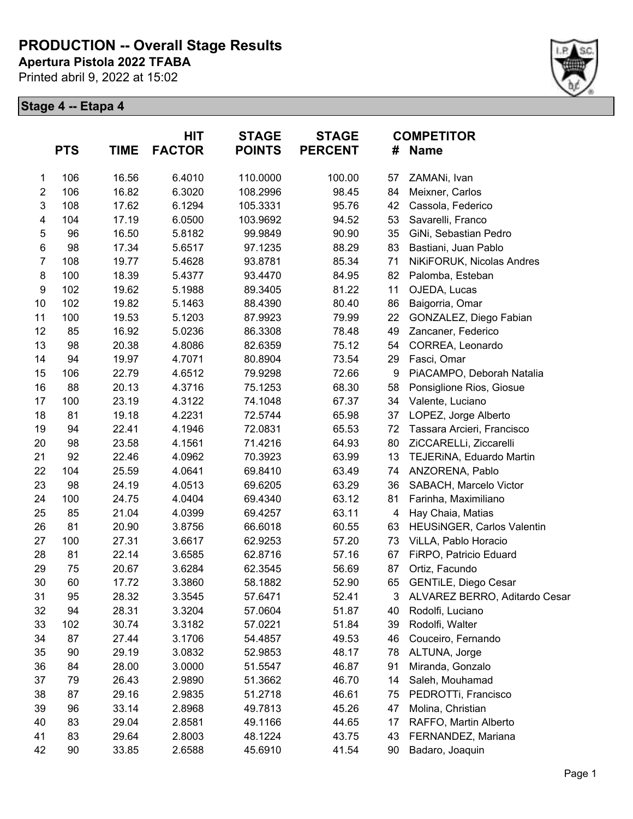**Apertura Pistola 2022 TFABA**

Printed abril 9, 2022 at 15:02



|                  | <b>PTS</b> | <b>TIME</b> | <b>HIT</b><br><b>FACTOR</b> | <b>STAGE</b><br><b>POINTS</b> | <b>STAGE</b><br><b>PERCENT</b> | #                       | <b>COMPETITOR</b><br><b>Name</b> |
|------------------|------------|-------------|-----------------------------|-------------------------------|--------------------------------|-------------------------|----------------------------------|
| 1                | 106        | 16.56       | 6.4010                      | 110.0000                      | 100.00                         | 57                      | ZAMANi, Ivan                     |
| $\boldsymbol{2}$ | 106        | 16.82       | 6.3020                      | 108.2996                      | 98.45                          | 84                      | Meixner, Carlos                  |
| 3                | 108        | 17.62       | 6.1294                      | 105.3331                      | 95.76                          | 42                      | Cassola, Federico                |
| 4                | 104        | 17.19       | 6.0500                      | 103.9692                      | 94.52                          | 53                      | Savarelli, Franco                |
| $\mathbf 5$      | 96         | 16.50       | 5.8182                      | 99.9849                       | 90.90                          | 35                      | GiNi, Sebastian Pedro            |
| $\,6$            | 98         | 17.34       | 5.6517                      | 97.1235                       | 88.29                          | 83                      | Bastiani, Juan Pablo             |
| $\overline{7}$   | 108        | 19.77       | 5.4628                      | 93.8781                       | 85.34                          | 71                      | NiKiFORUK, Nicolas Andres        |
| 8                | 100        | 18.39       | 5.4377                      | 93.4470                       | 84.95                          | 82                      | Palomba, Esteban                 |
| 9                | 102        | 19.62       | 5.1988                      | 89.3405                       | 81.22                          | 11                      | OJEDA, Lucas                     |
| 10               | 102        | 19.82       | 5.1463                      | 88.4390                       | 80.40                          | 86                      | Baigorria, Omar                  |
| 11               | 100        | 19.53       | 5.1203                      | 87.9923                       | 79.99                          | 22                      | GONZALEZ, Diego Fabian           |
| 12               | 85         | 16.92       | 5.0236                      | 86.3308                       | 78.48                          | 49                      | Zancaner, Federico               |
| 13               | 98         | 20.38       | 4.8086                      | 82.6359                       | 75.12                          | 54                      | CORREA, Leonardo                 |
| 14               | 94         | 19.97       | 4.7071                      | 80.8904                       | 73.54                          | 29                      | Fasci, Omar                      |
| 15               | 106        | 22.79       | 4.6512                      | 79.9298                       | 72.66                          | 9                       | PiACAMPO, Deborah Natalia        |
| 16               | 88         | 20.13       | 4.3716                      | 75.1253                       | 68.30                          | 58                      | Ponsiglione Rios, Giosue         |
| 17               | 100        | 23.19       | 4.3122                      | 74.1048                       | 67.37                          | 34                      | Valente, Luciano                 |
| 18               | 81         | 19.18       | 4.2231                      | 72.5744                       | 65.98                          | 37                      | LOPEZ, Jorge Alberto             |
| 19               | 94         | 22.41       | 4.1946                      | 72.0831                       | 65.53                          | 72                      | Tassara Arcieri, Francisco       |
| 20               | 98         | 23.58       | 4.1561                      | 71.4216                       | 64.93                          | 80                      | ZiCCARELLi, Ziccarelli           |
| 21               | 92         | 22.46       | 4.0962                      | 70.3923                       | 63.99                          | 13                      | TEJERINA, Eduardo Martin         |
| 22               | 104        | 25.59       | 4.0641                      | 69.8410                       | 63.49                          | 74                      | ANZORENA, Pablo                  |
| 23               | 98         | 24.19       | 4.0513                      | 69.6205                       | 63.29                          | 36                      | SABACH, Marcelo Victor           |
| 24               | 100        | 24.75       | 4.0404                      | 69.4340                       | 63.12                          | 81                      | Farinha, Maximiliano             |
| 25               | 85         | 21.04       | 4.0399                      | 69.4257                       | 63.11                          | $\overline{\mathbf{4}}$ | Hay Chaia, Matias                |
| 26               | 81         | 20.90       | 3.8756                      | 66.6018                       | 60.55                          | 63                      | HEUSINGER, Carlos Valentin       |
| 27               | 100        | 27.31       | 3.6617                      | 62.9253                       | 57.20                          | 73                      | ViLLA, Pablo Horacio             |
| 28               | 81         | 22.14       | 3.6585                      | 62.8716                       | 57.16                          | 67                      | FiRPO, Patricio Eduard           |
| 29               | 75         | 20.67       | 3.6284                      | 62.3545                       | 56.69                          | 87                      | Ortiz, Facundo                   |
| 30               | 60         | 17.72       | 3.3860                      | 58.1882                       | 52.90                          | 65                      | <b>GENTILE, Diego Cesar</b>      |
| 31               | 95         | 28.32       | 3.3545                      | 57.6471                       | 52.41                          | 3                       | ALVAREZ BERRO, Aditardo Cesar    |
| 32               | 94         | 28.31       | 3.3204                      | 57.0604                       | 51.87                          | 40                      | Rodolfi, Luciano                 |
| 33               | 102        | 30.74       | 3.3182                      | 57.0221                       | 51.84                          | 39                      | Rodolfi, Walter                  |
| 34               | 87         | 27.44       | 3.1706                      | 54.4857                       | 49.53                          | 46                      | Couceiro, Fernando               |
| 35               | 90         | 29.19       | 3.0832                      | 52.9853                       | 48.17                          | 78                      | ALTUNA, Jorge                    |
| 36               | 84         | 28.00       | 3.0000                      | 51.5547                       | 46.87                          | 91                      | Miranda, Gonzalo                 |
| 37               | 79         | 26.43       | 2.9890                      | 51.3662                       | 46.70                          | 14                      | Saleh, Mouhamad                  |
| 38               | 87         | 29.16       | 2.9835                      | 51.2718                       | 46.61                          | 75                      | PEDROTTi, Francisco              |
| 39               | 96         | 33.14       | 2.8968                      | 49.7813                       | 45.26                          | 47                      | Molina, Christian                |
| 40               | 83         | 29.04       | 2.8581                      | 49.1166                       | 44.65                          | 17                      | RAFFO, Martin Alberto            |
| 41               | 83         | 29.64       | 2.8003                      | 48.1224                       | 43.75                          | 43                      | FERNANDEZ, Mariana               |
| 42               | 90         | 33.85       | 2.6588                      | 45.6910                       | 41.54                          | 90                      | Badaro, Joaquin                  |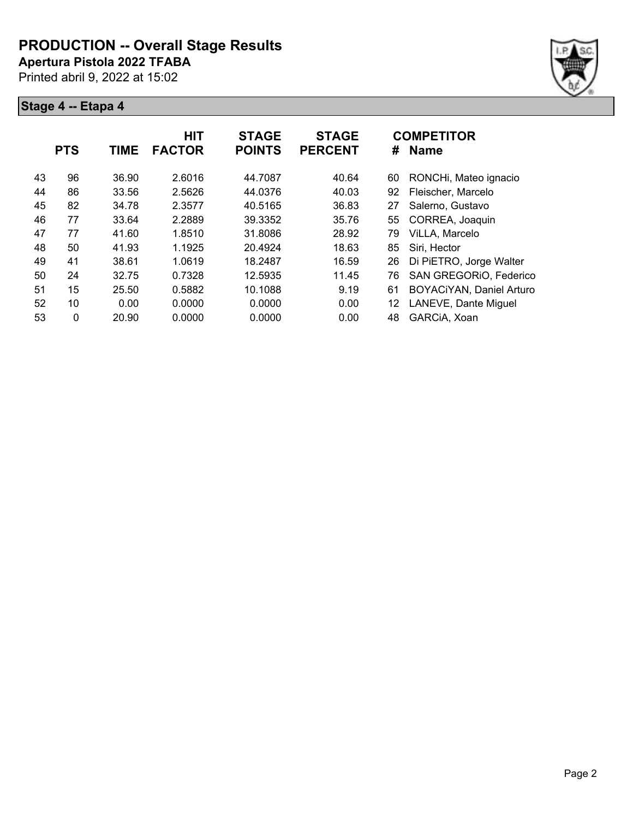**Apertura Pistola 2022 TFABA**

Printed abril 9, 2022 at 15:02



|    | <b>PTS</b> | <b>TIME</b> | <b>HIT</b><br><b>FACTOR</b> | <b>STAGE</b><br><b>POINTS</b> | <b>STAGE</b><br><b>PERCENT</b> | #  | <b>COMPETITOR</b><br><b>Name</b> |
|----|------------|-------------|-----------------------------|-------------------------------|--------------------------------|----|----------------------------------|
| 43 | 96         | 36.90       | 2.6016                      | 44.7087                       | 40.64                          | 60 | RONCHi, Mateo ignacio            |
| 44 | 86         | 33.56       | 2.5626                      | 44.0376                       | 40.03                          | 92 | Fleischer, Marcelo               |
| 45 | 82         | 34.78       | 2.3577                      | 40.5165                       | 36.83                          | 27 | Salerno, Gustavo                 |
| 46 | 77         | 33.64       | 2.2889                      | 39.3352                       | 35.76                          | 55 | CORREA, Joaquin                  |
| 47 | 77         | 41.60       | 1.8510                      | 31.8086                       | 28.92                          | 79 | ViLLA, Marcelo                   |
| 48 | 50         | 41.93       | 1.1925                      | 20.4924                       | 18.63                          | 85 | Siri, Hector                     |
| 49 | 41         | 38.61       | 1.0619                      | 18.2487                       | 16.59                          | 26 | Di PiETRO, Jorge Walter          |
| 50 | 24         | 32.75       | 0.7328                      | 12.5935                       | 11.45                          | 76 | SAN GREGORIO, Federico           |
| 51 | 15         | 25.50       | 0.5882                      | 10.1088                       | 9.19                           | 61 | <b>BOYACiYAN, Daniel Arturo</b>  |
| 52 | 10         | 0.00        | 0.0000                      | 0.0000                        | 0.00                           | 12 | LANEVE, Dante Miguel             |
| 53 | 0          | 20.90       | 0.0000                      | 0.0000                        | 0.00                           | 48 | GARCIA, Xoan                     |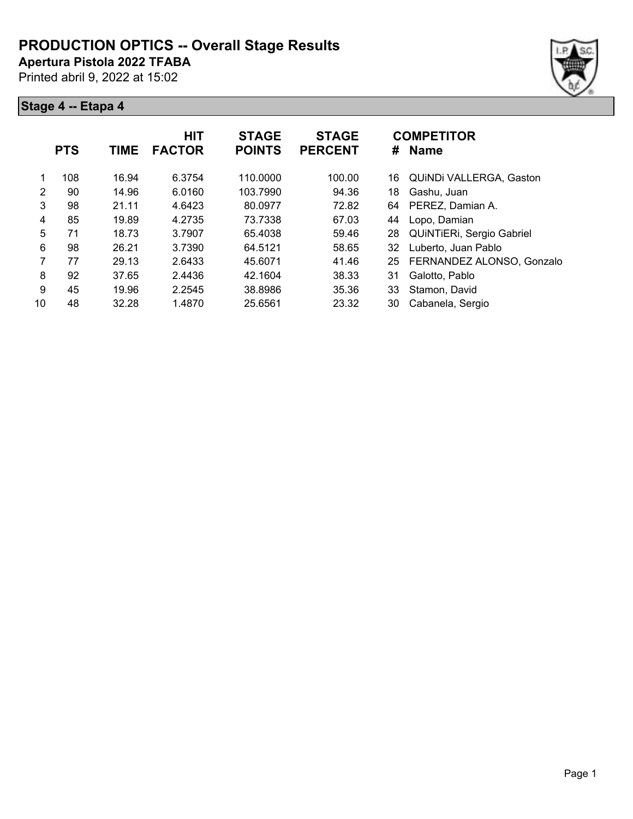**Apertura Pistola 2022 TFABA**

Printed abril 9, 2022 at 15:02





|    | <b>PTS</b> | <b>TIME</b> | <b>HIT</b><br><b>FACTOR</b> | <b>STAGE</b><br><b>POINTS</b> | <b>STAGE</b><br><b>PERCENT</b> | #  | <b>COMPETITOR</b><br><b>Name</b> |
|----|------------|-------------|-----------------------------|-------------------------------|--------------------------------|----|----------------------------------|
|    | 108        | 16.94       | 6.3754                      | 110.0000                      | 100.00                         | 16 | QUINDI VALLERGA, Gaston          |
| 2  | 90         | 14.96       | 6.0160                      | 103.7990                      | 94.36                          | 18 | Gashu, Juan                      |
| 3  | 98         | 21.11       | 4.6423                      | 80.0977                       | 72.82                          | 64 | PEREZ, Damian A.                 |
| 4  | 85         | 19.89       | 4.2735                      | 73.7338                       | 67.03                          | 44 | Lopo, Damian                     |
| 5  | 71         | 18.73       | 3.7907                      | 65.4038                       | 59.46                          | 28 | QUINTIERI, Sergio Gabriel        |
| 6  | 98         | 26.21       | 3.7390                      | 64.5121                       | 58.65                          | 32 | Luberto, Juan Pablo              |
| 7  | 77         | 29.13       | 2.6433                      | 45.6071                       | 41.46                          | 25 | FERNANDEZ ALONSO, Gonzalo        |
| 8  | 92         | 37.65       | 2.4436                      | 42.1604                       | 38.33                          | 31 | Galotto, Pablo                   |
| 9  | 45         | 19.96       | 2.2545                      | 38.8986                       | 35.36                          | 33 | Stamon, David                    |
| 10 | 48         | 32.28       | 1.4870                      | 25.6561                       | 23.32                          | 30 | Cabanela, Sergio                 |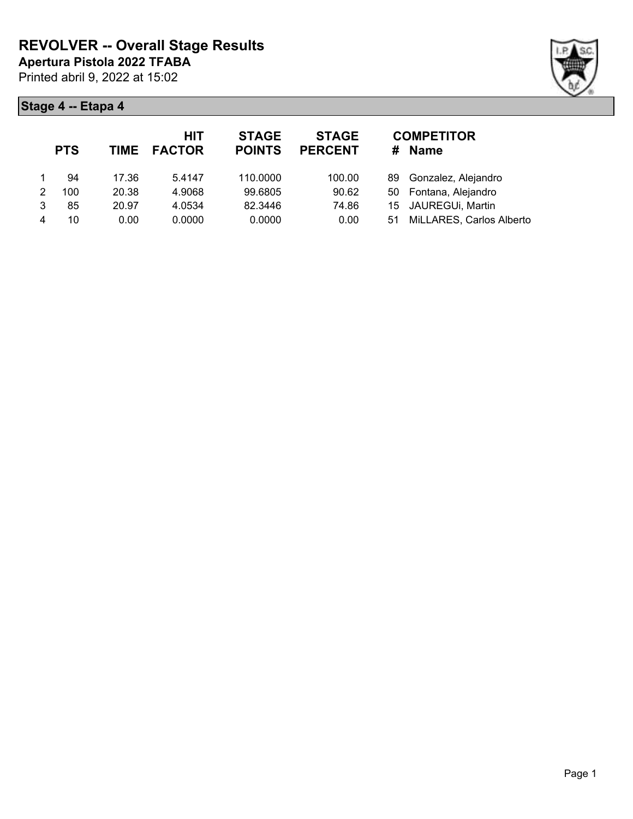

|   | <b>PTS</b> | TIME  | <b>HIT</b><br><b>FACTOR</b> | <b>STAGE</b><br><b>POINTS</b> | <b>STAGE</b><br><b>PERCENT</b> | #   | <b>COMPETITOR</b><br><b>Name</b> |
|---|------------|-------|-----------------------------|-------------------------------|--------------------------------|-----|----------------------------------|
|   | 94         | 17.36 | 5.4147                      | 110.0000                      | 100.00                         | 89. | Gonzalez, Alejandro              |
| 2 | 100        | 20.38 | 4.9068                      | 99.6805                       | 90.62                          |     | 50 Fontana, Alejandro            |
| 3 | 85         | 20.97 | 4.0534                      | 82.3446                       | 74.86                          |     | 15 JAUREGUi, Martin              |
|   | 10         | 0.00  | 0.0000                      | 0.0000                        | 0.00                           | 51. | MiLLARES, Carlos Alberto         |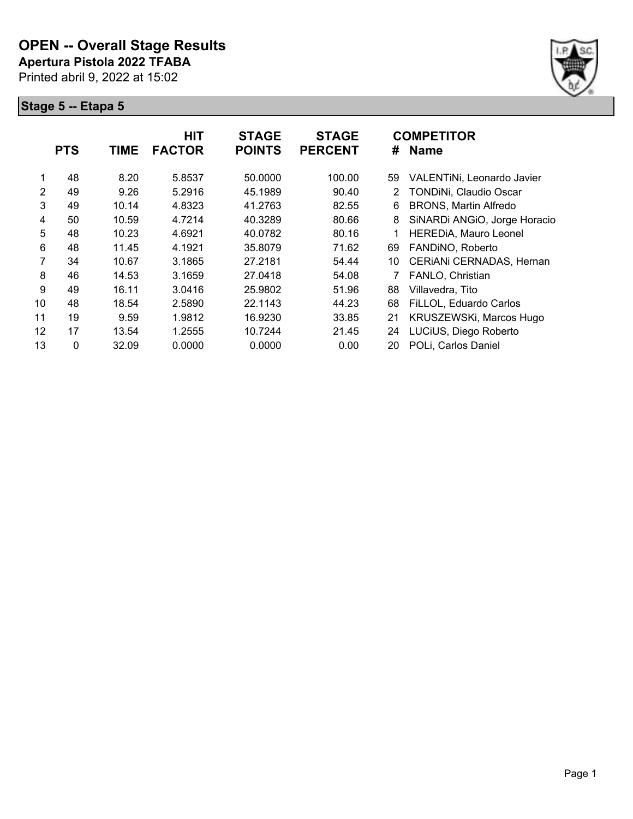

|                | <b>PTS</b> | <b>TIME</b> | <b>HIT</b><br><b>FACTOR</b> | <b>STAGE</b><br><b>POINTS</b> | <b>STAGE</b><br><b>PERCENT</b> | #  | <b>COMPETITOR</b><br><b>Name</b> |
|----------------|------------|-------------|-----------------------------|-------------------------------|--------------------------------|----|----------------------------------|
| 1              | 48         | 8.20        | 5.8537                      | 50.0000                       | 100.00                         | 59 | VALENTINI, Leonardo Javier       |
| 2              | 49         | 9.26        | 5.2916                      | 45.1989                       | 90.40                          | 2  | TONDINi, Claudio Oscar           |
| 3              | 49         | 10.14       | 4.8323                      | 41.2763                       | 82.55                          | 6  | <b>BRONS, Martin Alfredo</b>     |
| 4              | 50         | 10.59       | 4.7214                      | 40.3289                       | 80.66                          | 8  | SiNARDi ANGIO, Jorge Horacio     |
| 5              | 48         | 10.23       | 4.6921                      | 40.0782                       | 80.16                          |    | <b>HEREDIA, Mauro Leonel</b>     |
| 6              | 48         | 11.45       | 4.1921                      | 35.8079                       | 71.62                          | 69 | FANDINO, Roberto                 |
| $\overline{7}$ | 34         | 10.67       | 3.1865                      | 27.2181                       | 54.44                          | 10 | CERIANI CERNADAS, Hernan         |
| 8              | 46         | 14.53       | 3.1659                      | 27.0418                       | 54.08                          |    | FANLO, Christian                 |
| 9              | 49         | 16.11       | 3.0416                      | 25.9802                       | 51.96                          | 88 | Villavedra, Tito                 |
| 10             | 48         | 18.54       | 2.5890                      | 22.1143                       | 44.23                          | 68 | FiLLOL, Eduardo Carlos           |
| 11             | 19         | 9.59        | 1.9812                      | 16.9230                       | 33.85                          | 21 | KRUSZEWSKi, Marcos Hugo          |
| 12             | 17         | 13.54       | 1.2555                      | 10.7244                       | 21.45                          | 24 | LUCiUS, Diego Roberto            |
| 13             | 0          | 32.09       | 0.0000                      | 0.0000                        | 0.00                           | 20 | POLi, Carlos Daniel              |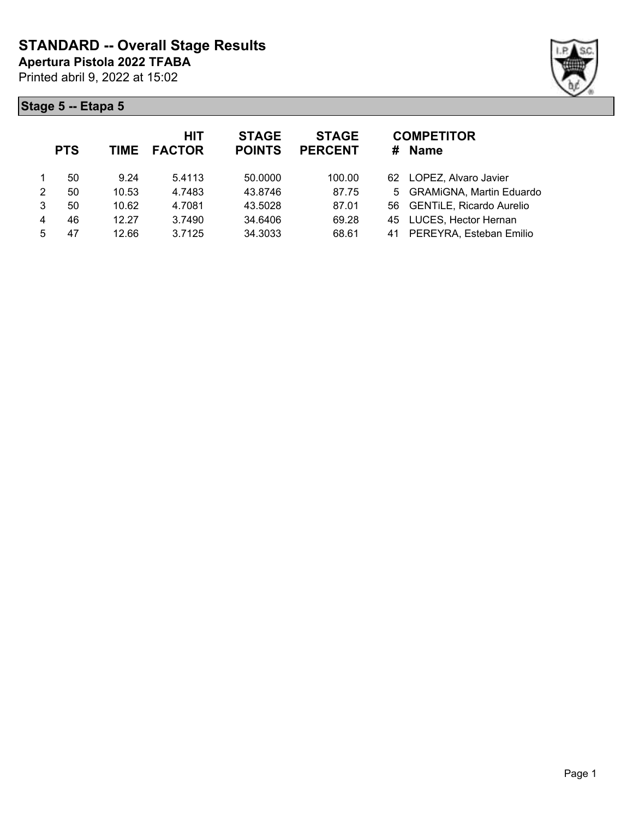

| <b>PTS</b> | <b>TIME</b> | <b>HIT</b><br><b>FACTOR</b> | <b>STAGE</b><br><b>POINTS</b> | <b>STAGE</b><br><b>PERCENT</b> | <b>COMPETITOR</b><br>Name<br># |
|------------|-------------|-----------------------------|-------------------------------|--------------------------------|--------------------------------|
| 50         | 9.24        | 5.4113                      | 50.0000                       | 100.00                         | LOPEZ, Alvaro Javier<br>62.    |
| 50         | 10.53       | 4.7483                      | 43.8746                       | 87.75                          | 5 GRAMiGNA, Martin Eduardo     |
| 50         | 10.62       | 4.7081                      | 43.5028                       | 87.01                          | 56 GENTILE, Ricardo Aurelio    |
| 46         | 12.27       | 3.7490                      | 34.6406                       | 69.28                          | 45 LUCES, Hector Hernan        |
| 47         | 12.66       | 3.7125                      | 34.3033                       | 68.61                          | PEREYRA, Esteban Emilio<br>41  |
|            |             |                             |                               |                                |                                |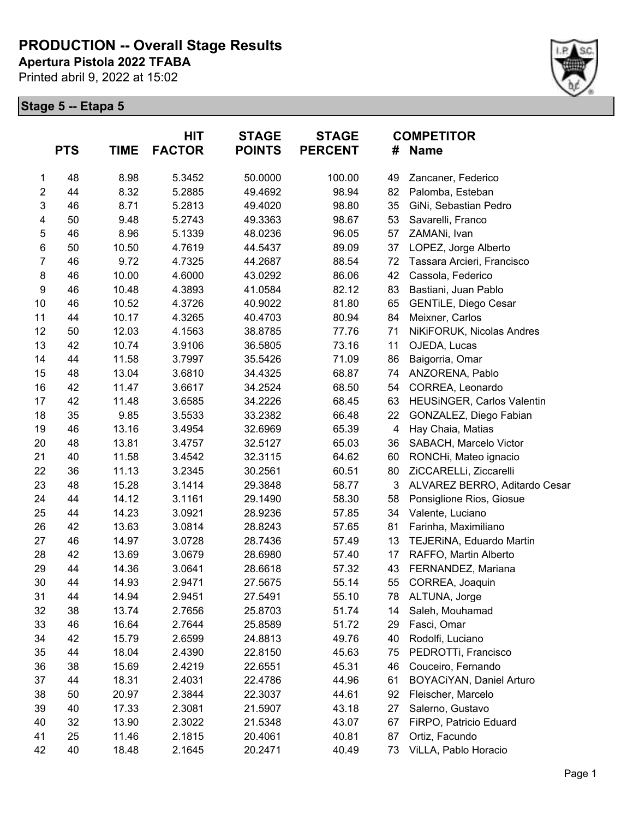**Apertura Pistola 2022 TFABA**

Printed abril 9, 2022 at 15:02



|                  | <b>PTS</b> | <b>TIME</b> | HIT<br><b>FACTOR</b> | <b>STAGE</b><br><b>POINTS</b> | <b>STAGE</b><br><b>PERCENT</b> |                         | <b>COMPETITOR</b><br># Name       |
|------------------|------------|-------------|----------------------|-------------------------------|--------------------------------|-------------------------|-----------------------------------|
| 1                | 48         | 8.98        | 5.3452               | 50.0000                       | 100.00                         | 49                      | Zancaner, Federico                |
| $\overline{c}$   | 44         | 8.32        | 5.2885               | 49.4692                       | 98.94                          | 82                      | Palomba, Esteban                  |
| 3                | 46         | 8.71        | 5.2813               | 49.4020                       | 98.80                          | 35                      | GiNi, Sebastian Pedro             |
| 4                | 50         | 9.48        | 5.2743               | 49.3363                       | 98.67                          | 53                      | Savarelli, Franco                 |
| 5                | 46         | 8.96        | 5.1339               | 48.0236                       | 96.05                          | 57                      | ZAMANi, Ivan                      |
| $\,6$            | 50         | 10.50       | 4.7619               | 44.5437                       | 89.09                          | 37                      | LOPEZ, Jorge Alberto              |
| $\overline{7}$   | 46         | 9.72        | 4.7325               | 44.2687                       | 88.54                          | 72                      | Tassara Arcieri, Francisco        |
| $\bf 8$          | 46         | 10.00       | 4.6000               | 43.0292                       | 86.06                          | 42                      | Cassola, Federico                 |
| $\boldsymbol{9}$ | 46         | 10.48       | 4.3893               | 41.0584                       | 82.12                          | 83                      | Bastiani, Juan Pablo              |
| 10               | 46         | 10.52       | 4.3726               | 40.9022                       | 81.80                          | 65                      | <b>GENTILE, Diego Cesar</b>       |
| 11               | 44         | 10.17       | 4.3265               | 40.4703                       | 80.94                          | 84                      | Meixner, Carlos                   |
| 12               | 50         | 12.03       | 4.1563               | 38.8785                       | 77.76                          | 71                      | NiKiFORUK, Nicolas Andres         |
| 13               | 42         | 10.74       | 3.9106               | 36.5805                       | 73.16                          | 11                      | OJEDA, Lucas                      |
| 14               | 44         | 11.58       | 3.7997               | 35.5426                       | 71.09                          | 86                      | Baigorria, Omar                   |
| 15               | 48         | 13.04       | 3.6810               | 34.4325                       | 68.87                          | 74                      | ANZORENA, Pablo                   |
| 16               | 42         | 11.47       | 3.6617               | 34.2524                       | 68.50                          | 54                      | CORREA, Leonardo                  |
| 17               | 42         | 11.48       | 3.6585               | 34.2226                       | 68.45                          | 63                      | <b>HEUSINGER, Carlos Valentin</b> |
| 18               | 35         | 9.85        | 3.5533               | 33.2382                       | 66.48                          | 22                      | GONZALEZ, Diego Fabian            |
| 19               | 46         | 13.16       | 3.4954               | 32.6969                       | 65.39                          | $\overline{\mathbf{4}}$ | Hay Chaia, Matias                 |
| 20               | 48         | 13.81       | 3.4757               | 32.5127                       | 65.03                          | 36                      | SABACH, Marcelo Victor            |
| 21               | 40         | 11.58       | 3.4542               | 32.3115                       | 64.62                          | 60                      | RONCHi, Mateo ignacio             |
| 22               | 36         | 11.13       | 3.2345               | 30.2561                       | 60.51                          | 80                      | ZiCCARELLi, Ziccarelli            |
| 23               | 48         | 15.28       | 3.1414               | 29.3848                       | 58.77                          | $\mathbf{3}$            | ALVAREZ BERRO, Aditardo Cesar     |
| 24               | 44         | 14.12       | 3.1161               | 29.1490                       | 58.30                          | 58                      | Ponsiglione Rios, Giosue          |
| 25               | 44         | 14.23       | 3.0921               | 28.9236                       | 57.85                          | 34                      | Valente, Luciano                  |
| 26               | 42         | 13.63       | 3.0814               | 28.8243                       | 57.65                          | 81                      | Farinha, Maximiliano              |
| 27               | 46         | 14.97       | 3.0728               | 28.7436                       | 57.49                          | 13                      | TEJERINA, Eduardo Martin          |
| 28               | 42         | 13.69       | 3.0679               | 28.6980                       | 57.40                          | 17                      | RAFFO, Martin Alberto             |
| 29               | 44         | 14.36       | 3.0641               | 28.6618                       | 57.32                          | 43                      | FERNANDEZ, Mariana                |
| 30               | 44         | 14.93       | 2.9471               | 27.5675                       | 55.14                          | 55                      | CORREA, Joaquin                   |
| 31               | 44         | 14.94       | 2.9451               | 27.5491                       | 55.10                          | 78                      | ALTUNA, Jorge                     |
| 32               | 38         | 13.74       | 2.7656               | 25.8703                       | 51.74                          | 14                      | Saleh, Mouhamad                   |
| 33               | 46         | 16.64       | 2.7644               | 25.8589                       | 51.72                          | 29                      | Fasci, Omar                       |
| 34               | 42         | 15.79       | 2.6599               | 24.8813                       | 49.76                          | 40                      | Rodolfi, Luciano                  |
| 35               | 44         | 18.04       | 2.4390               | 22.8150                       | 45.63                          | 75                      | PEDROTTi, Francisco               |
| 36               | 38         | 15.69       | 2.4219               | 22.6551                       | 45.31                          | 46                      | Couceiro, Fernando                |
| 37               | 44         | 18.31       | 2.4031               | 22.4786                       | 44.96                          | 61                      | BOYACiYAN, Daniel Arturo          |
| 38               | 50         | 20.97       | 2.3844               | 22.3037                       | 44.61                          | 92                      | Fleischer, Marcelo                |
| 39               | 40         | 17.33       | 2.3081               | 21.5907                       | 43.18                          | 27                      | Salerno, Gustavo                  |
| 40               | 32         | 13.90       | 2.3022               | 21.5348                       | 43.07                          | 67                      | FiRPO, Patricio Eduard            |
| 41               | 25         | 11.46       | 2.1815               | 20.4061                       | 40.81                          | 87                      | Ortiz, Facundo                    |
| 42               | 40         | 18.48       | 2.1645               | 20.2471                       | 40.49                          | 73                      | ViLLA, Pablo Horacio              |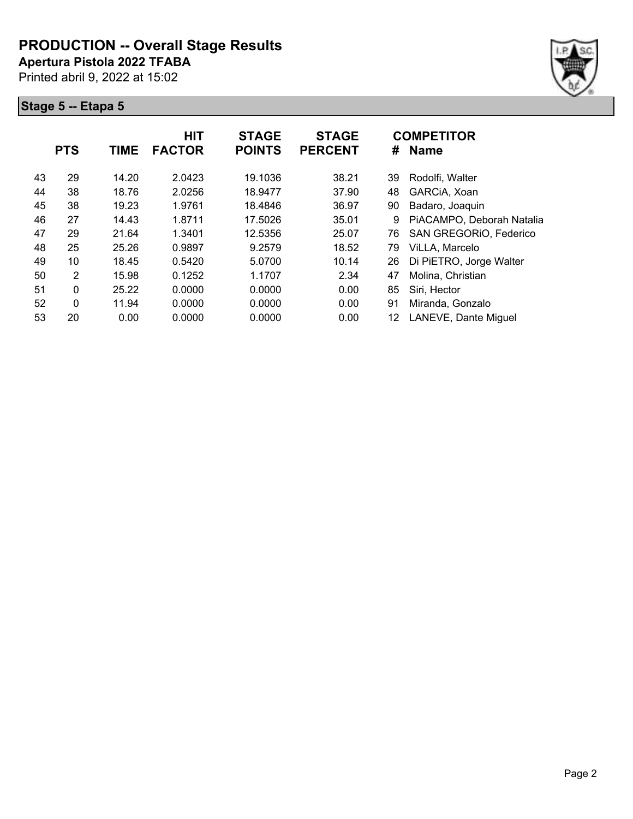**Apertura Pistola 2022 TFABA**

Printed abril 9, 2022 at 15:02



|    | <b>PTS</b> | <b>TIME</b> | <b>HIT</b><br><b>FACTOR</b> | <b>STAGE</b><br><b>POINTS</b> | <b>STAGE</b><br><b>PERCENT</b> | #  | <b>COMPETITOR</b><br><b>Name</b> |
|----|------------|-------------|-----------------------------|-------------------------------|--------------------------------|----|----------------------------------|
| 43 | 29         | 14.20       | 2.0423                      | 19.1036                       | 38.21                          | 39 | Rodolfi, Walter                  |
| 44 | 38         | 18.76       | 2.0256                      | 18.9477                       | 37.90                          | 48 | GARCIA, Xoan                     |
| 45 | 38         | 19.23       | 1.9761                      | 18.4846                       | 36.97                          | 90 | Badaro, Joaquin                  |
| 46 | 27         | 14.43       | 1.8711                      | 17.5026                       | 35.01                          | 9  | PiACAMPO, Deborah Natalia        |
| 47 | 29         | 21.64       | 1.3401                      | 12.5356                       | 25.07                          | 76 | SAN GREGORIO, Federico           |
| 48 | 25         | 25.26       | 0.9897                      | 9.2579                        | 18.52                          | 79 | ViLLA, Marcelo                   |
| 49 | 10         | 18.45       | 0.5420                      | 5.0700                        | 10.14                          | 26 | Di PiETRO, Jorge Walter          |
| 50 | 2          | 15.98       | 0.1252                      | 1.1707                        | 2.34                           | 47 | Molina, Christian                |
| 51 | 0          | 25.22       | 0.0000                      | 0.0000                        | 0.00                           | 85 | Siri, Hector                     |
| 52 | 0          | 11.94       | 0.0000                      | 0.0000                        | 0.00                           | 91 | Miranda, Gonzalo                 |
| 53 | 20         | 0.00        | 0.0000                      | 0.0000                        | 0.00                           | 12 | LANEVE, Dante Miguel             |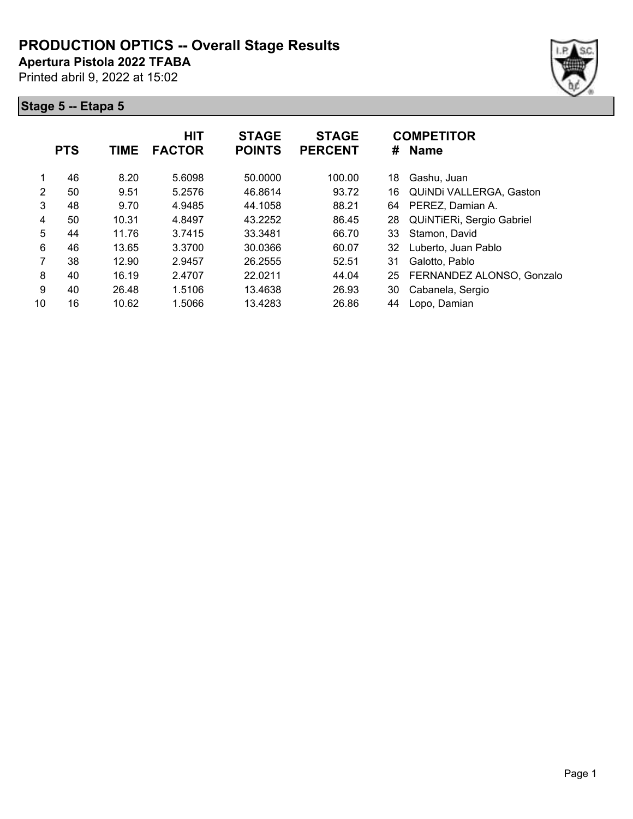**Apertura Pistola 2022 TFABA**

Printed abril 9, 2022 at 15:02





|    | <b>PTS</b> | <b>TIME</b> | <b>HIT</b><br><b>FACTOR</b> | <b>STAGE</b><br><b>POINTS</b> | <b>STAGE</b><br><b>PERCENT</b> | #  | <b>COMPETITOR</b><br><b>Name</b> |
|----|------------|-------------|-----------------------------|-------------------------------|--------------------------------|----|----------------------------------|
| 1  | 46         | 8.20        | 5.6098                      | 50.0000                       | 100.00                         | 18 | Gashu, Juan                      |
| 2  | 50         | 9.51        | 5.2576                      | 46.8614                       | 93.72                          | 16 | QUINDI VALLERGA, Gaston          |
| 3  | 48         | 9.70        | 4.9485                      | 44.1058                       | 88.21                          | 64 | PEREZ, Damian A.                 |
| 4  | 50         | 10.31       | 4.8497                      | 43.2252                       | 86.45                          | 28 | QUINTIERI, Sergio Gabriel        |
| 5  | 44         | 11.76       | 3.7415                      | 33.3481                       | 66.70                          | 33 | Stamon, David                    |
| 6  | 46         | 13.65       | 3.3700                      | 30.0366                       | 60.07                          | 32 | Luberto, Juan Pablo              |
| 7  | 38         | 12.90       | 2.9457                      | 26.2555                       | 52.51                          | 31 | Galotto, Pablo                   |
| 8  | 40         | 16.19       | 2.4707                      | 22.0211                       | 44.04                          | 25 | FERNANDEZ ALONSO, Gonzalo        |
| 9  | 40         | 26.48       | 1.5106                      | 13.4638                       | 26.93                          | 30 | Cabanela, Sergio                 |
| 10 | 16         | 10.62       | 1.5066                      | 13.4283                       | 26.86                          | 44 | Lopo, Damian                     |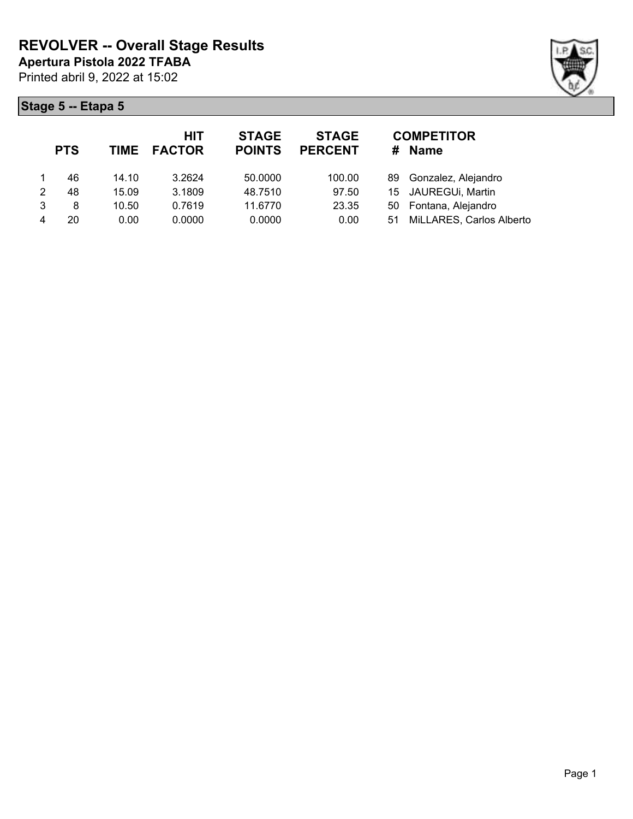

|   | <b>PTS</b> |       | HIT<br>TIME FACTOR | <b>STAGE</b><br><b>POINTS</b> | <b>STAGE</b><br><b>PERCENT</b> | #  | <b>COMPETITOR</b><br><b>Name</b> |
|---|------------|-------|--------------------|-------------------------------|--------------------------------|----|----------------------------------|
|   | 46         | 14.10 | 3.2624             | 50.0000                       | 100.00                         |    | 89 Gonzalez, Alejandro           |
| 2 | 48         | 15.09 | 3.1809             | 48.7510                       | 97.50                          |    | 15 JAUREGUi, Martin              |
| 3 | 8          | 10.50 | 0.7619             | 11.6770                       | 23.35                          |    | 50 Fontana, Alejandro            |
|   | 20         | 0.00  | 0.0000             | 0.0000                        | 0.00                           | 51 | MiLLARES, Carlos Alberto         |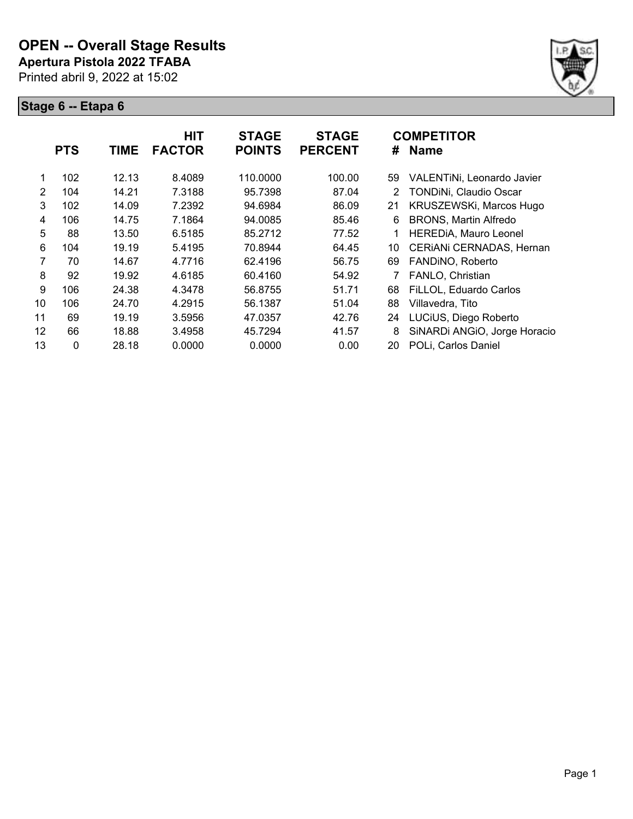

|                | <b>PTS</b> | <b>TIME</b> | <b>HIT</b><br><b>FACTOR</b> | <b>STAGE</b><br><b>POINTS</b> | <b>STAGE</b><br><b>PERCENT</b> | #  | <b>COMPETITOR</b><br><b>Name</b> |
|----------------|------------|-------------|-----------------------------|-------------------------------|--------------------------------|----|----------------------------------|
| 1              | 102        | 12.13       | 8.4089                      | 110.0000                      | 100.00                         | 59 | VALENTINI, Leonardo Javier       |
| $\overline{2}$ | 104        | 14.21       | 7.3188                      | 95.7398                       | 87.04                          | 2  | TONDINi, Claudio Oscar           |
| 3              | 102        | 14.09       | 7.2392                      | 94.6984                       | 86.09                          | 21 | KRUSZEWSKi, Marcos Hugo          |
| 4              | 106        | 14.75       | 7.1864                      | 94.0085                       | 85.46                          | 6  | <b>BRONS, Martin Alfredo</b>     |
| 5              | 88         | 13.50       | 6.5185                      | 85.2712                       | 77.52                          |    | HEREDIA, Mauro Leonel            |
| 6              | 104        | 19.19       | 5.4195                      | 70.8944                       | 64.45                          | 10 | CERIANI CERNADAS, Hernan         |
| 7              | 70         | 14.67       | 4.7716                      | 62.4196                       | 56.75                          | 69 | FANDINO, Roberto                 |
| 8              | 92         | 19.92       | 4.6185                      | 60.4160                       | 54.92                          |    | FANLO, Christian                 |
| 9              | 106        | 24.38       | 4.3478                      | 56.8755                       | 51.71                          | 68 | FiLLOL, Eduardo Carlos           |
| 10             | 106        | 24.70       | 4.2915                      | 56.1387                       | 51.04                          | 88 | Villavedra, Tito                 |
| 11             | 69         | 19.19       | 3.5956                      | 47.0357                       | 42.76                          | 24 | LUCIUS, Diego Roberto            |
| 12             | 66         | 18.88       | 3.4958                      | 45.7294                       | 41.57                          | 8  | SiNARDi ANGIO, Jorge Horacio     |
| 13             | 0          | 28.18       | 0.0000                      | 0.0000                        | 0.00                           | 20 | POLi, Carlos Daniel              |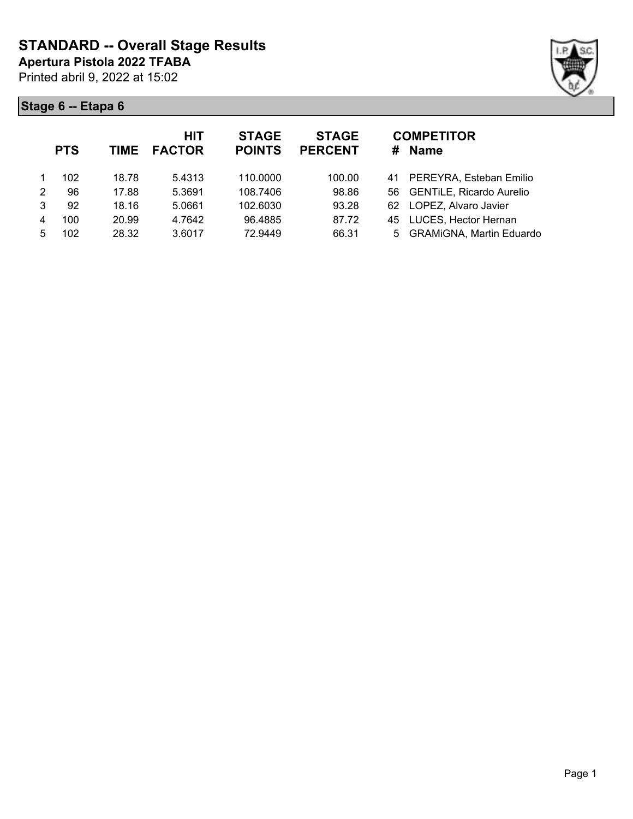

|   | <b>PTS</b> | <b>TIME</b> | <b>HIT</b><br><b>FACTOR</b> | <b>STAGE</b><br><b>POINTS</b> | <b>STAGE</b><br><b>PERCENT</b> | <b>COMPETITOR</b><br><b>Name</b><br># |  |
|---|------------|-------------|-----------------------------|-------------------------------|--------------------------------|---------------------------------------|--|
|   | 102        | 18.78       | 5.4313                      | 110.0000                      | 100.00                         | PEREYRA, Esteban Emilio<br>41         |  |
| 2 | 96         | 17.88       | 5.3691                      | 108.7406                      | 98.86                          | 56 GENTILE, Ricardo Aurelio           |  |
| 3 | 92         | 18.16       | 5.0661                      | 102.6030                      | 93.28                          | LOPEZ, Alvaro Javier<br>62            |  |
| 4 | 100        | 20.99       | 4.7642                      | 96.4885                       | 87.72                          | 45 LUCES, Hector Hernan               |  |
| 5 | 102        | 28.32       | 3.6017                      | 72.9449                       | 66.31                          | 5 GRAMiGNA, Martin Eduardo            |  |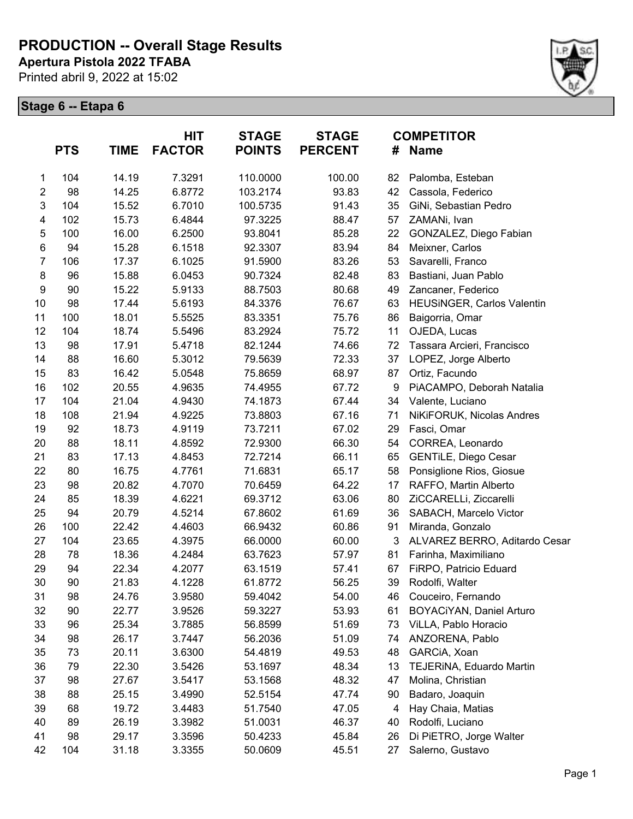**Apertura Pistola 2022 TFABA**

Printed abril 9, 2022 at 15:02



|                | <b>PTS</b> | <b>TIME</b> | <b>HIT</b><br><b>FACTOR</b> | <b>STAGE</b><br><b>POINTS</b> | <b>STAGE</b><br><b>PERCENT</b> | #  | <b>COMPETITOR</b><br><b>Name</b> |
|----------------|------------|-------------|-----------------------------|-------------------------------|--------------------------------|----|----------------------------------|
| 1              | 104        | 14.19       | 7.3291                      | 110.0000                      | 100.00                         | 82 | Palomba, Esteban                 |
| $\overline{2}$ | 98         | 14.25       | 6.8772                      | 103.2174                      | 93.83                          | 42 | Cassola, Federico                |
| 3              | 104        | 15.52       | 6.7010                      | 100.5735                      | 91.43                          | 35 | GiNi, Sebastian Pedro            |
| 4              | 102        | 15.73       | 6.4844                      | 97.3225                       | 88.47                          | 57 | ZAMANi, Ivan                     |
| $\mathbf 5$    | 100        | 16.00       | 6.2500                      | 93.8041                       | 85.28                          | 22 | GONZALEZ, Diego Fabian           |
| $\,6$          | 94         | 15.28       | 6.1518                      | 92.3307                       | 83.94                          | 84 | Meixner, Carlos                  |
| $\overline{7}$ | 106        | 17.37       | 6.1025                      | 91.5900                       | 83.26                          | 53 | Savarelli, Franco                |
| 8              | 96         | 15.88       | 6.0453                      | 90.7324                       | 82.48                          | 83 | Bastiani, Juan Pablo             |
| 9              | 90         | 15.22       | 5.9133                      | 88.7503                       | 80.68                          | 49 | Zancaner, Federico               |
| 10             | 98         | 17.44       | 5.6193                      | 84.3376                       | 76.67                          | 63 | HEUSINGER, Carlos Valentin       |
| 11             | 100        | 18.01       | 5.5525                      | 83.3351                       | 75.76                          | 86 | Baigorria, Omar                  |
| 12             | 104        | 18.74       | 5.5496                      | 83.2924                       | 75.72                          | 11 | OJEDA, Lucas                     |
| 13             | 98         | 17.91       | 5.4718                      | 82.1244                       | 74.66                          | 72 | Tassara Arcieri, Francisco       |
| 14             | 88         | 16.60       | 5.3012                      | 79.5639                       | 72.33                          | 37 | LOPEZ, Jorge Alberto             |
| 15             | 83         | 16.42       | 5.0548                      | 75.8659                       | 68.97                          | 87 | Ortiz, Facundo                   |
| 16             | 102        | 20.55       | 4.9635                      | 74.4955                       | 67.72                          | 9  | PiACAMPO, Deborah Natalia        |
| 17             | 104        | 21.04       | 4.9430                      | 74.1873                       | 67.44                          | 34 | Valente, Luciano                 |
| 18             | 108        | 21.94       | 4.9225                      | 73.8803                       | 67.16                          | 71 | NiKiFORUK, Nicolas Andres        |
| 19             | 92         | 18.73       | 4.9119                      | 73.7211                       | 67.02                          | 29 | Fasci, Omar                      |
| 20             | 88         | 18.11       | 4.8592                      | 72.9300                       | 66.30                          | 54 | CORREA, Leonardo                 |
| 21             | 83         | 17.13       | 4.8453                      | 72.7214                       | 66.11                          | 65 | <b>GENTILE, Diego Cesar</b>      |
| 22             | 80         | 16.75       | 4.7761                      | 71.6831                       | 65.17                          | 58 | Ponsiglione Rios, Giosue         |
| 23             | 98         | 20.82       | 4.7070                      | 70.6459                       | 64.22                          | 17 | RAFFO, Martin Alberto            |
| 24             | 85         | 18.39       | 4.6221                      | 69.3712                       | 63.06                          | 80 | ZiCCARELLi, Ziccarelli           |
| 25             | 94         | 20.79       | 4.5214                      | 67.8602                       | 61.69                          | 36 | SABACH, Marcelo Victor           |
| 26             | 100        | 22.42       | 4.4603                      | 66.9432                       | 60.86                          | 91 | Miranda, Gonzalo                 |
| 27             | 104        | 23.65       | 4.3975                      | 66.0000                       | 60.00                          | 3  | ALVAREZ BERRO, Aditardo Cesar    |
| 28             | 78         | 18.36       | 4.2484                      | 63.7623                       | 57.97                          | 81 | Farinha, Maximiliano             |
| 29             | 94         | 22.34       | 4.2077                      | 63.1519                       | 57.41                          | 67 | FIRPO, Patricio Eduard           |
| 30             | 90         | 21.83       | 4.1228                      | 61.8772                       | 56.25                          | 39 | Rodolfi, Walter                  |
| 31             | 98         | 24.76       | 3.9580                      | 59.4042                       | 54.00                          | 46 | Couceiro, Fernando               |
| 32             | 90         | 22.77       | 3.9526                      | 59.3227                       | 53.93                          | 61 | BOYACiYAN, Daniel Arturo         |
| 33             | 96         | 25.34       | 3.7885                      | 56.8599                       | 51.69                          | 73 | ViLLA, Pablo Horacio             |
| 34             | 98         | 26.17       | 3.7447                      | 56.2036                       | 51.09                          | 74 | ANZORENA, Pablo                  |
| 35             | 73         | 20.11       | 3.6300                      | 54.4819                       | 49.53                          | 48 | GARCIA, Xoan                     |
| 36             | 79         | 22.30       | 3.5426                      | 53.1697                       | 48.34                          | 13 | TEJERINA, Eduardo Martin         |
| 37             | 98         | 27.67       | 3.5417                      | 53.1568                       | 48.32                          | 47 | Molina, Christian                |
| 38             | 88         | 25.15       | 3.4990                      | 52.5154                       | 47.74                          | 90 | Badaro, Joaquin                  |
| 39             | 68         | 19.72       | 3.4483                      | 51.7540                       | 47.05                          | 4  | Hay Chaia, Matias                |
| 40             | 89         | 26.19       | 3.3982                      | 51.0031                       | 46.37                          | 40 | Rodolfi, Luciano                 |
| 41             | 98         | 29.17       | 3.3596                      | 50.4233                       | 45.84                          | 26 | Di PiETRO, Jorge Walter          |
| 42             | 104        | 31.18       | 3.3355                      | 50.0609                       | 45.51                          | 27 | Salerno, Gustavo                 |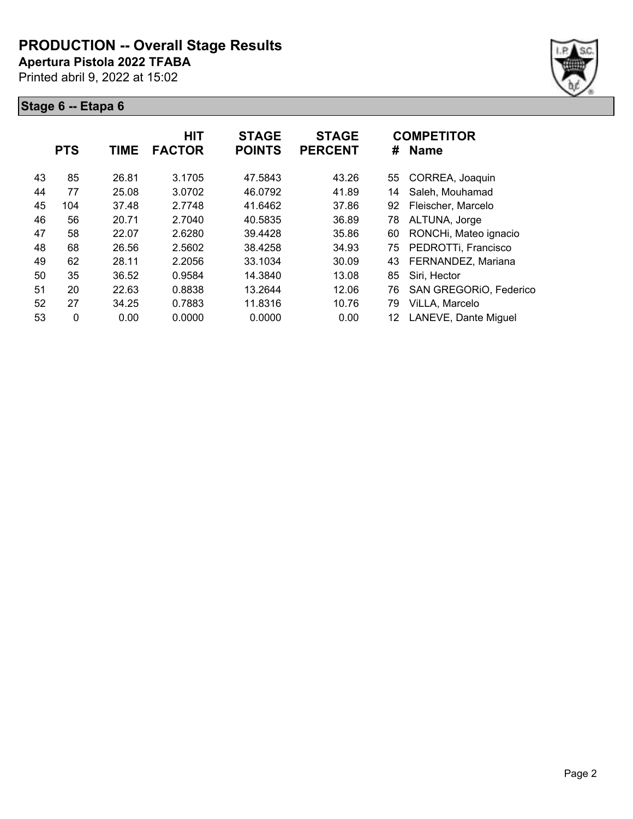**Apertura Pistola 2022 TFABA**

Printed abril 9, 2022 at 15:02



|    | <b>PTS</b> | TIME  | <b>HIT</b><br><b>FACTOR</b> | <b>STAGE</b><br><b>POINTS</b> | <b>STAGE</b><br><b>PERCENT</b> | #  | <b>COMPETITOR</b><br><b>Name</b> |
|----|------------|-------|-----------------------------|-------------------------------|--------------------------------|----|----------------------------------|
| 43 | 85         | 26.81 | 3.1705                      | 47.5843                       | 43.26                          | 55 | CORREA, Joaquin                  |
| 44 | 77         | 25.08 | 3.0702                      | 46.0792                       | 41.89                          | 14 | Saleh, Mouhamad                  |
| 45 | 104        | 37.48 | 2.7748                      | 41.6462                       | 37.86                          | 92 | Fleischer, Marcelo               |
| 46 | 56         | 20.71 | 2.7040                      | 40.5835                       | 36.89                          | 78 | ALTUNA, Jorge                    |
| 47 | 58         | 22.07 | 2.6280                      | 39.4428                       | 35.86                          | 60 | RONCHi, Mateo ignacio            |
| 48 | 68         | 26.56 | 2.5602                      | 38.4258                       | 34.93                          | 75 | PEDROTTi, Francisco              |
| 49 | 62         | 28.11 | 2.2056                      | 33.1034                       | 30.09                          | 43 | FERNANDEZ, Mariana               |
| 50 | 35         | 36.52 | 0.9584                      | 14.3840                       | 13.08                          | 85 | Siri, Hector                     |
| 51 | 20         | 22.63 | 0.8838                      | 13.2644                       | 12.06                          | 76 | SAN GREGORIO, Federico           |
| 52 | 27         | 34.25 | 0.7883                      | 11.8316                       | 10.76                          | 79 | ViLLA, Marcelo                   |
| 53 | 0          | 0.00  | 0.0000                      | 0.0000                        | 0.00                           | 12 | LANEVE, Dante Miguel             |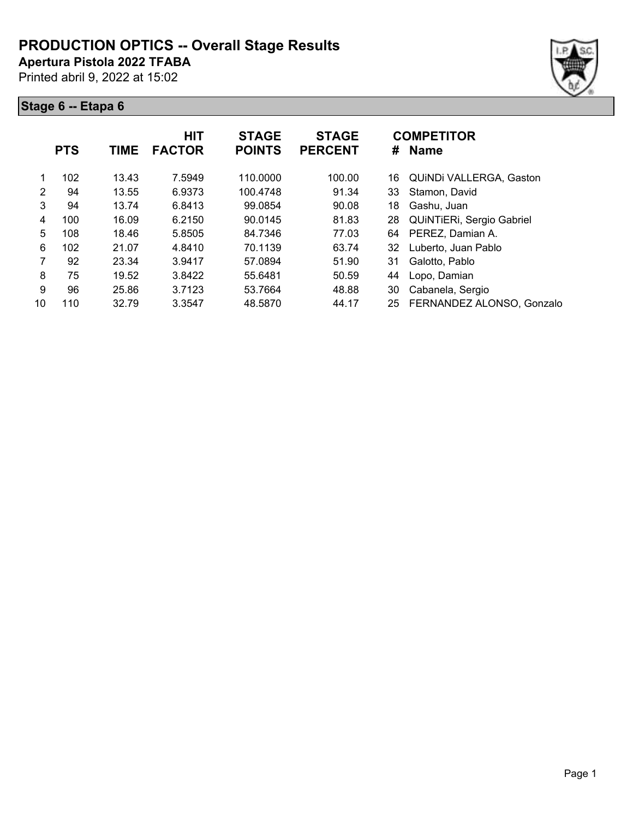**Apertura Pistola 2022 TFABA**

Printed abril 9, 2022 at 15:02

|                | <b>PTS</b> | <b>TIME</b> | <b>HIT</b><br><b>FACTOR</b> | <b>STAGE</b><br><b>POINTS</b> | <b>STAGE</b><br><b>PERCENT</b> | #  | <b>COMPETITOR</b><br><b>Name</b> |
|----------------|------------|-------------|-----------------------------|-------------------------------|--------------------------------|----|----------------------------------|
|                | 102        | 13.43       | 7.5949                      | 110.0000                      | 100.00                         | 16 | QUINDI VALLERGA, Gaston          |
| $\overline{2}$ | 94         | 13.55       | 6.9373                      | 100.4748                      | 91.34                          | 33 | Stamon, David                    |
| 3              | 94         | 13.74       | 6.8413                      | 99.0854                       | 90.08                          | 18 | Gashu, Juan                      |
| 4              | 100        | 16.09       | 6.2150                      | 90.0145                       | 81.83                          | 28 | QUINTIERI, Sergio Gabriel        |
| 5              | 108        | 18.46       | 5.8505                      | 84.7346                       | 77.03                          | 64 | PEREZ, Damian A.                 |
| 6              | 102        | 21.07       | 4.8410                      | 70.1139                       | 63.74                          | 32 | Luberto, Juan Pablo              |
| 7              | 92         | 23.34       | 3.9417                      | 57.0894                       | 51.90                          | 31 | Galotto, Pablo                   |
| 8              | 75         | 19.52       | 3.8422                      | 55.6481                       | 50.59                          | 44 | Lopo, Damian                     |
| 9              | 96         | 25.86       | 3.7123                      | 53.7664                       | 48.88                          | 30 | Cabanela, Sergio                 |
| 10             | 110        | 32.79       | 3.3547                      | 48.5870                       | 44.17                          | 25 | FERNANDEZ ALONSO, Gonzalo        |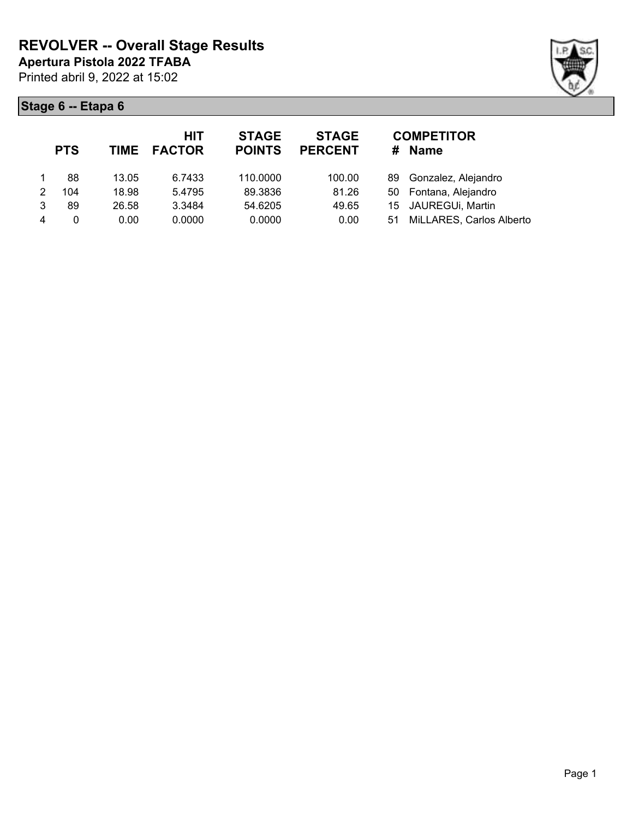

|   | <b>PTS</b> |       | <b>HIT</b><br>TIME FACTOR | <b>STAGE</b><br><b>POINTS</b> | <b>STAGE</b><br><b>PERCENT</b> | #  | <b>COMPETITOR</b><br><b>Name</b> |
|---|------------|-------|---------------------------|-------------------------------|--------------------------------|----|----------------------------------|
|   | 88         | 13.05 | 6.7433                    | 110.0000                      | 100.00                         |    | 89 Gonzalez, Alejandro           |
| 2 | 104        | 18.98 | 5.4795                    | 89.3836                       | 81.26                          |    | 50 Fontana, Alejandro            |
| 3 | 89         | 26.58 | 3.3484                    | 54.6205                       | 49.65                          |    | 15 JAUREGUi, Martin              |
| 4 | 0          | 0.00  | 0.0000                    | 0.0000                        | 0.00                           | 51 | MiLLARES, Carlos Alberto         |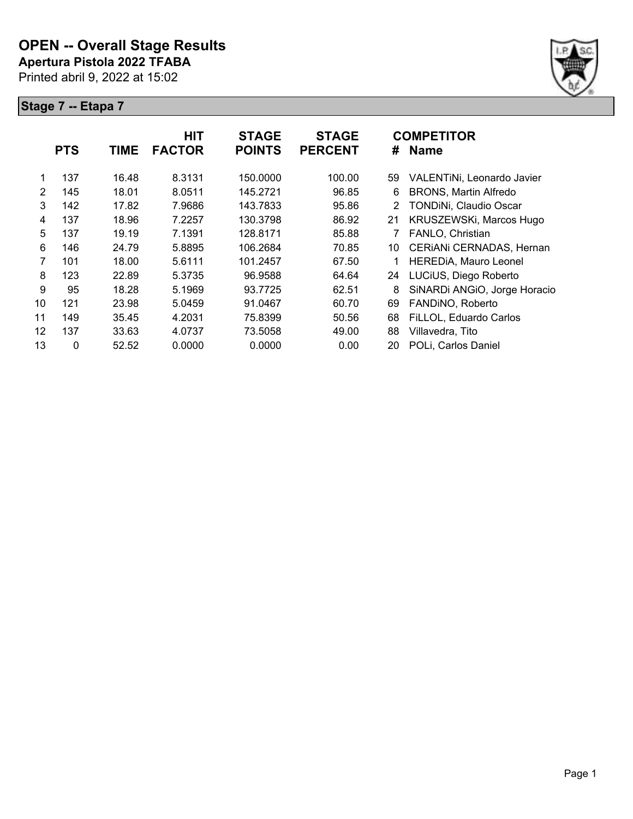

|    | <b>PTS</b> | <b>TIME</b> | <b>HIT</b><br><b>FACTOR</b> | <b>STAGE</b><br><b>POINTS</b> | <b>STAGE</b><br><b>PERCENT</b> | #  | <b>COMPETITOR</b><br><b>Name</b> |
|----|------------|-------------|-----------------------------|-------------------------------|--------------------------------|----|----------------------------------|
|    | 137        | 16.48       | 8.3131                      | 150.0000                      | 100.00                         | 59 | VALENTINI, Leonardo Javier       |
| 2  | 145        | 18.01       | 8.0511                      | 145.2721                      | 96.85                          | 6  | <b>BRONS, Martin Alfredo</b>     |
| 3  | 142        | 17.82       | 7.9686                      | 143.7833                      | 95.86                          | 2  | TONDINi, Claudio Oscar           |
| 4  | 137        | 18.96       | 7.2257                      | 130.3798                      | 86.92                          | 21 | KRUSZEWSKi, Marcos Hugo          |
| 5  | 137        | 19.19       | 7.1391                      | 128.8171                      | 85.88                          |    | FANLO, Christian                 |
| 6  | 146        | 24.79       | 5.8895                      | 106.2684                      | 70.85                          | 10 | CERIANI CERNADAS, Hernan         |
| 7  | 101        | 18.00       | 5.6111                      | 101.2457                      | 67.50                          |    | HEREDIA, Mauro Leonel            |
| 8  | 123        | 22.89       | 5.3735                      | 96.9588                       | 64.64                          | 24 | LUCiUS, Diego Roberto            |
| 9  | 95         | 18.28       | 5.1969                      | 93.7725                       | 62.51                          | 8  | SiNARDi ANGIO, Jorge Horacio     |
| 10 | 121        | 23.98       | 5.0459                      | 91.0467                       | 60.70                          | 69 | FANDINO, Roberto                 |
| 11 | 149        | 35.45       | 4.2031                      | 75.8399                       | 50.56                          | 68 | FiLLOL, Eduardo Carlos           |
| 12 | 137        | 33.63       | 4.0737                      | 73.5058                       | 49.00                          | 88 | Villavedra, Tito                 |
| 13 | 0          | 52.52       | 0.0000                      | 0.0000                        | 0.00                           | 20 | POLi, Carlos Daniel              |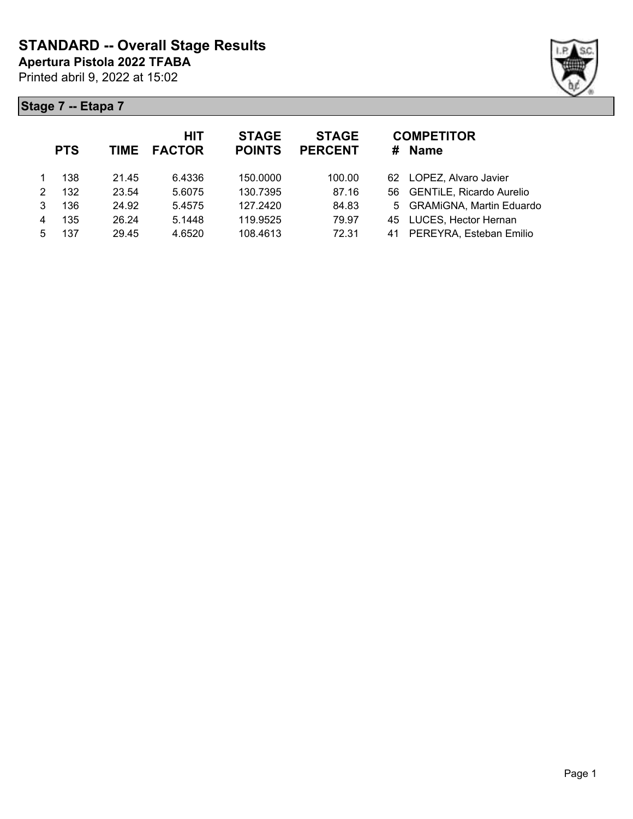

|   | <b>PTS</b> | <b>TIME</b> | <b>HIT</b><br><b>FACTOR</b> | <b>STAGE</b><br><b>POINTS</b> | <b>STAGE</b><br><b>PERCENT</b> | <b>COMPETITOR</b><br><b>Name</b><br># |
|---|------------|-------------|-----------------------------|-------------------------------|--------------------------------|---------------------------------------|
|   | 138        | 21.45       | 6.4336                      | 150.0000                      | 100.00                         | 62 LOPEZ, Alvaro Javier               |
| 2 | 132        | 23.54       | 5.6075                      | 130.7395                      | 87.16                          | 56 GENTILE, Ricardo Aurelio           |
| 3 | 136        | 24.92       | 5.4575                      | 127.2420                      | 84.83                          | 5 GRAMiGNA, Martin Eduardo            |
| 4 | 135        | 26.24       | 5.1448                      | 119.9525                      | 79.97                          | 45 LUCES, Hector Hernan               |
| 5 | 137        | 29.45       | 4.6520                      | 108.4613                      | 72.31                          | PEREYRA, Esteban Emilio<br>41         |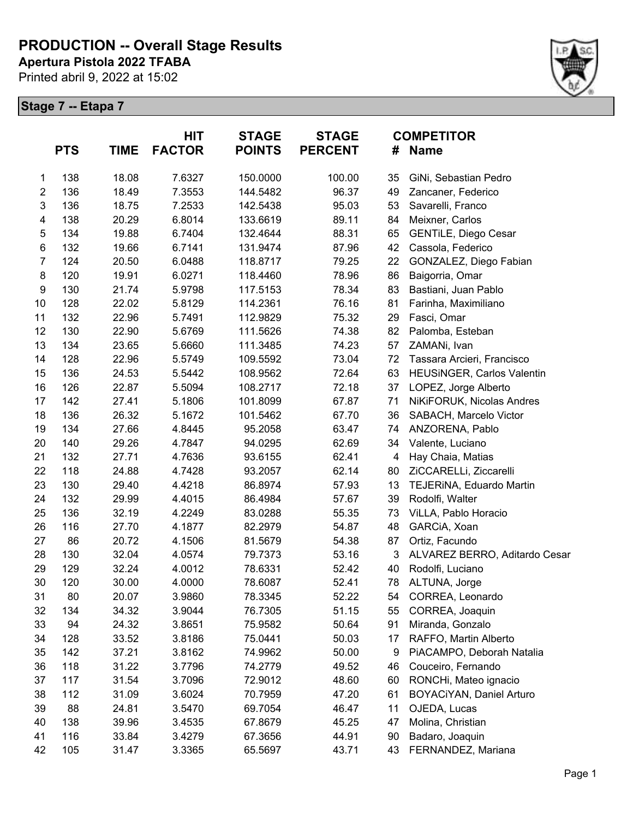**Apertura Pistola 2022 TFABA**

Printed abril 9, 2022 at 15:02



|                  | <b>PTS</b> | <b>TIME</b> | <b>HIT</b><br><b>FACTOR</b> | <b>STAGE</b><br><b>POINTS</b> | <b>STAGE</b><br><b>PERCENT</b> | #  | <b>COMPETITOR</b><br><b>Name</b>  |
|------------------|------------|-------------|-----------------------------|-------------------------------|--------------------------------|----|-----------------------------------|
| 1                | 138        | 18.08       | 7.6327                      | 150.0000                      | 100.00                         | 35 | GiNi, Sebastian Pedro             |
| $\overline{2}$   | 136        | 18.49       | 7.3553                      | 144.5482                      | 96.37                          | 49 | Zancaner, Federico                |
| $\mathsf 3$      | 136        | 18.75       | 7.2533                      | 142.5438                      | 95.03                          | 53 | Savarelli, Franco                 |
| 4                | 138        | 20.29       | 6.8014                      | 133.6619                      | 89.11                          | 84 | Meixner, Carlos                   |
| 5                | 134        | 19.88       | 6.7404                      | 132.4644                      | 88.31                          | 65 | <b>GENTILE, Diego Cesar</b>       |
| 6                | 132        | 19.66       | 6.7141                      | 131.9474                      | 87.96                          | 42 | Cassola, Federico                 |
| $\overline{7}$   | 124        | 20.50       | 6.0488                      | 118.8717                      | 79.25                          | 22 | GONZALEZ, Diego Fabian            |
| 8                | 120        | 19.91       | 6.0271                      | 118.4460                      | 78.96                          | 86 | Baigorria, Omar                   |
| $\boldsymbol{9}$ | 130        | 21.74       | 5.9798                      | 117.5153                      | 78.34                          | 83 | Bastiani, Juan Pablo              |
| 10               | 128        | 22.02       | 5.8129                      | 114.2361                      | 76.16                          | 81 | Farinha, Maximiliano              |
| 11               | 132        | 22.96       | 5.7491                      | 112.9829                      | 75.32                          | 29 | Fasci, Omar                       |
| 12               | 130        | 22.90       | 5.6769                      | 111.5626                      | 74.38                          | 82 | Palomba, Esteban                  |
| 13               | 134        | 23.65       | 5.6660                      | 111.3485                      | 74.23                          | 57 | ZAMANi, Ivan                      |
| 14               | 128        | 22.96       | 5.5749                      | 109.5592                      | 73.04                          | 72 | Tassara Arcieri, Francisco        |
| 15               | 136        | 24.53       | 5.5442                      | 108.9562                      | 72.64                          | 63 | <b>HEUSINGER, Carlos Valentin</b> |
| 16               | 126        | 22.87       | 5.5094                      | 108.2717                      | 72.18                          | 37 | LOPEZ, Jorge Alberto              |
| 17               | 142        | 27.41       | 5.1806                      | 101.8099                      | 67.87                          | 71 | NiKiFORUK, Nicolas Andres         |
| 18               | 136        | 26.32       | 5.1672                      | 101.5462                      | 67.70                          | 36 | SABACH, Marcelo Victor            |
| 19               | 134        | 27.66       | 4.8445                      | 95.2058                       | 63.47                          | 74 | ANZORENA, Pablo                   |
| 20               | 140        | 29.26       | 4.7847                      | 94.0295                       | 62.69                          | 34 | Valente, Luciano                  |
| 21               | 132        | 27.71       | 4.7636                      | 93.6155                       | 62.41                          | 4  | Hay Chaia, Matias                 |
| 22               | 118        | 24.88       | 4.7428                      | 93.2057                       | 62.14                          | 80 | ZiCCARELLi, Ziccarelli            |
| 23               | 130        | 29.40       | 4.4218                      | 86.8974                       | 57.93                          | 13 | TEJERINA, Eduardo Martin          |
| 24               | 132        | 29.99       | 4.4015                      | 86.4984                       | 57.67                          | 39 | Rodolfi, Walter                   |
| 25               | 136        | 32.19       | 4.2249                      | 83.0288                       | 55.35                          | 73 | ViLLA, Pablo Horacio              |
| 26               | 116        | 27.70       | 4.1877                      | 82.2979                       | 54.87                          | 48 | GARCIA, Xoan                      |
| 27               | 86         | 20.72       | 4.1506                      | 81.5679                       | 54.38                          | 87 | Ortiz, Facundo                    |
| 28               | 130        | 32.04       | 4.0574                      | 79.7373                       | 53.16                          | 3  | ALVAREZ BERRO, Aditardo Cesar     |
| 29               | 129        | 32.24       | 4.0012                      | 78.6331                       | 52.42                          | 40 | Rodolfi, Luciano                  |
| 30               | 120        | 30.00       | 4.0000                      | 78.6087                       | 52.41                          | 78 | ALTUNA, Jorge                     |
| 31               | 80         | 20.07       | 3.9860                      | 78.3345                       | 52.22                          |    | 54 CORREA, Leonardo               |
| 32               | 134        | 34.32       | 3.9044                      | 76.7305                       | 51.15                          | 55 | CORREA, Joaquin                   |
| 33               | 94         | 24.32       | 3.8651                      | 75.9582                       | 50.64                          | 91 | Miranda, Gonzalo                  |
| 34               | 128        | 33.52       | 3.8186                      | 75.0441                       | 50.03                          | 17 | RAFFO, Martin Alberto             |
| 35               | 142        | 37.21       | 3.8162                      | 74.9962                       | 50.00                          | 9  | PiACAMPO, Deborah Natalia         |
| 36               | 118        | 31.22       | 3.7796                      | 74.2779                       | 49.52                          | 46 | Couceiro, Fernando                |
| 37               | 117        | 31.54       | 3.7096                      | 72.9012                       | 48.60                          | 60 | RONCHi, Mateo ignacio             |
| 38               | 112        | 31.09       | 3.6024                      | 70.7959                       | 47.20                          | 61 | BOYACiYAN, Daniel Arturo          |
| 39               | 88         | 24.81       | 3.5470                      | 69.7054                       | 46.47                          | 11 | OJEDA, Lucas                      |
| 40               | 138        | 39.96       | 3.4535                      | 67.8679                       | 45.25                          | 47 | Molina, Christian                 |
| 41               | 116        | 33.84       | 3.4279                      | 67.3656                       | 44.91                          | 90 | Badaro, Joaquin                   |
| 42               | 105        | 31.47       | 3.3365                      | 65.5697                       | 43.71                          | 43 | FERNANDEZ, Mariana                |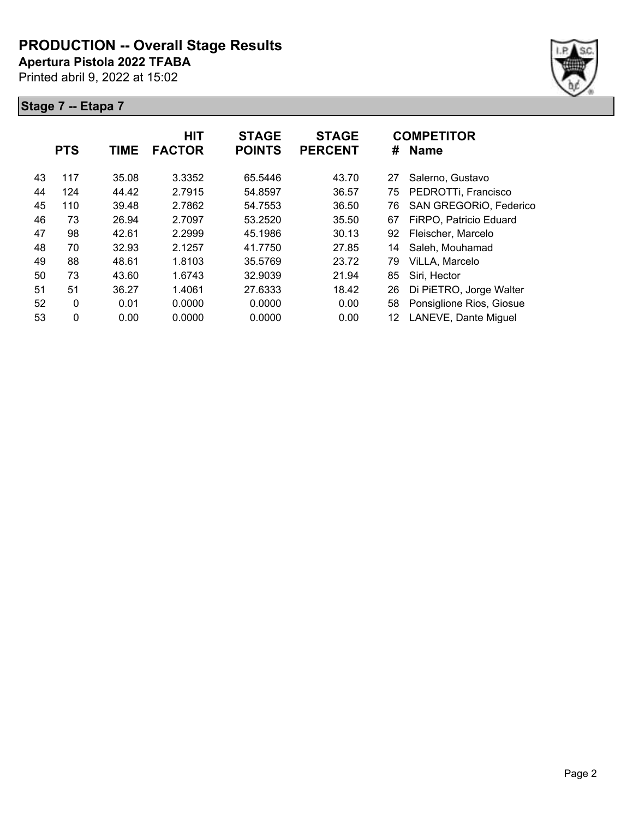**Apertura Pistola 2022 TFABA**

Printed abril 9, 2022 at 15:02



|    | <b>PTS</b>   | <b>TIME</b> | <b>HIT</b><br><b>FACTOR</b> | <b>STAGE</b><br><b>POINTS</b> | <b>STAGE</b><br><b>PERCENT</b> | #  | <b>COMPETITOR</b><br><b>Name</b> |
|----|--------------|-------------|-----------------------------|-------------------------------|--------------------------------|----|----------------------------------|
| 43 | 117          | 35.08       | 3.3352                      | 65.5446                       | 43.70                          | 27 | Salerno, Gustavo                 |
| 44 | 124          | 44.42       | 2.7915                      | 54.8597                       | 36.57                          | 75 | PEDROTTi, Francisco              |
| 45 | 110          | 39.48       | 2.7862                      | 54.7553                       | 36.50                          | 76 | SAN GREGORIO, Federico           |
| 46 | 73           | 26.94       | 2.7097                      | 53.2520                       | 35.50                          | 67 | FiRPO, Patricio Eduard           |
| 47 | 98           | 42.61       | 2.2999                      | 45.1986                       | 30.13                          | 92 | Fleischer, Marcelo               |
| 48 | 70           | 32.93       | 2.1257                      | 41.7750                       | 27.85                          | 14 | Saleh, Mouhamad                  |
| 49 | 88           | 48.61       | 1.8103                      | 35.5769                       | 23.72                          | 79 | ViLLA, Marcelo                   |
| 50 | 73           | 43.60       | 1.6743                      | 32.9039                       | 21.94                          | 85 | Siri, Hector                     |
| 51 | 51           | 36.27       | 1.4061                      | 27.6333                       | 18.42                          | 26 | Di PiETRO, Jorge Walter          |
| 52 | $\mathbf{0}$ | 0.01        | 0.0000                      | 0.0000                        | 0.00                           | 58 | Ponsiglione Rios, Giosue         |
| 53 | 0            | 0.00        | 0.0000                      | 0.0000                        | 0.00                           | 12 | LANEVE, Dante Miguel             |
|    |              |             |                             |                               |                                |    |                                  |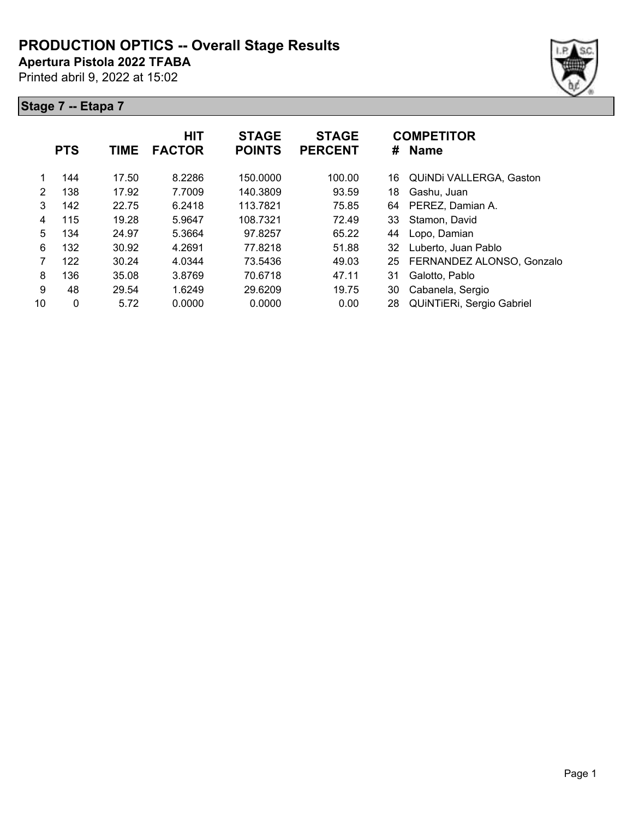**Apertura Pistola 2022 TFABA**

Printed abril 9, 2022 at 15:02

|    | <b>PTS</b> | TIME  | <b>HIT</b><br><b>FACTOR</b> | <b>STAGE</b><br><b>POINTS</b> | <b>STAGE</b><br><b>PERCENT</b> | <b>COMPETITOR</b><br><b>Name</b><br># |                           |
|----|------------|-------|-----------------------------|-------------------------------|--------------------------------|---------------------------------------|---------------------------|
|    | 144        | 17.50 | 8.2286                      | 150.0000                      | 100.00                         | 16                                    | QUINDI VALLERGA, Gaston   |
| 2  | 138        | 17.92 | 7.7009                      | 140.3809                      | 93.59                          | 18                                    | Gashu, Juan               |
| 3  | 142        | 22.75 | 6.2418                      | 113.7821                      | 75.85                          | 64                                    | PEREZ, Damian A.          |
| 4  | 115        | 19.28 | 5.9647                      | 108.7321                      | 72.49                          | 33                                    | Stamon, David             |
| 5  | 134        | 24.97 | 5.3664                      | 97.8257                       | 65.22                          | 44                                    | Lopo, Damian              |
| 6  | 132        | 30.92 | 4.2691                      | 77.8218                       | 51.88                          | 32                                    | Luberto, Juan Pablo       |
| 7  | 122        | 30.24 | 4.0344                      | 73.5436                       | 49.03                          | 25                                    | FERNANDEZ ALONSO, Gonzalo |
| 8  | 136        | 35.08 | 3.8769                      | 70.6718                       | 47.11                          | 31                                    | Galotto, Pablo            |
| 9  | 48         | 29.54 | 1.6249                      | 29.6209                       | 19.75                          | 30                                    | Cabanela, Sergio          |
| 10 | 0          | 5.72  | 0.0000                      | 0.0000                        | 0.00                           | 28                                    | QUINTIERI, Sergio Gabriel |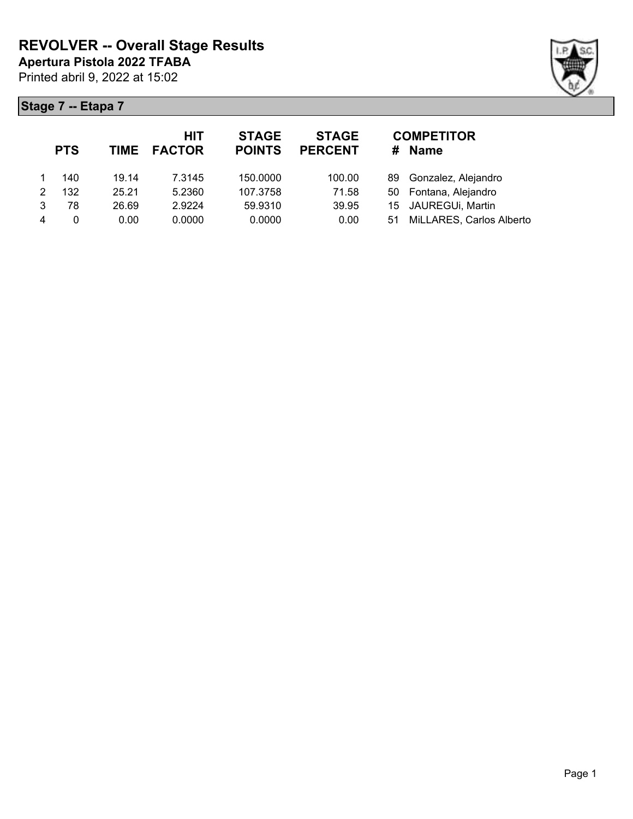

|   | <b>PTS</b> |       | HIT<br>TIME FACTOR | <b>STAGE</b><br><b>POINTS</b> | <b>STAGE</b><br><b>PERCENT</b> | #  | <b>COMPETITOR</b><br><b>Name</b> |
|---|------------|-------|--------------------|-------------------------------|--------------------------------|----|----------------------------------|
|   | 140        | 19.14 | 7.3145             | 150.0000                      | 100.00                         |    | 89 Gonzalez, Alejandro           |
| 2 | 132        | 25.21 | 5.2360             | 107.3758                      | 71.58                          |    | 50 Fontana, Alejandro            |
| 3 | 78         | 26.69 | 2.9224             | 59.9310                       | 39.95                          |    | 15 JAUREGUi, Martin              |
| 4 | 0          | 0.00  | 0.0000             | 0.0000                        | 0.00                           | 51 | MiLLARES, Carlos Alberto         |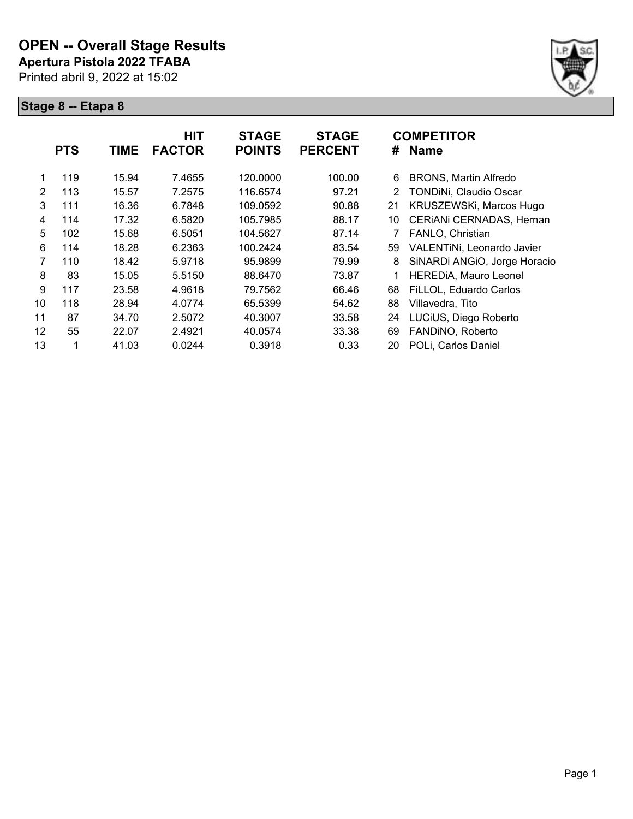

|                | <b>PTS</b> | <b>TIME</b> | <b>HIT</b><br><b>FACTOR</b> | <b>STAGE</b><br><b>POINTS</b> | <b>STAGE</b><br><b>PERCENT</b> | #  | <b>COMPETITOR</b><br><b>Name</b> |
|----------------|------------|-------------|-----------------------------|-------------------------------|--------------------------------|----|----------------------------------|
| 1              | 119        | 15.94       | 7.4655                      | 120.0000                      | 100.00                         | 6  | <b>BRONS, Martin Alfredo</b>     |
| $\overline{2}$ | 113        | 15.57       | 7.2575                      | 116.6574                      | 97.21                          | 2  | TONDINi, Claudio Oscar           |
| 3              | 111        | 16.36       | 6.7848                      | 109.0592                      | 90.88                          | 21 | KRUSZEWSKi, Marcos Hugo          |
| 4              | 114        | 17.32       | 6.5820                      | 105.7985                      | 88.17                          | 10 | CERIANI CERNADAS, Hernan         |
| 5              | 102        | 15.68       | 6.5051                      | 104.5627                      | 87.14                          |    | FANLO, Christian                 |
| 6              | 114        | 18.28       | 6.2363                      | 100.2424                      | 83.54                          | 59 | VALENTINI, Leonardo Javier       |
| 7              | 110        | 18.42       | 5.9718                      | 95.9899                       | 79.99                          | 8  | SiNARDi ANGIO, Jorge Horacio     |
| 8              | 83         | 15.05       | 5.5150                      | 88.6470                       | 73.87                          |    | <b>HEREDIA, Mauro Leonel</b>     |
| 9              | 117        | 23.58       | 4.9618                      | 79.7562                       | 66.46                          | 68 | FiLLOL, Eduardo Carlos           |
| 10             | 118        | 28.94       | 4.0774                      | 65.5399                       | 54.62                          | 88 | Villavedra, Tito                 |
| 11             | 87         | 34.70       | 2.5072                      | 40.3007                       | 33.58                          | 24 | LUCiUS, Diego Roberto            |
| 12             | 55         | 22.07       | 2.4921                      | 40.0574                       | 33.38                          | 69 | FANDINO, Roberto                 |
| 13             | 1          | 41.03       | 0.0244                      | 0.3918                        | 0.33                           | 20 | POLi, Carlos Daniel              |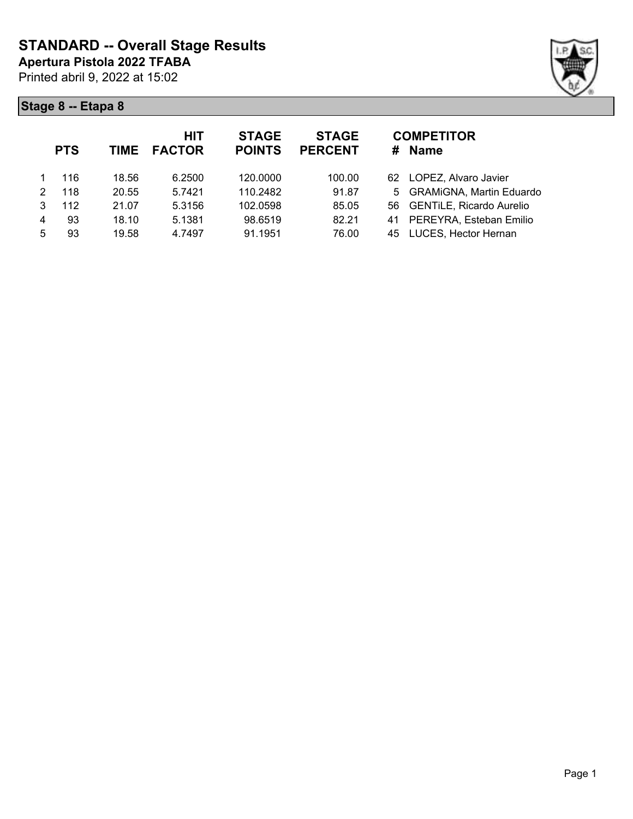

|   | <b>PTS</b> | <b>TIME</b> | <b>HIT</b><br><b>FACTOR</b> | <b>STAGE</b><br><b>POINTS</b> | <b>STAGE</b><br><b>PERCENT</b> | <b>COMPETITOR</b><br>Name<br># |
|---|------------|-------------|-----------------------------|-------------------------------|--------------------------------|--------------------------------|
|   | 116        | 18.56       | 6.2500                      | 120.0000                      | 100.00                         | 62 LOPEZ, Alvaro Javier        |
| 2 | 118        | 20.55       | 5.7421                      | 110.2482                      | 91.87                          | 5 GRAMiGNA, Martin Eduardo     |
| 3 | 112        | 21.07       | 5.3156                      | 102.0598                      | 85.05                          | 56 GENTILE, Ricardo Aurelio    |
| 4 | 93         | 18.10       | 5.1381                      | 98.6519                       | 82.21                          | PEREYRA, Esteban Emilio<br>41  |
| 5 | 93         | 19.58       | 4.7497                      | 91.1951                       | 76.00                          | 45 LUCES, Hector Hernan        |
|   |            |             |                             |                               |                                |                                |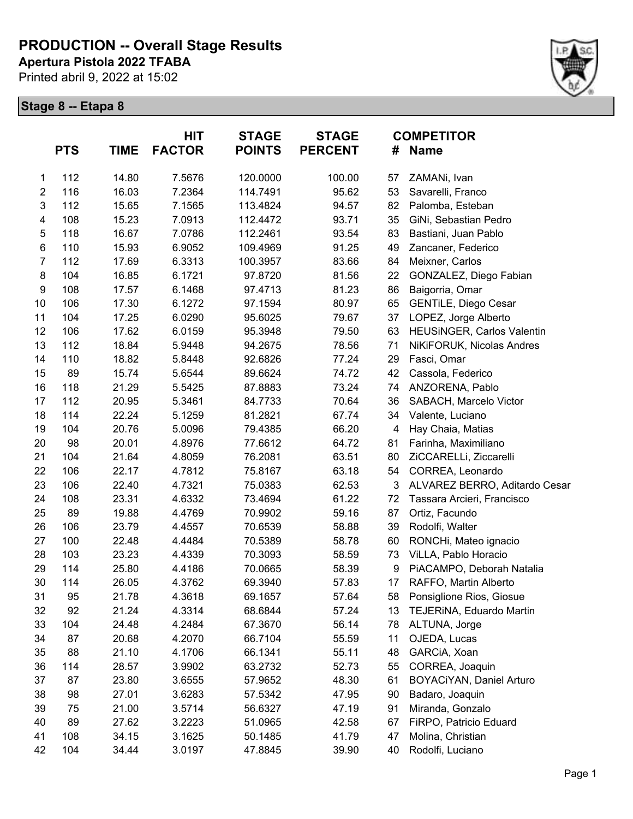**Apertura Pistola 2022 TFABA**

Printed abril 9, 2022 at 15:02



|                         | <b>PTS</b> | TIME  | HIT<br><b>FACTOR</b> | <b>STAGE</b><br><b>POINTS</b> | <b>STAGE</b><br><b>PERCENT</b> | #               | <b>COMPETITOR</b><br><b>Name</b> |
|-------------------------|------------|-------|----------------------|-------------------------------|--------------------------------|-----------------|----------------------------------|
| 1                       | 112        | 14.80 | 7.5676               | 120.0000                      | 100.00                         | 57              | ZAMANi, Ivan                     |
| $\boldsymbol{2}$        | 116        | 16.03 | 7.2364               | 114.7491                      | 95.62                          | 53              | Savarelli, Franco                |
| 3                       | 112        | 15.65 | 7.1565               | 113.4824                      | 94.57                          | 82              | Palomba, Esteban                 |
| $\overline{\mathbf{4}}$ | 108        | 15.23 | 7.0913               | 112.4472                      | 93.71                          | 35              | GiNi, Sebastian Pedro            |
| 5                       | 118        | 16.67 | 7.0786               | 112.2461                      | 93.54                          | 83              | Bastiani, Juan Pablo             |
| 6                       | 110        | 15.93 | 6.9052               | 109.4969                      | 91.25                          | 49              | Zancaner, Federico               |
| $\overline{7}$          | 112        | 17.69 | 6.3313               | 100.3957                      | 83.66                          | 84              | Meixner, Carlos                  |
| 8                       | 104        | 16.85 | 6.1721               | 97.8720                       | 81.56                          | 22              | GONZALEZ, Diego Fabian           |
| 9                       | 108        | 17.57 | 6.1468               | 97.4713                       | 81.23                          | 86              | Baigorria, Omar                  |
| 10                      | 106        | 17.30 | 6.1272               | 97.1594                       | 80.97                          | 65              | GENTILE, Diego Cesar             |
| 11                      | 104        | 17.25 | 6.0290               | 95.6025                       | 79.67                          | 37              | LOPEZ, Jorge Alberto             |
| 12                      | 106        | 17.62 | 6.0159               | 95.3948                       | 79.50                          | 63              | HEUSINGER, Carlos Valentin       |
| 13                      | 112        | 18.84 | 5.9448               | 94.2675                       | 78.56                          | 71              | NiKiFORUK, Nicolas Andres        |
| 14                      | 110        | 18.82 | 5.8448               | 92.6826                       | 77.24                          | 29              | Fasci, Omar                      |
| 15                      | 89         | 15.74 | 5.6544               | 89.6624                       | 74.72                          | 42              | Cassola, Federico                |
| 16                      | 118        | 21.29 | 5.5425               | 87.8883                       | 73.24                          | 74              | ANZORENA, Pablo                  |
| 17                      | 112        | 20.95 | 5.3461               | 84.7733                       | 70.64                          | 36              | SABACH, Marcelo Victor           |
| 18                      | 114        | 22.24 | 5.1259               | 81.2821                       | 67.74                          | 34              | Valente, Luciano                 |
| 19                      | 104        | 20.76 | 5.0096               | 79.4385                       | 66.20                          | 4               | Hay Chaia, Matias                |
| 20                      | 98         | 20.01 | 4.8976               | 77.6612                       | 64.72                          | 81              | Farinha, Maximiliano             |
| 21                      | 104        | 21.64 | 4.8059               | 76.2081                       | 63.51                          | 80              | ZiCCARELLi, Ziccarelli           |
| 22                      | 106        | 22.17 | 4.7812               | 75.8167                       | 63.18                          | 54              | CORREA, Leonardo                 |
| 23                      | 106        | 22.40 | 4.7321               | 75.0383                       | 62.53                          | 3               | ALVAREZ BERRO, Aditardo Cesar    |
| 24                      | 108        | 23.31 | 4.6332               | 73.4694                       | 61.22                          | 72              | Tassara Arcieri, Francisco       |
| 25                      | 89         | 19.88 | 4.4769               | 70.9902                       | 59.16                          | 87              | Ortiz, Facundo                   |
| 26                      | 106        | 23.79 | 4.4557               | 70.6539                       | 58.88                          | 39              | Rodolfi, Walter                  |
| 27                      | 100        | 22.48 | 4.4484               | 70.5389                       | 58.78                          | 60              | RONCHi, Mateo ignacio            |
| 28                      | 103        | 23.23 | 4.4339               | 70.3093                       | 58.59                          | 73              | ViLLA, Pablo Horacio             |
| 29                      | 114        | 25.80 | 4.4186               | 70.0665                       | 58.39                          | 9               | PiACAMPO, Deborah Natalia        |
| 30                      | 114        | 26.05 | 4.3762               | 69.3940                       | 57.83                          | 17 <sub>1</sub> | RAFFO, Martin Alberto            |
| 31                      | 95         | 21.78 | 4.3618               | 69.1657                       | 57.64                          | 58              | Ponsiglione Rios, Giosue         |
| 32                      | 92         | 21.24 | 4.3314               | 68.6844                       | 57.24                          | 13              | TEJERINA, Eduardo Martin         |
| 33                      | 104        | 24.48 | 4.2484               | 67.3670                       | 56.14                          | 78              | ALTUNA, Jorge                    |
| 34                      | 87         | 20.68 | 4.2070               | 66.7104                       | 55.59                          | 11              | OJEDA, Lucas                     |
| 35                      | 88         | 21.10 | 4.1706               | 66.1341                       | 55.11                          | 48              | GARCIA, Xoan                     |
| 36                      | 114        | 28.57 | 3.9902               | 63.2732                       | 52.73                          | 55              | CORREA, Joaquin                  |
| 37                      | 87         | 23.80 | 3.6555               | 57.9652                       | 48.30                          | 61              | BOYACiYAN, Daniel Arturo         |
| 38                      | 98         | 27.01 | 3.6283               | 57.5342                       | 47.95                          | 90              | Badaro, Joaquin                  |
| 39                      | 75         | 21.00 | 3.5714               | 56.6327                       | 47.19                          | 91              | Miranda, Gonzalo                 |
| 40                      | 89         | 27.62 | 3.2223               | 51.0965                       | 42.58                          | 67              | FiRPO, Patricio Eduard           |
| 41                      | 108        | 34.15 | 3.1625               | 50.1485                       | 41.79                          | 47              | Molina, Christian                |
| 42                      | 104        | 34.44 | 3.0197               | 47.8845                       | 39.90                          | 40              | Rodolfi, Luciano                 |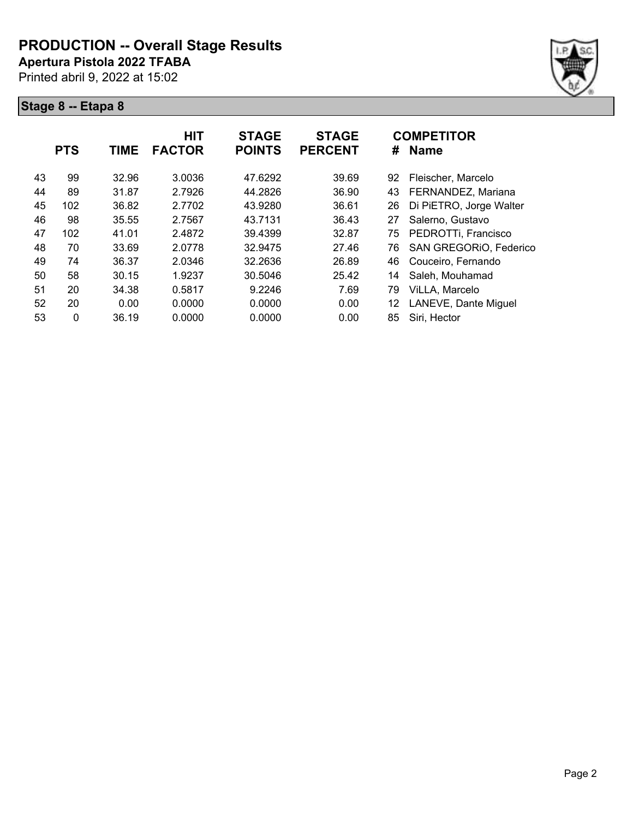**Apertura Pistola 2022 TFABA**

Printed abril 9, 2022 at 15:02



|    | <b>PTS</b> | <b>TIME</b> | <b>HIT</b><br><b>FACTOR</b> | <b>STAGE</b><br><b>POINTS</b> | <b>STAGE</b><br><b>PERCENT</b> | #  | <b>COMPETITOR</b><br><b>Name</b> |
|----|------------|-------------|-----------------------------|-------------------------------|--------------------------------|----|----------------------------------|
| 43 | 99         | 32.96       | 3.0036                      | 47.6292                       | 39.69                          | 92 | Fleischer, Marcelo               |
| 44 | 89         | 31.87       | 2.7926                      | 44.2826                       | 36.90                          | 43 | FERNANDEZ, Mariana               |
| 45 | 102        | 36.82       | 2.7702                      | 43.9280                       | 36.61                          | 26 | Di PiETRO, Jorge Walter          |
| 46 | 98         | 35.55       | 2.7567                      | 43.7131                       | 36.43                          | 27 | Salerno, Gustavo                 |
| 47 | 102        | 41.01       | 2.4872                      | 39.4399                       | 32.87                          | 75 | PEDROTTi, Francisco              |
| 48 | 70         | 33.69       | 2.0778                      | 32.9475                       | 27.46                          | 76 | SAN GREGORIO, Federico           |
| 49 | 74         | 36.37       | 2.0346                      | 32.2636                       | 26.89                          | 46 | Couceiro, Fernando               |
| 50 | 58         | 30.15       | 1.9237                      | 30.5046                       | 25.42                          | 14 | Saleh, Mouhamad                  |
| 51 | 20         | 34.38       | 0.5817                      | 9.2246                        | 7.69                           | 79 | ViLLA, Marcelo                   |
| 52 | 20         | 0.00        | 0.0000                      | 0.0000                        | 0.00                           | 12 | LANEVE, Dante Miguel             |
| 53 | 0          | 36.19       | 0.0000                      | 0.0000                        | 0.00                           | 85 | Siri, Hector                     |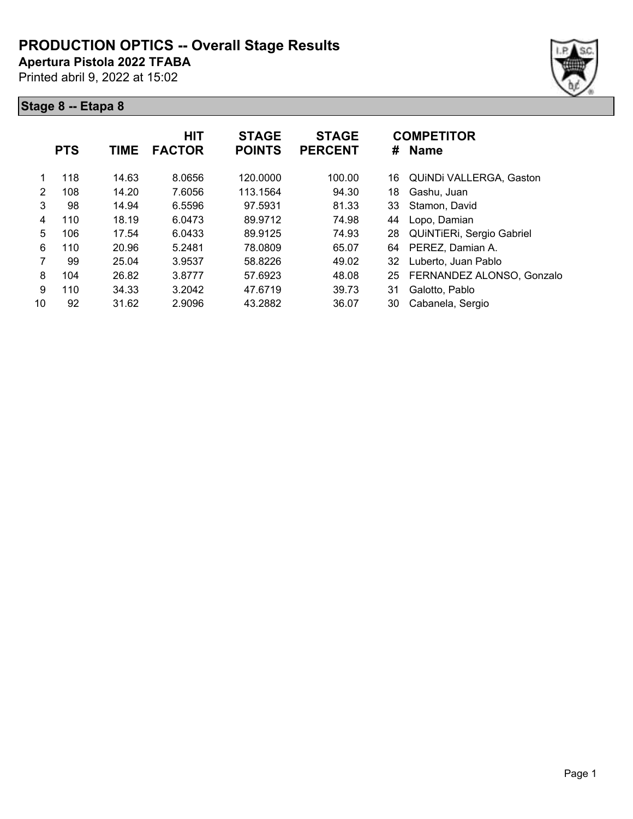**Apertura Pistola 2022 TFABA**

Printed abril 9, 2022 at 15:02





|    | <b>PTS</b> | TIME  | <b>HIT</b><br><b>FACTOR</b> | <b>STAGE</b><br><b>POINTS</b> | <b>STAGE</b><br><b>PERCENT</b> | #  | <b>COMPETITOR</b><br><b>Name</b> |
|----|------------|-------|-----------------------------|-------------------------------|--------------------------------|----|----------------------------------|
| 1  | 118        | 14.63 | 8.0656                      | 120.0000                      | 100.00                         | 16 | <b>QUINDI VALLERGA, Gaston</b>   |
| 2  | 108        | 14.20 | 7.6056                      | 113.1564                      | 94.30                          | 18 | Gashu, Juan                      |
| 3  | 98         | 14.94 | 6.5596                      | 97.5931                       | 81.33                          | 33 | Stamon, David                    |
| 4  | 110        | 18.19 | 6.0473                      | 89.9712                       | 74.98                          | 44 | Lopo, Damian                     |
| 5  | 106        | 17.54 | 6.0433                      | 89.9125                       | 74.93                          | 28 | QUINTIERI, Sergio Gabriel        |
| 6  | 110        | 20.96 | 5.2481                      | 78.0809                       | 65.07                          | 64 | PEREZ, Damian A.                 |
| 7  | 99         | 25.04 | 3.9537                      | 58.8226                       | 49.02                          | 32 | Luberto, Juan Pablo              |
| 8  | 104        | 26.82 | 3.8777                      | 57.6923                       | 48.08                          | 25 | FERNANDEZ ALONSO, Gonzalo        |
| 9  | 110        | 34.33 | 3.2042                      | 47.6719                       | 39.73                          | 31 | Galotto, Pablo                   |
| 10 | 92         | 31.62 | 2.9096                      | 43.2882                       | 36.07                          | 30 | Cabanela, Sergio                 |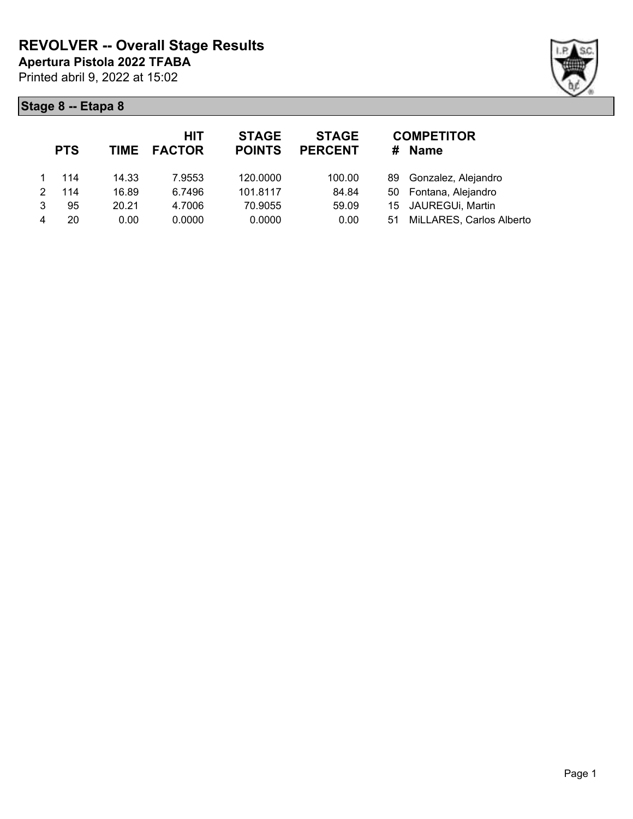

|   | <b>PTS</b> |       | HIT<br>TIME FACTOR | <b>STAGE</b><br><b>POINTS</b> | <b>STAGE</b><br><b>PERCENT</b> | #  | <b>COMPETITOR</b><br><b>Name</b> |
|---|------------|-------|--------------------|-------------------------------|--------------------------------|----|----------------------------------|
|   | 114        | 14.33 | 7.9553             | 120.0000                      | 100.00                         |    | 89 Gonzalez, Alejandro           |
| 2 | 114        | 16.89 | 6.7496             | 101.8117                      | 84.84                          |    | 50 Fontana, Alejandro            |
| 3 | 95         | 20.21 | 4.7006             | 70.9055                       | 59.09                          |    | 15 JAUREGUi, Martin              |
|   | 20         | 0.00  | 0.0000             | 0.0000                        | 0.00                           | 51 | MiLLARES, Carlos Alberto         |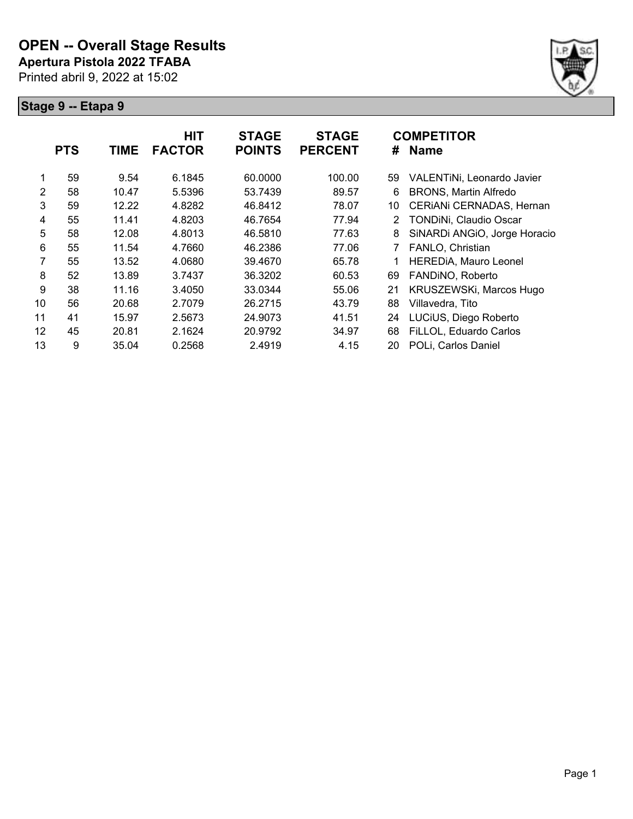

|                |            |             | <b>HIT</b>    | <b>STAGE</b>  | <b>STAGE</b>   |                | <b>COMPETITOR</b>            |
|----------------|------------|-------------|---------------|---------------|----------------|----------------|------------------------------|
|                | <b>PTS</b> | <b>TIME</b> | <b>FACTOR</b> | <b>POINTS</b> | <b>PERCENT</b> | #              | <b>Name</b>                  |
|                |            |             |               |               |                |                |                              |
| 1              | 59         | 9.54        | 6.1845        | 60.0000       | 100.00         | 59             | VALENTINI, Leonardo Javier   |
| $\overline{2}$ | 58         | 10.47       | 5.5396        | 53.7439       | 89.57          | 6              | <b>BRONS, Martin Alfredo</b> |
| 3              | 59         | 12.22       | 4.8282        | 46.8412       | 78.07          | 10             | CERIANI CERNADAS, Hernan     |
| 4              | 55         | 11.41       | 4.8203        | 46.7654       | 77.94          | $\overline{2}$ | TONDINi, Claudio Oscar       |
| 5              | 58         | 12.08       | 4.8013        | 46.5810       | 77.63          | 8              | SiNARDi ANGIO, Jorge Horacio |
| 6              | 55         | 11.54       | 4.7660        | 46.2386       | 77.06          |                | FANLO, Christian             |
| 7              | 55         | 13.52       | 4.0680        | 39.4670       | 65.78          |                | <b>HEREDIA, Mauro Leonel</b> |
| 8              | 52         | 13.89       | 3.7437        | 36.3202       | 60.53          | 69             | FANDINO, Roberto             |
| 9              | 38         | 11.16       | 3.4050        | 33.0344       | 55.06          | 21             | KRUSZEWSKi, Marcos Hugo      |
| 10             | 56         | 20.68       | 2.7079        | 26.2715       | 43.79          | 88             | Villavedra, Tito             |
| 11             | 41         | 15.97       | 2.5673        | 24.9073       | 41.51          | 24             | LUCiUS, Diego Roberto        |
| 12             | 45         | 20.81       | 2.1624        | 20.9792       | 34.97          | 68             | FiLLOL, Eduardo Carlos       |
| 13             | 9          | 35.04       | 0.2568        | 2.4919        | 4.15           | 20             | POLi, Carlos Daniel          |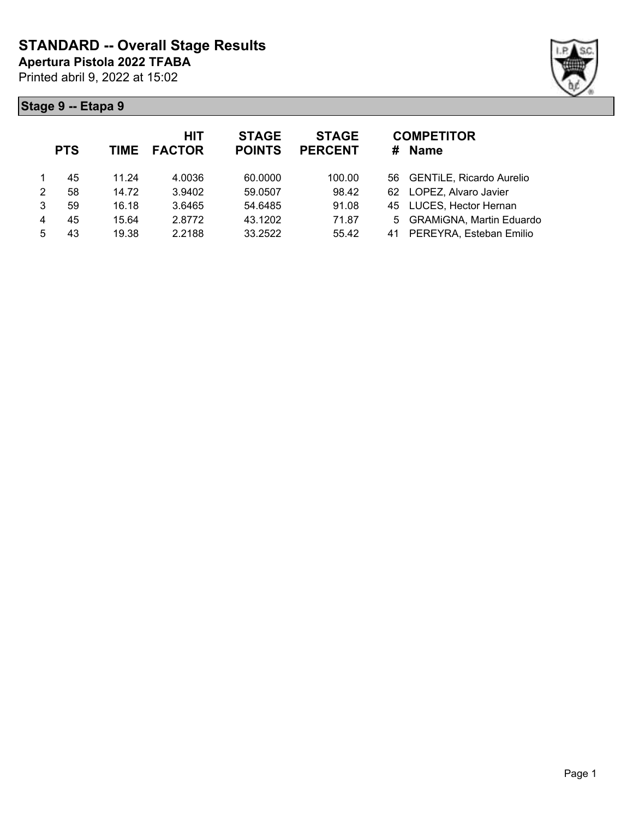

| <b>PTS</b> | TIME  | <b>HIT</b><br><b>FACTOR</b> | <b>STAGE</b><br><b>POINTS</b> | <b>STAGE</b><br><b>PERCENT</b> | <b>COMPETITOR</b><br><b>Name</b><br># |
|------------|-------|-----------------------------|-------------------------------|--------------------------------|---------------------------------------|
| 45         | 11.24 | 4.0036                      | 60.0000                       | 100.00                         | 56 GENTILE, Ricardo Aurelio           |
| 58         | 14.72 | 3.9402                      | 59.0507                       | 98.42                          | LOPEZ, Alvaro Javier<br>62            |
| 59         | 16.18 | 3.6465                      | 54.6485                       | 91.08                          | 45 LUCES, Hector Hernan               |
| 45         | 15.64 | 2.8772                      | 43.1202                       | 71.87                          | 5 GRAMiGNA, Martin Eduardo            |
| 43         | 19.38 | 2.2188                      | 33.2522                       | 55.42                          | PEREYRA, Esteban Emilio<br>41         |
|            |       |                             |                               |                                |                                       |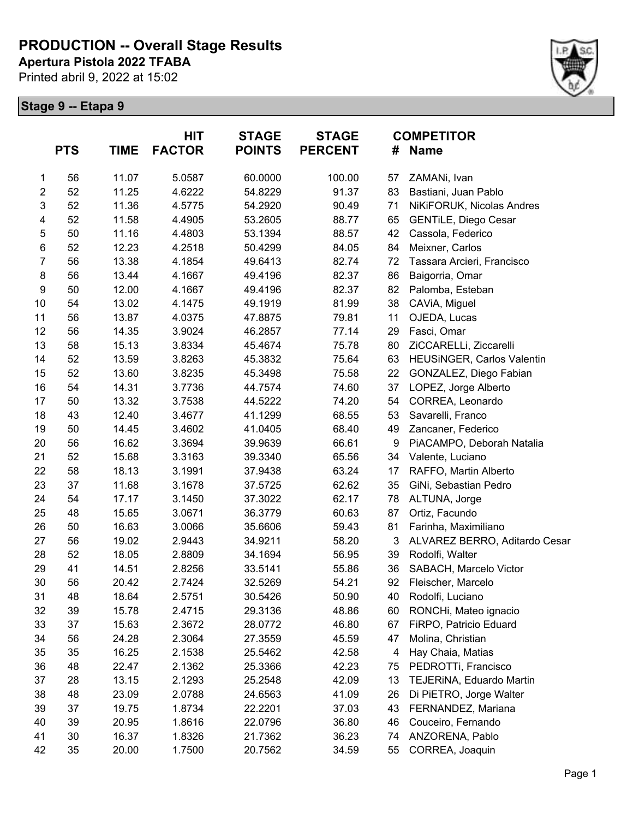**Apertura Pistola 2022 TFABA**

Printed abril 9, 2022 at 15:02



|                  | <b>PTS</b> | <b>TIME</b> | HIT<br><b>FACTOR</b> | <b>STAGE</b><br><b>POINTS</b> | <b>STAGE</b><br><b>PERCENT</b> | <b>COMPETITOR</b><br><b>Name</b><br># |                               |  |
|------------------|------------|-------------|----------------------|-------------------------------|--------------------------------|---------------------------------------|-------------------------------|--|
| 1                | 56         | 11.07       | 5.0587               | 60.0000                       | 100.00                         | 57                                    | ZAMANi, Ivan                  |  |
| 2                | 52         | 11.25       | 4.6222               | 54.8229                       | 91.37                          | 83                                    | Bastiani, Juan Pablo          |  |
| 3                | 52         | 11.36       | 4.5775               | 54.2920                       | 90.49                          | 71                                    | NiKiFORUK, Nicolas Andres     |  |
| 4                | 52         | 11.58       | 4.4905               | 53.2605                       | 88.77                          | 65                                    | <b>GENTILE, Diego Cesar</b>   |  |
| 5                | 50         | 11.16       | 4.4803               | 53.1394                       | 88.57                          | 42                                    | Cassola, Federico             |  |
| $\,6$            | 52         | 12.23       | 4.2518               | 50.4299                       | 84.05                          | 84                                    | Meixner, Carlos               |  |
| $\overline{7}$   | 56         | 13.38       | 4.1854               | 49.6413                       | 82.74                          | 72                                    | Tassara Arcieri, Francisco    |  |
| $\bf 8$          | 56         | 13.44       | 4.1667               | 49.4196                       | 82.37                          | 86                                    | Baigorria, Omar               |  |
| $\boldsymbol{9}$ | 50         | 12.00       | 4.1667               | 49.4196                       | 82.37                          | 82                                    | Palomba, Esteban              |  |
| 10               | 54         | 13.02       | 4.1475               | 49.1919                       | 81.99                          | 38                                    | CAVIA, Miguel                 |  |
| 11               | 56         | 13.87       | 4.0375               | 47.8875                       | 79.81                          | 11                                    | OJEDA, Lucas                  |  |
| 12               | 56         | 14.35       | 3.9024               | 46.2857                       | 77.14                          | 29                                    | Fasci, Omar                   |  |
| 13               | 58         | 15.13       | 3.8334               | 45.4674                       | 75.78                          | 80                                    | ZiCCARELLi, Ziccarelli        |  |
| 14               | 52         | 13.59       | 3.8263               | 45.3832                       | 75.64                          | 63                                    | HEUSINGER, Carlos Valentin    |  |
| 15               | 52         | 13.60       | 3.8235               | 45.3498                       | 75.58                          | 22                                    | GONZALEZ, Diego Fabian        |  |
| 16               | 54         | 14.31       | 3.7736               | 44.7574                       | 74.60                          | 37                                    | LOPEZ, Jorge Alberto          |  |
| 17               | 50         | 13.32       | 3.7538               | 44.5222                       | 74.20                          | 54                                    | CORREA, Leonardo              |  |
| 18               | 43         | 12.40       | 3.4677               | 41.1299                       | 68.55                          | 53                                    | Savarelli, Franco             |  |
| 19               | 50         | 14.45       | 3.4602               | 41.0405                       | 68.40                          | 49                                    | Zancaner, Federico            |  |
| 20               | 56         | 16.62       | 3.3694               | 39.9639                       | 66.61                          | 9                                     | PiACAMPO, Deborah Natalia     |  |
| 21               | 52         | 15.68       | 3.3163               | 39.3340                       | 65.56                          | 34                                    | Valente, Luciano              |  |
| 22               | 58         | 18.13       | 3.1991               | 37.9438                       | 63.24                          | 17                                    | RAFFO, Martin Alberto         |  |
| 23               | 37         | 11.68       | 3.1678               | 37.5725                       | 62.62                          | 35                                    | GiNi, Sebastian Pedro         |  |
| 24               | 54         | 17.17       | 3.1450               | 37.3022                       | 62.17                          | 78                                    | ALTUNA, Jorge                 |  |
| 25               | 48         | 15.65       | 3.0671               | 36.3779                       | 60.63                          | 87                                    | Ortiz, Facundo                |  |
| 26               | 50         | 16.63       | 3.0066               | 35.6606                       | 59.43                          | 81                                    | Farinha, Maximiliano          |  |
| 27               | 56         | 19.02       | 2.9443               | 34.9211                       | 58.20                          | 3                                     | ALVAREZ BERRO, Aditardo Cesar |  |
| 28               | 52         | 18.05       | 2.8809               | 34.1694                       | 56.95                          | 39                                    | Rodolfi, Walter               |  |
| 29               | 41         | 14.51       | 2.8256               | 33.5141                       | 55.86                          | 36                                    | SABACH, Marcelo Victor        |  |
| 30               | 56         | 20.42       | 2.7424               | 32.5269                       | 54.21                          | 92                                    | Fleischer, Marcelo            |  |
| 31               | 48         | 18.64       | 2.5751               | 30.5426                       | 50.90                          | 40                                    | Rodolfi, Luciano              |  |
| 32               | 39         | 15.78       | 2.4715               | 29.3136                       | 48.86                          | 60                                    | RONCHi, Mateo ignacio         |  |
| 33               | 37         | 15.63       | 2.3672               | 28.0772                       | 46.80                          | 67                                    | FiRPO, Patricio Eduard        |  |
| 34               | 56         | 24.28       | 2.3064               | 27.3559                       | 45.59                          | 47                                    | Molina, Christian             |  |
| 35               | 35         | 16.25       | 2.1538               | 25.5462                       | 42.58                          | 4                                     | Hay Chaia, Matias             |  |
| 36               | 48         | 22.47       | 2.1362               | 25.3366                       | 42.23                          | 75                                    | PEDROTTi, Francisco           |  |
| 37               | 28         | 13.15       | 2.1293               | 25.2548                       | 42.09                          | 13                                    | TEJERINA, Eduardo Martin      |  |
| 38               | 48         | 23.09       | 2.0788               | 24.6563                       | 41.09                          | 26                                    | Di PiETRO, Jorge Walter       |  |
| 39               | 37         | 19.75       | 1.8734               | 22.2201                       | 37.03                          | 43                                    | FERNANDEZ, Mariana            |  |
| 40               | 39         | 20.95       | 1.8616               | 22.0796                       | 36.80                          | 46                                    | Couceiro, Fernando            |  |
| 41               | 30         | 16.37       | 1.8326               | 21.7362                       | 36.23                          | 74                                    | ANZORENA, Pablo               |  |
| 42               | 35         | 20.00       | 1.7500               | 20.7562                       | 34.59                          | 55                                    | CORREA, Joaquin               |  |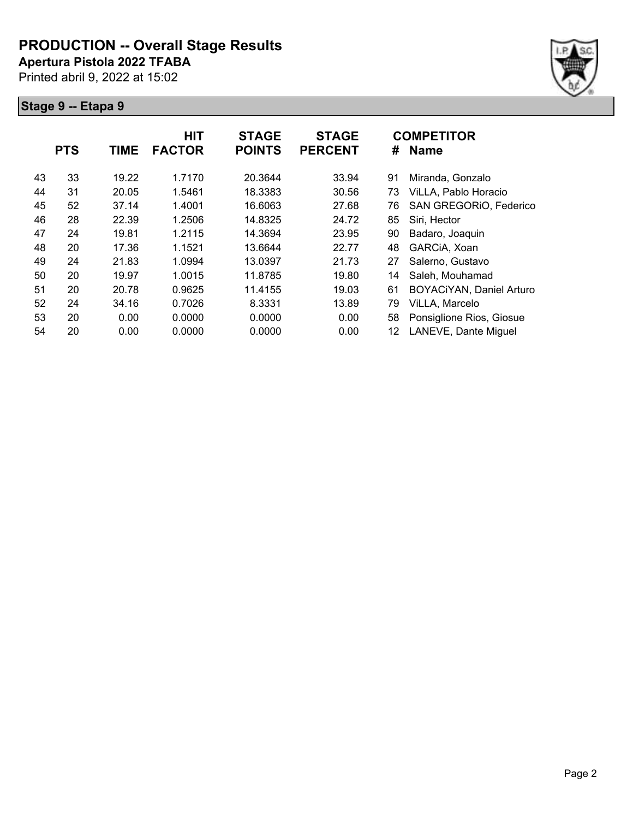**Apertura Pistola 2022 TFABA**

Printed abril 9, 2022 at 15:02



|    | <b>PTS</b> | <b>TIME</b> | <b>HIT</b><br><b>FACTOR</b> | <b>STAGE</b><br><b>POINTS</b> | <b>STAGE</b><br><b>PERCENT</b> | #  | <b>COMPETITOR</b><br><b>Name</b> |
|----|------------|-------------|-----------------------------|-------------------------------|--------------------------------|----|----------------------------------|
| 43 | 33         | 19.22       | 1.7170                      | 20.3644                       | 33.94                          | 91 | Miranda, Gonzalo                 |
| 44 | 31         | 20.05       | 1.5461                      | 18.3383                       | 30.56                          | 73 | ViLLA, Pablo Horacio             |
| 45 | 52         | 37.14       | 1.4001                      | 16.6063                       | 27.68                          | 76 | SAN GREGORIO, Federico           |
| 46 | 28         | 22.39       | 1.2506                      | 14.8325                       | 24.72                          | 85 | Siri, Hector                     |
| 47 | 24         | 19.81       | 1.2115                      | 14.3694                       | 23.95                          | 90 | Badaro, Joaquin                  |
| 48 | 20         | 17.36       | 1.1521                      | 13.6644                       | 22.77                          | 48 | GARCIA, Xoan                     |
| 49 | 24         | 21.83       | 1.0994                      | 13.0397                       | 21.73                          | 27 | Salerno, Gustavo                 |
| 50 | 20         | 19.97       | 1.0015                      | 11.8785                       | 19.80                          | 14 | Saleh, Mouhamad                  |
| 51 | 20         | 20.78       | 0.9625                      | 11.4155                       | 19.03                          | 61 | BOYACiYAN, Daniel Arturo         |
| 52 | 24         | 34.16       | 0.7026                      | 8.3331                        | 13.89                          | 79 | ViLLA, Marcelo                   |
| 53 | 20         | 0.00        | 0.0000                      | 0.0000                        | 0.00                           | 58 | Ponsiglione Rios, Giosue         |
| 54 | 20         | 0.00        | 0.0000                      | 0.0000                        | 0.00                           | 12 | LANEVE, Dante Miguel             |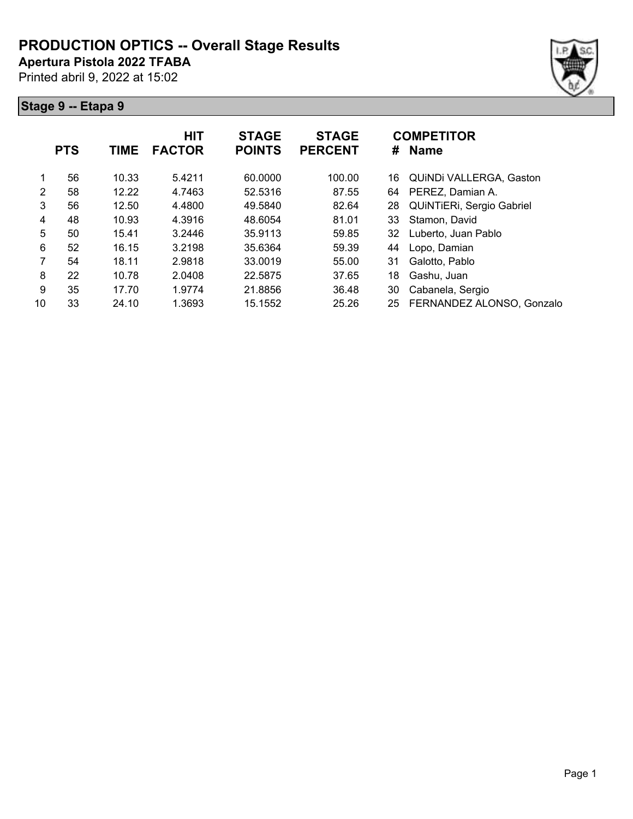**Apertura Pistola 2022 TFABA**

Printed abril 9, 2022 at 15:02





|    | <b>PTS</b> | <b>TIME</b> | <b>HIT</b><br><b>FACTOR</b> | <b>STAGE</b><br><b>POINTS</b> | <b>STAGE</b><br><b>PERCENT</b> | #  | <b>COMPETITOR</b><br><b>Name</b> |
|----|------------|-------------|-----------------------------|-------------------------------|--------------------------------|----|----------------------------------|
| 1  | 56         | 10.33       | 5.4211                      | 60.0000                       | 100.00                         | 16 | QUINDI VALLERGA, Gaston          |
| 2  | 58         | 12.22       | 4.7463                      | 52.5316                       | 87.55                          | 64 | PEREZ, Damian A.                 |
| 3  | 56         | 12.50       | 4.4800                      | 49.5840                       | 82.64                          | 28 | QUINTIERI, Sergio Gabriel        |
| 4  | 48         | 10.93       | 4.3916                      | 48.6054                       | 81.01                          | 33 | Stamon, David                    |
| 5  | 50         | 15.41       | 3.2446                      | 35.9113                       | 59.85                          | 32 | Luberto, Juan Pablo              |
| 6  | 52         | 16.15       | 3.2198                      | 35.6364                       | 59.39                          | 44 | Lopo, Damian                     |
| 7  | 54         | 18.11       | 2.9818                      | 33.0019                       | 55.00                          | 31 | Galotto, Pablo                   |
| 8  | 22         | 10.78       | 2.0408                      | 22.5875                       | 37.65                          | 18 | Gashu, Juan                      |
| 9  | 35         | 17.70       | 1.9774                      | 21.8856                       | 36.48                          | 30 | Cabanela, Sergio                 |
| 10 | 33         | 24.10       | 1.3693                      | 15.1552                       | 25.26                          | 25 | FERNANDEZ ALONSO, Gonzalo        |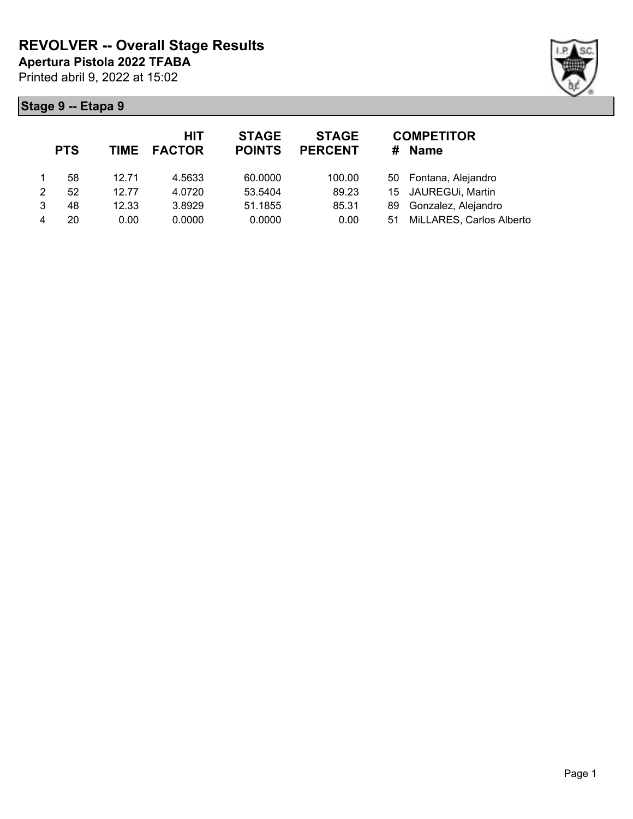

|   | <b>PTS</b> |       | <b>HIT</b><br>TIME FACTOR | <b>STAGE</b><br><b>POINTS</b> | <b>STAGE</b><br><b>PERCENT</b> | #   | <b>COMPETITOR</b><br><b>Name</b> |
|---|------------|-------|---------------------------|-------------------------------|--------------------------------|-----|----------------------------------|
|   | 58         | 12.71 | 4.5633                    | 60.0000                       | 100.00                         |     | 50 Fontana, Alejandro            |
| 2 | 52         | 12.77 | 4.0720                    | 53.5404                       | 89.23                          |     | 15 JAUREGUi, Martin              |
| 3 | 48         | 12.33 | 3.8929                    | 51.1855                       | 85.31                          | 89. | Gonzalez, Alejandro              |
|   | 20         | 0.00  | 0.0000                    | 0.0000                        | 0.00                           | 51  | MiLLARES, Carlos Alberto         |